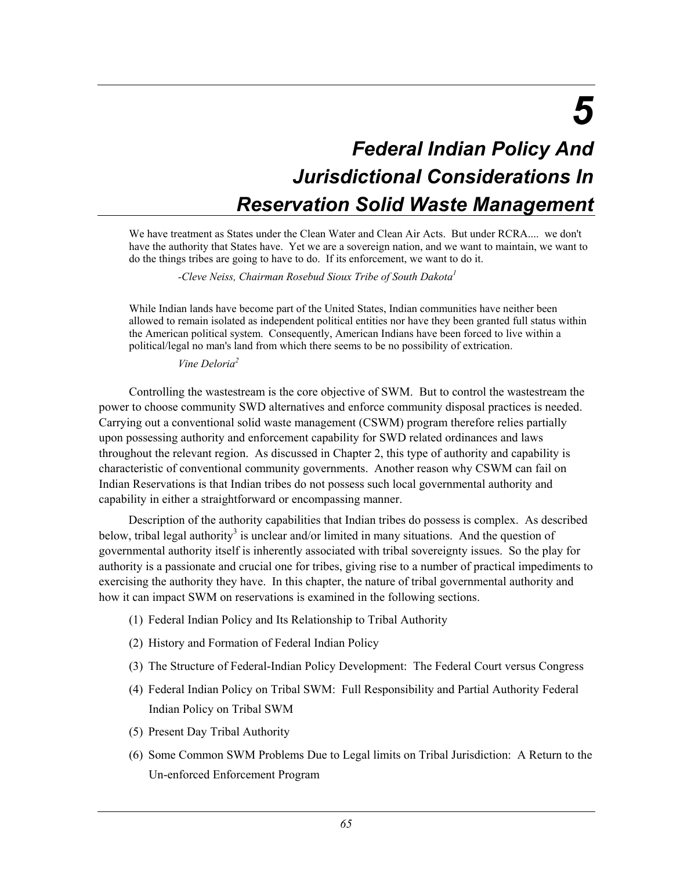*5* 

# *Federal Indian Policy And Jurisdictional Considerations In Reservation Solid Waste Management*

We have treatment as States under the Clean Water and Clean Air Acts. But under RCRA.... we don't have the authority that States have. Yet we are a sovereign nation, and we want to maintain, we want to do the things tribes are going to have to do. If its enforcement, we want to do it.

 *-Cleve Neiss, Chairman Rosebud Sioux Tribe of South Dakota<sup>1</sup>*

While Indian lands have become part of the United States, Indian communities have neither been allowed to remain isolated as independent political entities nor have they been granted full status within the American political system. Consequently, American Indians have been forced to live within a political/legal no man's land from which there seems to be no possibility of extrication.

 *Vine Deloria<sup>2</sup>*

Controlling the wastestream is the core objective of SWM. But to control the wastestream the power to choose community SWD alternatives and enforce community disposal practices is needed. Carrying out a conventional solid waste management (CSWM) program therefore relies partially upon possessing authority and enforcement capability for SWD related ordinances and laws throughout the relevant region. As discussed in Chapter 2, this type of authority and capability is characteristic of conventional community governments. Another reason why CSWM can fail on Indian Reservations is that Indian tribes do not possess such local governmental authority and capability in either a straightforward or encompassing manner.

Description of the authority capabilities that Indian tribes do possess is complex. As described below, tribal legal authority<sup>3</sup> is unclear and/or limited in many situations. And the question of governmental authority itself is inherently associated with tribal sovereignty issues. So the play for authority is a passionate and crucial one for tribes, giving rise to a number of practical impediments to exercising the authority they have. In this chapter, the nature of tribal governmental authority and how it can impact SWM on reservations is examined in the following sections.

- (1) Federal Indian Policy and Its Relationship to Tribal Authority
- (2) History and Formation of Federal Indian Policy
- (3) The Structure of Federal-Indian Policy Development: The Federal Court versus Congress
- (4) Federal Indian Policy on Tribal SWM: Full Responsibility and Partial Authority Federal Indian Policy on Tribal SWM
- (5) Present Day Tribal Authority
- (6) Some Common SWM Problems Due to Legal limits on Tribal Jurisdiction: A Return to the Un-enforced Enforcement Program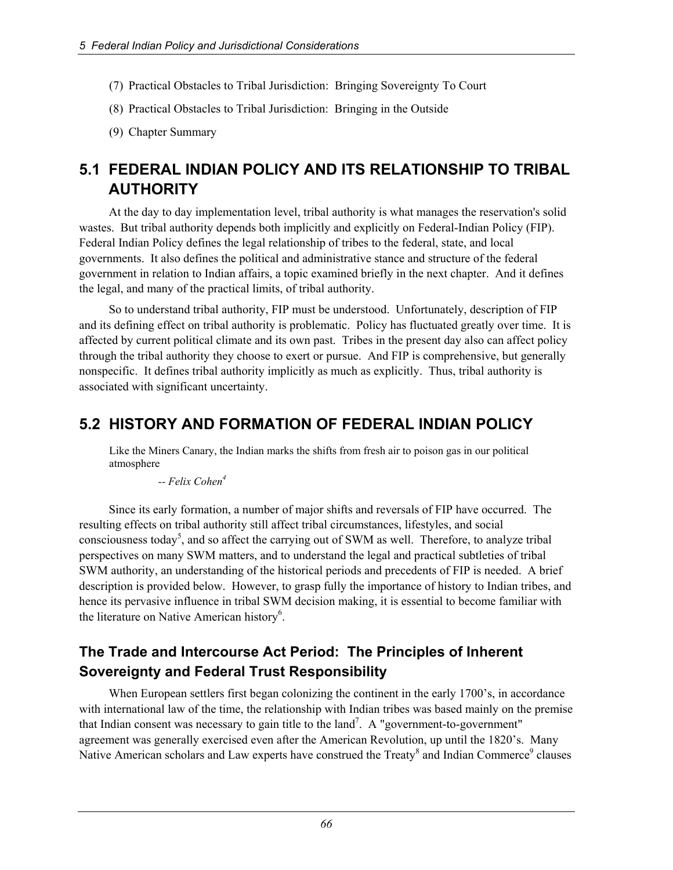- (7) Practical Obstacles to Tribal Jurisdiction: Bringing Sovereignty To Court
- (8) Practical Obstacles to Tribal Jurisdiction: Bringing in the Outside
- (9) Chapter Summary

# **5.1 FEDERAL INDIAN POLICY AND ITS RELATIONSHIP TO TRIBAL AUTHORITY**

At the day to day implementation level, tribal authority is what manages the reservation's solid wastes. But tribal authority depends both implicitly and explicitly on Federal-Indian Policy (FIP). Federal Indian Policy defines the legal relationship of tribes to the federal, state, and local governments. It also defines the political and administrative stance and structure of the federal government in relation to Indian affairs, a topic examined briefly in the next chapter. And it defines the legal, and many of the practical limits, of tribal authority.

So to understand tribal authority, FIP must be understood. Unfortunately, description of FIP and its defining effect on tribal authority is problematic. Policy has fluctuated greatly over time. It is affected by current political climate and its own past. Tribes in the present day also can affect policy through the tribal authority they choose to exert or pursue. And FIP is comprehensive, but generally nonspecific. It defines tribal authority implicitly as much as explicitly. Thus, tribal authority is associated with significant uncertainty.

# **5.2 HISTORY AND FORMATION OF FEDERAL INDIAN POLICY**

Like the Miners Canary, the Indian marks the shifts from fresh air to poison gas in our political atmosphere

 *-- Felix Cohen4* 

Since its early formation, a number of major shifts and reversals of FIP have occurred. The resulting effects on tribal authority still affect tribal circumstances, lifestyles, and social consciousness today<sup>5</sup>, and so affect the carrying out of SWM as well. Therefore, to analyze tribal perspectives on many SWM matters, and to understand the legal and practical subtleties of tribal SWM authority, an understanding of the historical periods and precedents of FIP is needed. A brief description is provided below. However, to grasp fully the importance of history to Indian tribes, and hence its pervasive influence in tribal SWM decision making, it is essential to become familiar with the literature on Native American history<sup>6</sup>.

# **The Trade and Intercourse Act Period: The Principles of Inherent Sovereignty and Federal Trust Responsibility**

When European settlers first began colonizing the continent in the early 1700's, in accordance with international law of the time, the relationship with Indian tribes was based mainly on the premise that Indian consent was necessary to gain title to the land<sup>7</sup>. A "government-to-government" agreement was generally exercised even after the American Revolution, up until the 1820's. Many Native American scholars and Law experts have construed the Treaty<sup>8</sup> and Indian Commerce<sup>9</sup> clauses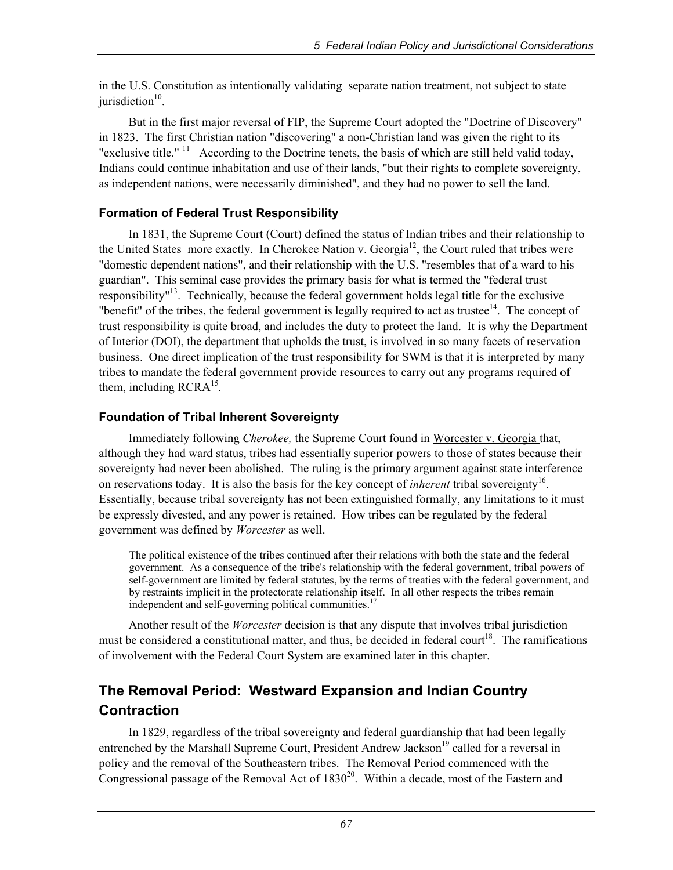in the U.S. Constitution as intentionally validating separate nation treatment, not subject to state jurisdiction $10$ .

But in the first major reversal of FIP, the Supreme Court adopted the "Doctrine of Discovery" in 1823. The first Christian nation "discovering" a non-Christian land was given the right to its "exclusive title." <sup>11</sup> According to the Doctrine tenets, the basis of which are still held valid today, Indians could continue inhabitation and use of their lands, "but their rights to complete sovereignty, as independent nations, were necessarily diminished", and they had no power to sell the land.

#### **Formation of Federal Trust Responsibility**

In 1831, the Supreme Court (Court) defined the status of Indian tribes and their relationship to the United States more exactly. In Cherokee Nation v. Georgia<sup>12</sup>, the Court ruled that tribes were "domestic dependent nations", and their relationship with the U.S. "resembles that of a ward to his guardian". This seminal case provides the primary basis for what is termed the "federal trust responsibility<sup>"13</sup>. Technically, because the federal government holds legal title for the exclusive "benefit" of the tribes, the federal government is legally required to act as trustee $14$ . The concept of trust responsibility is quite broad, and includes the duty to protect the land. It is why the Department of Interior (DOI), the department that upholds the trust, is involved in so many facets of reservation business. One direct implication of the trust responsibility for SWM is that it is interpreted by many tribes to mandate the federal government provide resources to carry out any programs required of them, including  $RCRA^{15}$ .

#### **Foundation of Tribal Inherent Sovereignty**

Immediately following *Cherokee,* the Supreme Court found in Worcester v. Georgia that, although they had ward status, tribes had essentially superior powers to those of states because their sovereignty had never been abolished. The ruling is the primary argument against state interference on reservations today. It is also the basis for the key concept of *inherent* tribal sovereignty<sup>16</sup>. Essentially, because tribal sovereignty has not been extinguished formally, any limitations to it must be expressly divested, and any power is retained. How tribes can be regulated by the federal government was defined by *Worcester* as well.

The political existence of the tribes continued after their relations with both the state and the federal government. As a consequence of the tribe's relationship with the federal government, tribal powers of self-government are limited by federal statutes, by the terms of treaties with the federal government, and by restraints implicit in the protectorate relationship itself. In all other respects the tribes remain independent and self-governing political communities.<sup>17</sup>

Another result of the *Worcester* decision is that any dispute that involves tribal jurisdiction must be considered a constitutional matter, and thus, be decided in federal court<sup>18</sup>. The ramifications of involvement with the Federal Court System are examined later in this chapter.

# **The Removal Period: Westward Expansion and Indian Country Contraction**

In 1829, regardless of the tribal sovereignty and federal guardianship that had been legally entrenched by the Marshall Supreme Court, President Andrew Jackson<sup>19</sup> called for a reversal in policy and the removal of the Southeastern tribes. The Removal Period commenced with the Congressional passage of the Removal Act of  $1830^{20}$ . Within a decade, most of the Eastern and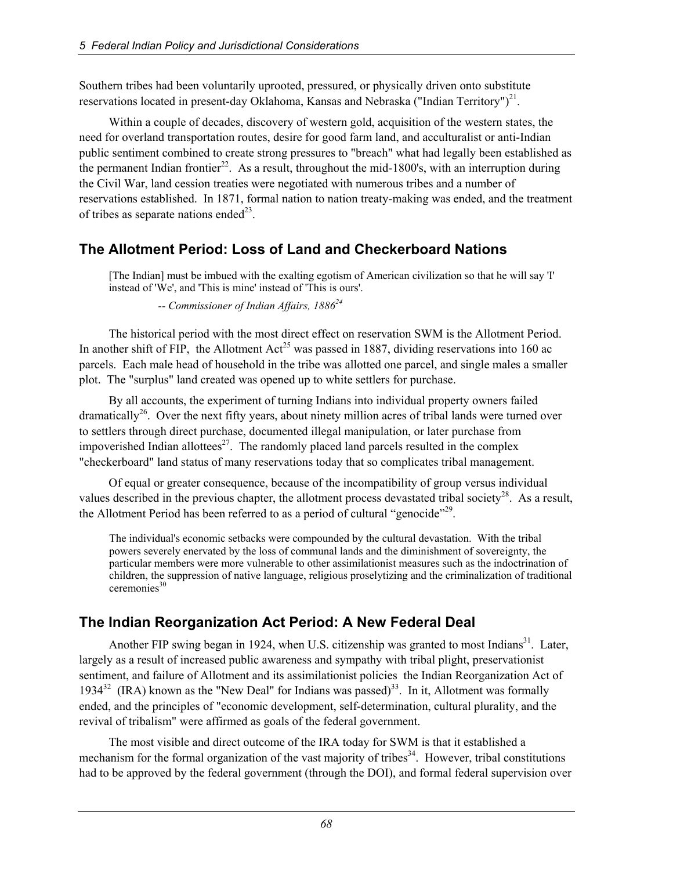Southern tribes had been voluntarily uprooted, pressured, or physically driven onto substitute reservations located in present-day Oklahoma, Kansas and Nebraska ("Indian Territory")<sup>21</sup>.

Within a couple of decades, discovery of western gold, acquisition of the western states, the need for overland transportation routes, desire for good farm land, and acculturalist or anti-Indian public sentiment combined to create strong pressures to "breach" what had legally been established as the permanent Indian frontier<sup>22</sup>. As a result, throughout the mid-1800's, with an interruption during the Civil War, land cession treaties were negotiated with numerous tribes and a number of reservations established. In 1871, formal nation to nation treaty-making was ended, and the treatment of tribes as separate nations ended<sup>23</sup>.

## **The Allotment Period: Loss of Land and Checkerboard Nations**

[The Indian] must be imbued with the exalting egotism of American civilization so that he will say 'I' instead of 'We', and 'This is mine' instead of 'This is ours'.

 *-- Commissioner of Indian Affairs, 1886<sup>24</sup>*

The historical period with the most direct effect on reservation SWM is the Allotment Period. In another shift of FIP, the Allotment  $Act^{25}$  was passed in 1887, dividing reservations into 160 ac parcels. Each male head of household in the tribe was allotted one parcel, and single males a smaller plot. The "surplus" land created was opened up to white settlers for purchase.

By all accounts, the experiment of turning Indians into individual property owners failed dramatically<sup>26</sup>. Over the next fifty years, about ninety million acres of tribal lands were turned over to settlers through direct purchase, documented illegal manipulation, or later purchase from impoverished Indian allottees $27$ . The randomly placed land parcels resulted in the complex "checkerboard" land status of many reservations today that so complicates tribal management.

Of equal or greater consequence, because of the incompatibility of group versus individual values described in the previous chapter, the allotment process devastated tribal society<sup>28</sup>. As a result, the Allotment Period has been referred to as a period of cultural "genocide"<sup>29</sup>.

The individual's economic setbacks were compounded by the cultural devastation. With the tribal powers severely enervated by the loss of communal lands and the diminishment of sovereignty, the particular members were more vulnerable to other assimilationist measures such as the indoctrination of children, the suppression of native language, religious proselytizing and the criminalization of traditional  $c$ eremonies $30$ 

## **The Indian Reorganization Act Period: A New Federal Deal**

Another FIP swing began in 1924, when U.S. citizenship was granted to most Indians<sup>31</sup>. Later, largely as a result of increased public awareness and sympathy with tribal plight, preservationist sentiment, and failure of Allotment and its assimilationist policies the Indian Reorganization Act of 1934<sup>32</sup> (IRA) known as the "New Deal" for Indians was passed)<sup>33</sup>. In it, Allotment was formally ended, and the principles of "economic development, self-determination, cultural plurality, and the revival of tribalism" were affirmed as goals of the federal government.

The most visible and direct outcome of the IRA today for SWM is that it established a mechanism for the formal organization of the vast majority of tribes<sup>34</sup>. However, tribal constitutions had to be approved by the federal government (through the DOI), and formal federal supervision over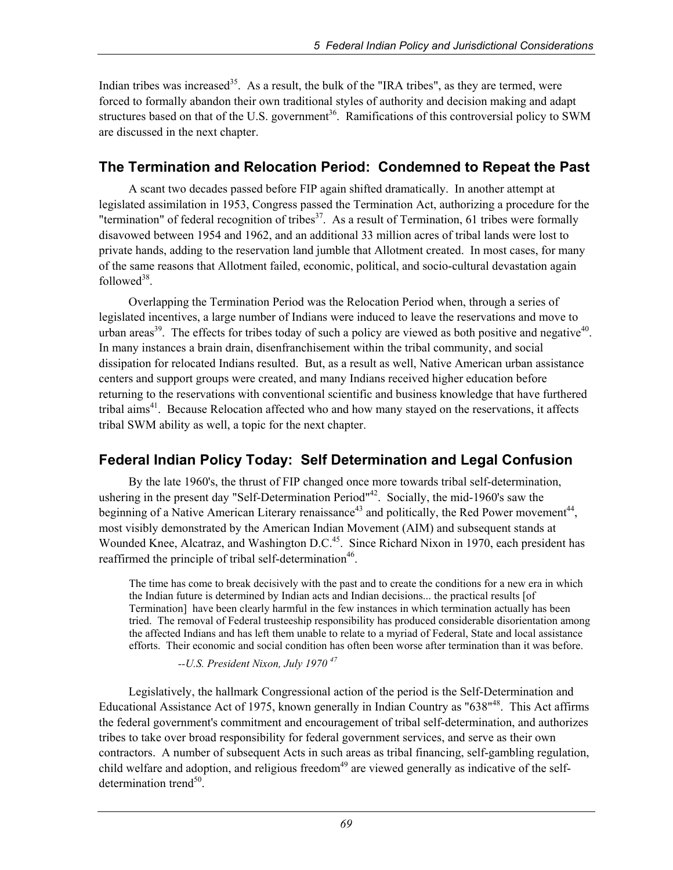Indian tribes was increased<sup>35</sup>. As a result, the bulk of the "IRA tribes", as they are termed, were forced to formally abandon their own traditional styles of authority and decision making and adapt structures based on that of the U.S. government<sup>36</sup>. Ramifications of this controversial policy to SWM are discussed in the next chapter.

## **The Termination and Relocation Period: Condemned to Repeat the Past**

A scant two decades passed before FIP again shifted dramatically. In another attempt at legislated assimilation in 1953, Congress passed the Termination Act, authorizing a procedure for the "termination" of federal recognition of tribes<sup>37</sup>. As a result of Termination, 61 tribes were formally disavowed between 1954 and 1962, and an additional 33 million acres of tribal lands were lost to private hands, adding to the reservation land jumble that Allotment created. In most cases, for many of the same reasons that Allotment failed, economic, political, and socio-cultural devastation again followed $38$ .

Overlapping the Termination Period was the Relocation Period when, through a series of legislated incentives, a large number of Indians were induced to leave the reservations and move to urban areas<sup>39</sup>. The effects for tribes today of such a policy are viewed as both positive and negative<sup>40</sup>. In many instances a brain drain, disenfranchisement within the tribal community, and social dissipation for relocated Indians resulted. But, as a result as well, Native American urban assistance centers and support groups were created, and many Indians received higher education before returning to the reservations with conventional scientific and business knowledge that have furthered tribal aims<sup>41</sup>. Because Relocation affected who and how many stayed on the reservations, it affects tribal SWM ability as well, a topic for the next chapter.

# **Federal Indian Policy Today: Self Determination and Legal Confusion**

By the late 1960's, the thrust of FIP changed once more towards tribal self-determination, ushering in the present day "Self-Determination Period"42. Socially, the mid-1960's saw the beginning of a Native American Literary renaissance<sup>43</sup> and politically, the Red Power movement<sup>44</sup>, most visibly demonstrated by the American Indian Movement (AIM) and subsequent stands at Wounded Knee, Alcatraz, and Washington D.C.<sup>45</sup>. Since Richard Nixon in 1970, each president has reaffirmed the principle of tribal self-determination<sup>46</sup>.

The time has come to break decisively with the past and to create the conditions for a new era in which the Indian future is determined by Indian acts and Indian decisions... the practical results [of Termination] have been clearly harmful in the few instances in which termination actually has been tried. The removal of Federal trusteeship responsibility has produced considerable disorientation among the affected Indians and has left them unable to relate to a myriad of Federal, State and local assistance efforts. Their economic and social condition has often been worse after termination than it was before.

#### *--U.S. President Nixon, July 1970 47*

Legislatively, the hallmark Congressional action of the period is the Self-Determination and Educational Assistance Act of 1975, known generally in Indian Country as "638"<sup>48</sup>. This Act affirms the federal government's commitment and encouragement of tribal self-determination, and authorizes tribes to take over broad responsibility for federal government services, and serve as their own contractors. A number of subsequent Acts in such areas as tribal financing, self-gambling regulation, child welfare and adoption, and religious freedom<sup>49</sup> are viewed generally as indicative of the selfdetermination trend $50$ .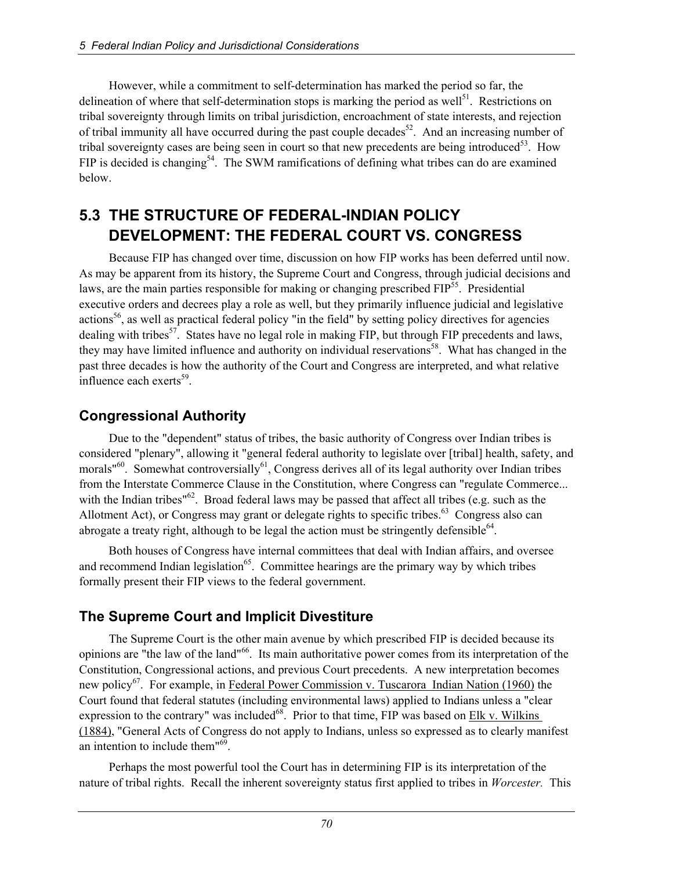However, while a commitment to self-determination has marked the period so far, the delineation of where that self-determination stops is marking the period as well<sup>51</sup>. Restrictions on tribal sovereignty through limits on tribal jurisdiction, encroachment of state interests, and rejection of tribal immunity all have occurred during the past couple decades<sup>52</sup>. And an increasing number of tribal sovereignty cases are being seen in court so that new precedents are being introduced<sup>53</sup>. How FIP is decided is changing<sup>54</sup>. The SWM ramifications of defining what tribes can do are examined below.

# **5.3 THE STRUCTURE OF FEDERAL-INDIAN POLICY DEVELOPMENT: THE FEDERAL COURT VS. CONGRESS**

Because FIP has changed over time, discussion on how FIP works has been deferred until now. As may be apparent from its history, the Supreme Court and Congress, through judicial decisions and laws, are the main parties responsible for making or changing prescribed  $FIP<sup>55</sup>$ . Presidential executive orders and decrees play a role as well, but they primarily influence judicial and legislative actions<sup>56</sup>, as well as practical federal policy "in the field" by setting policy directives for agencies dealing with tribes<sup>57</sup>. States have no legal role in making FIP, but through FIP precedents and laws, they may have limited influence and authority on individual reservations<sup>58</sup>. What has changed in the past three decades is how the authority of the Court and Congress are interpreted, and what relative influence each exerts $^{59}$ .

# **Congressional Authority**

Due to the "dependent" status of tribes, the basic authority of Congress over Indian tribes is considered "plenary", allowing it "general federal authority to legislate over [tribal] health, safety, and morals<sup> $160$ </sup>. Somewhat controversially<sup>61</sup>, Congress derives all of its legal authority over Indian tribes from the Interstate Commerce Clause in the Constitution, where Congress can "regulate Commerce... with the Indian tribes<sup>"62</sup>. Broad federal laws may be passed that affect all tribes (e.g. such as the Allotment Act), or Congress may grant or delegate rights to specific tribes.<sup>63</sup> Congress also can abrogate a treaty right, although to be legal the action must be stringently defensible<sup>64</sup>.

Both houses of Congress have internal committees that deal with Indian affairs, and oversee and recommend Indian legislation<sup>65</sup>. Committee hearings are the primary way by which tribes formally present their FIP views to the federal government.

## **The Supreme Court and Implicit Divestiture**

The Supreme Court is the other main avenue by which prescribed FIP is decided because its opinions are "the law of the land"66. Its main authoritative power comes from its interpretation of the Constitution, Congressional actions, and previous Court precedents. A new interpretation becomes new policy<sup>67</sup>. For example, in Federal Power Commission v. Tuscarora Indian Nation (1960) the Court found that federal statutes (including environmental laws) applied to Indians unless a "clear expression to the contrary" was included<sup>68</sup>. Prior to that time,  $FIP$  was based on Elk v. Wilkins (1884), "General Acts of Congress do not apply to Indians, unless so expressed as to clearly manifest an intention to include them"69.

Perhaps the most powerful tool the Court has in determining FIP is its interpretation of the nature of tribal rights. Recall the inherent sovereignty status first applied to tribes in *Worcester.* This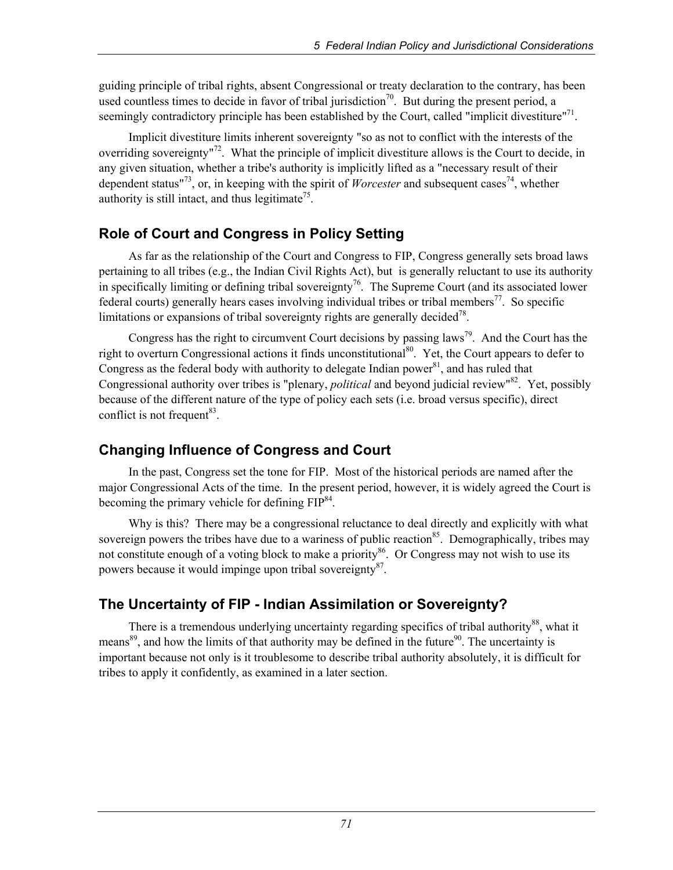guiding principle of tribal rights, absent Congressional or treaty declaration to the contrary, has been used countless times to decide in favor of tribal jurisdiction<sup>70</sup>. But during the present period, a seemingly contradictory principle has been established by the Court, called "implicit divestiture"<sup>71</sup>.

Implicit divestiture limits inherent sovereignty "so as not to conflict with the interests of the overriding sovereignty<sup> $n^2$ </sup>. What the principle of implicit divestiture allows is the Court to decide, in any given situation, whether a tribe's authority is implicitly lifted as a "necessary result of their dependent status<sup> $173$ </sup>, or, in keeping with the spirit of *Worcester* and subsequent cases<sup>74</sup>, whether authority is still intact, and thus legitimate<sup>75</sup>.

## **Role of Court and Congress in Policy Setting**

As far as the relationship of the Court and Congress to FIP, Congress generally sets broad laws pertaining to all tribes (e.g., the Indian Civil Rights Act), but is generally reluctant to use its authority in specifically limiting or defining tribal sovereignty<sup>76</sup>. The Supreme Court (and its associated lower federal courts) generally hears cases involving individual tribes or tribal members<sup>77</sup>. So specific limitations or expansions of tribal sovereignty rights are generally decided<sup>78</sup>.

Congress has the right to circumvent Court decisions by passing laws<sup>79</sup>. And the Court has the right to overturn Congressional actions it finds unconstitutional<sup>80</sup>. Yet, the Court appears to defer to Congress as the federal body with authority to delegate Indian power $^{81}$ , and has ruled that Congressional authority over tribes is "plenary, *political* and beyond judicial review"82. Yet, possibly because of the different nature of the type of policy each sets (i.e. broad versus specific), direct conflict is not frequent<sup>83</sup>.

## **Changing Influence of Congress and Court**

In the past, Congress set the tone for FIP. Most of the historical periods are named after the major Congressional Acts of the time. In the present period, however, it is widely agreed the Court is becoming the primary vehicle for defining  $FIP^{84}$ .

Why is this? There may be a congressional reluctance to deal directly and explicitly with what sovereign powers the tribes have due to a wariness of public reaction<sup>85</sup>. Demographically, tribes may not constitute enough of a voting block to make a priority<sup>86</sup>. Or Congress may not wish to use its powers because it would impinge upon tribal sovereignty $8^8$ .

# **The Uncertainty of FIP - Indian Assimilation or Sovereignty?**

There is a tremendous underlying uncertainty regarding specifics of tribal authority<sup>88</sup>, what it means<sup>89</sup>, and how the limits of that authority may be defined in the future<sup>90</sup>. The uncertainty is important because not only is it troublesome to describe tribal authority absolutely, it is difficult for tribes to apply it confidently, as examined in a later section.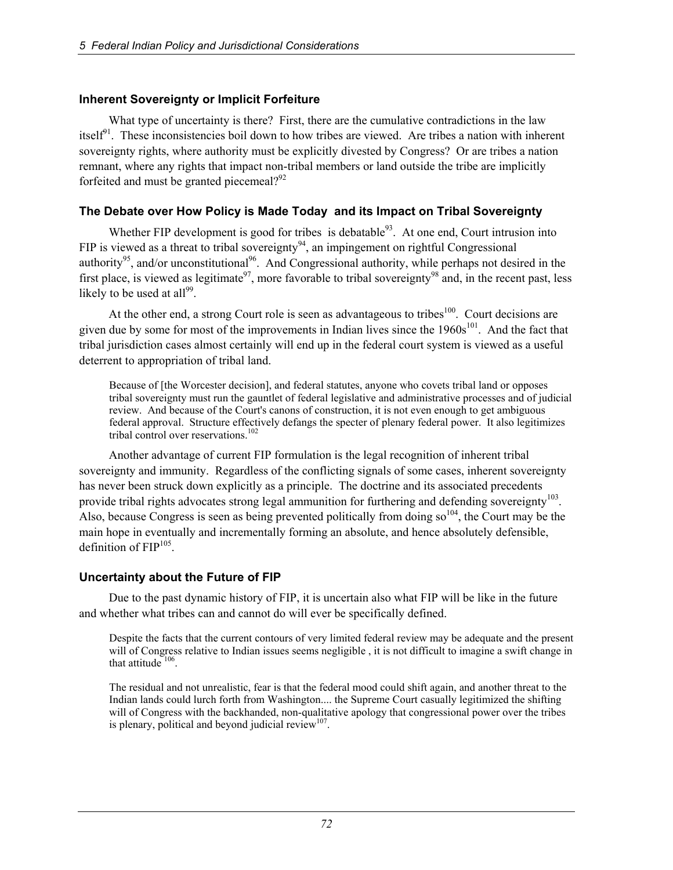#### **Inherent Sovereignty or Implicit Forfeiture**

What type of uncertainty is there? First, there are the cumulative contradictions in the law itself<sup> $91$ </sup>. These inconsistencies boil down to how tribes are viewed. Are tribes a nation with inherent sovereignty rights, where authority must be explicitly divested by Congress? Or are tribes a nation remnant, where any rights that impact non-tribal members or land outside the tribe are implicitly forfeited and must be granted piecemeal? $92$ 

#### **The Debate over How Policy is Made Today and its Impact on Tribal Sovereignty**

Whether FIP development is good for tribes is debatable<sup>93</sup>. At one end, Court intrusion into FIP is viewed as a threat to tribal sovereignty<sup>94</sup>, an impingement on rightful Congressional authority<sup>95</sup>, and/or unconstitutional<sup>96</sup>. And Congressional authority, while perhaps not desired in the first place, is viewed as legitimate<sup>97</sup>, more favorable to tribal sovereignty<sup>98</sup> and, in the recent past, less likely to be used at all<sup>99</sup>.

At the other end, a strong Court role is seen as advantageous to tribes<sup>100</sup>. Court decisions are given due by some for most of the improvements in Indian lives since the  $1960s<sup>101</sup>$ . And the fact that tribal jurisdiction cases almost certainly will end up in the federal court system is viewed as a useful deterrent to appropriation of tribal land.

Because of [the Worcester decision], and federal statutes, anyone who covets tribal land or opposes tribal sovereignty must run the gauntlet of federal legislative and administrative processes and of judicial review. And because of the Court's canons of construction, it is not even enough to get ambiguous federal approval. Structure effectively defangs the specter of plenary federal power. It also legitimizes tribal control over reservations.<sup>102</sup>

Another advantage of current FIP formulation is the legal recognition of inherent tribal sovereignty and immunity. Regardless of the conflicting signals of some cases, inherent sovereignty has never been struck down explicitly as a principle. The doctrine and its associated precedents provide tribal rights advocates strong legal ammunition for furthering and defending sovereignty<sup>103</sup>. Also, because Congress is seen as being prevented politically from doing  $so^{104}$ , the Court may be the main hope in eventually and incrementally forming an absolute, and hence absolutely defensible, definition of  $FIP<sup>105</sup>$ .

#### **Uncertainty about the Future of FIP**

Due to the past dynamic history of FIP, it is uncertain also what FIP will be like in the future and whether what tribes can and cannot do will ever be specifically defined.

Despite the facts that the current contours of very limited federal review may be adequate and the present will of Congress relative to Indian issues seems negligible , it is not difficult to imagine a swift change in that attitude  $106$ .

The residual and not unrealistic, fear is that the federal mood could shift again, and another threat to the Indian lands could lurch forth from Washington.... the Supreme Court casually legitimized the shifting will of Congress with the backhanded, non-qualitative apology that congressional power over the tribes is plenary, political and beyond judicial review $107$ .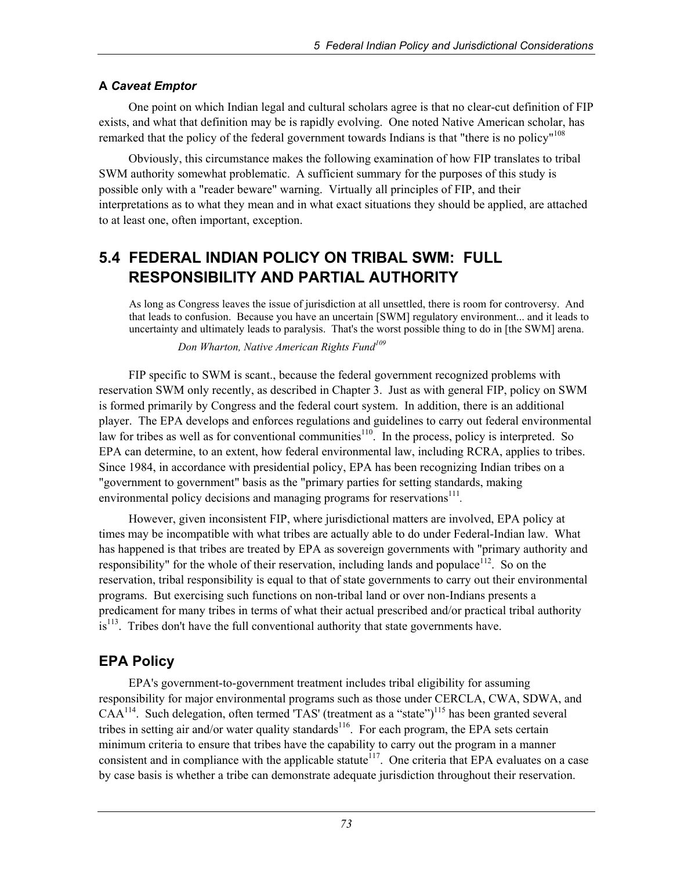#### **A** *Caveat Emptor*

One point on which Indian legal and cultural scholars agree is that no clear-cut definition of FIP exists, and what that definition may be is rapidly evolving. One noted Native American scholar, has remarked that the policy of the federal government towards Indians is that "there is no policy"<sup>108</sup>

Obviously, this circumstance makes the following examination of how FIP translates to tribal SWM authority somewhat problematic. A sufficient summary for the purposes of this study is possible only with a "reader beware" warning. Virtually all principles of FIP, and their interpretations as to what they mean and in what exact situations they should be applied, are attached to at least one, often important, exception.

# **5.4 FEDERAL INDIAN POLICY ON TRIBAL SWM: FULL RESPONSIBILITY AND PARTIAL AUTHORITY**

As long as Congress leaves the issue of jurisdiction at all unsettled, there is room for controversy. And that leads to confusion. Because you have an uncertain [SWM] regulatory environment... and it leads to uncertainty and ultimately leads to paralysis. That's the worst possible thing to do in [the SWM] arena.

 *Don Wharton, Native American Rights Fund<sup>109</sup>*

FIP specific to SWM is scant., because the federal government recognized problems with reservation SWM only recently, as described in Chapter 3. Just as with general FIP, policy on SWM is formed primarily by Congress and the federal court system. In addition, there is an additional player. The EPA develops and enforces regulations and guidelines to carry out federal environmental law for tribes as well as for conventional communities<sup>110</sup>. In the process, policy is interpreted. So EPA can determine, to an extent, how federal environmental law, including RCRA, applies to tribes. Since 1984, in accordance with presidential policy, EPA has been recognizing Indian tribes on a "government to government" basis as the "primary parties for setting standards, making environmental policy decisions and managing programs for reservations<sup>111</sup>.

However, given inconsistent FIP, where jurisdictional matters are involved, EPA policy at times may be incompatible with what tribes are actually able to do under Federal-Indian law. What has happened is that tribes are treated by EPA as sovereign governments with "primary authority and responsibility" for the whole of their reservation, including lands and populace<sup>112</sup>. So on the reservation, tribal responsibility is equal to that of state governments to carry out their environmental programs. But exercising such functions on non-tribal land or over non-Indians presents a predicament for many tribes in terms of what their actual prescribed and/or practical tribal authority  $is<sup>113</sup>$ . Tribes don't have the full conventional authority that state governments have.

## **EPA Policy**

EPA's government-to-government treatment includes tribal eligibility for assuming responsibility for major environmental programs such as those under CERCLA, CWA, SDWA, and  $CAA^{114}$ . Such delegation, often termed 'TAS' (treatment as a "state")<sup>115</sup> has been granted several tribes in setting air and/or water quality standards<sup>116</sup>. For each program, the EPA sets certain minimum criteria to ensure that tribes have the capability to carry out the program in a manner consistent and in compliance with the applicable statute<sup>117</sup>. One criteria that EPA evaluates on a case by case basis is whether a tribe can demonstrate adequate jurisdiction throughout their reservation.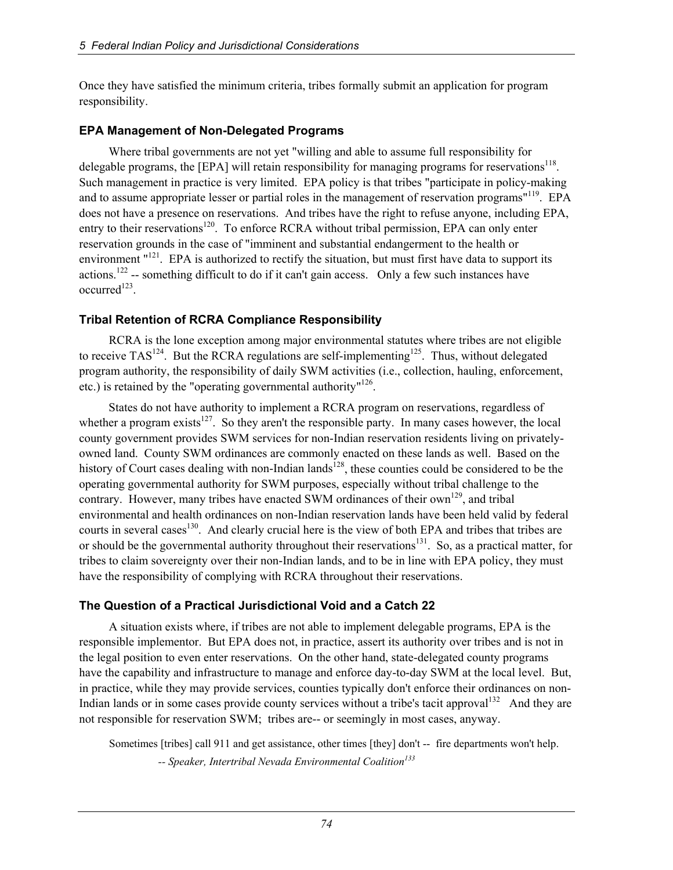Once they have satisfied the minimum criteria, tribes formally submit an application for program responsibility.

#### **EPA Management of Non-Delegated Programs**

Where tribal governments are not yet "willing and able to assume full responsibility for delegable programs, the [EPA] will retain responsibility for managing programs for reservations<sup>118</sup>. Such management in practice is very limited. EPA policy is that tribes "participate in policy-making and to assume appropriate lesser or partial roles in the management of reservation programs"<sup>119</sup>. EPA does not have a presence on reservations. And tribes have the right to refuse anyone, including EPA, entry to their reservations<sup>120</sup>. To enforce RCRA without tribal permission, EPA can only enter reservation grounds in the case of "imminent and substantial endangerment to the health or environment "<sup>121</sup>. EPA is authorized to rectify the situation, but must first have data to support its actions.<sup>122</sup> -- something difficult to do if it can't gain access. Only a few such instances have  $occurred<sup>123</sup>$ .

## **Tribal Retention of RCRA Compliance Responsibility**

RCRA is the lone exception among major environmental statutes where tribes are not eligible to receive  $TAS^{124}$ . But the RCRA regulations are self-implementing<sup>125</sup>. Thus, without delegated program authority, the responsibility of daily SWM activities (i.e., collection, hauling, enforcement, etc.) is retained by the "operating governmental authority"<sup>126</sup>.

States do not have authority to implement a RCRA program on reservations, regardless of whether a program exists<sup>127</sup>. So they aren't the responsible party. In many cases however, the local county government provides SWM services for non-Indian reservation residents living on privatelyowned land. County SWM ordinances are commonly enacted on these lands as well. Based on the history of Court cases dealing with non-Indian lands<sup>128</sup>, these counties could be considered to be the operating governmental authority for SWM purposes, especially without tribal challenge to the contrary. However, many tribes have enacted SWM ordinances of their own<sup>129</sup>, and tribal environmental and health ordinances on non-Indian reservation lands have been held valid by federal courts in several cases<sup>130</sup>. And clearly crucial here is the view of both EPA and tribes that tribes are or should be the governmental authority throughout their reservations<sup>131</sup>. So, as a practical matter, for tribes to claim sovereignty over their non-Indian lands, and to be in line with EPA policy, they must have the responsibility of complying with RCRA throughout their reservations.

## **The Question of a Practical Jurisdictional Void and a Catch 22**

A situation exists where, if tribes are not able to implement delegable programs, EPA is the responsible implementor. But EPA does not, in practice, assert its authority over tribes and is not in the legal position to even enter reservations. On the other hand, state-delegated county programs have the capability and infrastructure to manage and enforce day-to-day SWM at the local level. But, in practice, while they may provide services, counties typically don't enforce their ordinances on non-Indian lands or in some cases provide county services without a tribe's tacit approval<sup>132</sup> And they are not responsible for reservation SWM; tribes are-- or seemingly in most cases, anyway.

Sometimes [tribes] call 911 and get assistance, other times [they] don't -- fire departments won't help.  *-- Speaker, Intertribal Nevada Environmental Coalition<sup>133</sup>*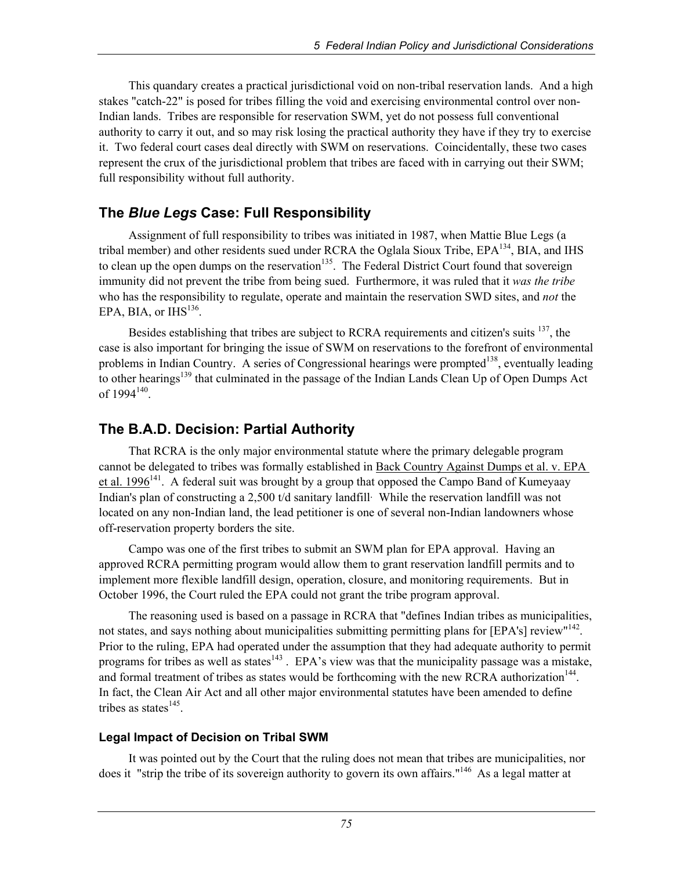This quandary creates a practical jurisdictional void on non-tribal reservation lands. And a high stakes "catch-22" is posed for tribes filling the void and exercising environmental control over non-Indian lands. Tribes are responsible for reservation SWM, yet do not possess full conventional authority to carry it out, and so may risk losing the practical authority they have if they try to exercise it. Two federal court cases deal directly with SWM on reservations. Coincidentally, these two cases represent the crux of the jurisdictional problem that tribes are faced with in carrying out their SWM; full responsibility without full authority.

## **The** *Blue Legs* **Case: Full Responsibility**

Assignment of full responsibility to tribes was initiated in 1987, when Mattie Blue Legs (a tribal member) and other residents sued under RCRA the Oglala Sioux Tribe,  $EPA^{134}$ , BIA, and IHS to clean up the open dumps on the reservation<sup>135</sup>. The Federal District Court found that sovereign immunity did not prevent the tribe from being sued. Furthermore, it was ruled that it *was the tribe*  who has the responsibility to regulate, operate and maintain the reservation SWD sites, and *not* the EPA, BIA, or  $IHS<sup>136</sup>$ .

Besides establishing that tribes are subject to RCRA requirements and citizen's suits <sup>137</sup>, the case is also important for bringing the issue of SWM on reservations to the forefront of environmental problems in Indian Country. A series of Congressional hearings were prompted<sup>138</sup>, eventually leading to other hearings<sup>139</sup> that culminated in the passage of the Indian Lands Clean Up of Open Dumps Act of 1994<sup>140</sup>.

## **The B.A.D. Decision: Partial Authority**

That RCRA is the only major environmental statute where the primary delegable program cannot be delegated to tribes was formally established in Back Country Against Dumps et al. v. EPA et al. 1996<sup>141</sup>. A federal suit was brought by a group that opposed the Campo Band of Kumeyaay Indian's plan of constructing a 2,500 t/d sanitary landfill. While the reservation landfill was not located on any non-Indian land, the lead petitioner is one of several non-Indian landowners whose off-reservation property borders the site.

Campo was one of the first tribes to submit an SWM plan for EPA approval. Having an approved RCRA permitting program would allow them to grant reservation landfill permits and to implement more flexible landfill design, operation, closure, and monitoring requirements. But in October 1996, the Court ruled the EPA could not grant the tribe program approval.

The reasoning used is based on a passage in RCRA that "defines Indian tribes as municipalities, not states, and says nothing about municipalities submitting permitting plans for [EPA's] review"<sup>142</sup>. Prior to the ruling, EPA had operated under the assumption that they had adequate authority to permit programs for tribes as well as states<sup>143</sup>. EPA's view was that the municipality passage was a mistake, and formal treatment of tribes as states would be forthcoming with the new RCRA authorization<sup>144</sup>. In fact, the Clean Air Act and all other major environmental statutes have been amended to define tribes as states $145$ .

#### **Legal Impact of Decision on Tribal SWM**

It was pointed out by the Court that the ruling does not mean that tribes are municipalities, nor does it "strip the tribe of its sovereign authority to govern its own affairs."<sup>146</sup> As a legal matter at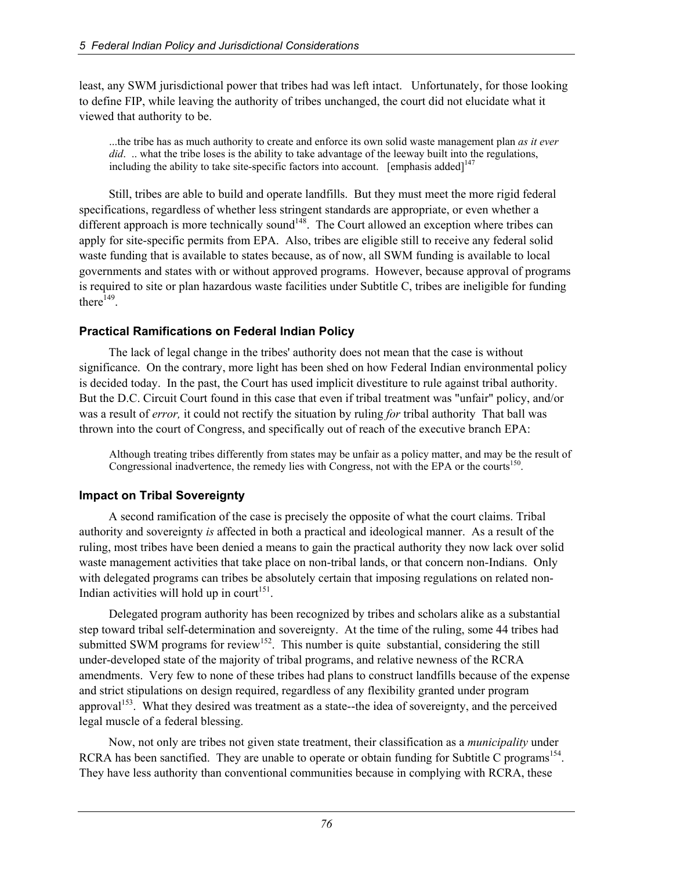least, any SWM jurisdictional power that tribes had was left intact. Unfortunately, for those looking to define FIP, while leaving the authority of tribes unchanged, the court did not elucidate what it viewed that authority to be.

...the tribe has as much authority to create and enforce its own solid waste management plan *as it ever did.* ... what the tribe loses is the ability to take advantage of the leeway built into the regulations, including the ability to take site-specific factors into account. [emphasis added] $147$ 

Still, tribes are able to build and operate landfills. But they must meet the more rigid federal specifications, regardless of whether less stringent standards are appropriate, or even whether a different approach is more technically sound<sup> $148$ </sup>. The Court allowed an exception where tribes can apply for site-specific permits from EPA. Also, tribes are eligible still to receive any federal solid waste funding that is available to states because, as of now, all SWM funding is available to local governments and states with or without approved programs. However, because approval of programs is required to site or plan hazardous waste facilities under Subtitle C, tribes are ineligible for funding there $^{149}$ .

#### **Practical Ramifications on Federal Indian Policy**

The lack of legal change in the tribes' authority does not mean that the case is without significance. On the contrary, more light has been shed on how Federal Indian environmental policy is decided today. In the past, the Court has used implicit divestiture to rule against tribal authority. But the D.C. Circuit Court found in this case that even if tribal treatment was "unfair" policy, and/or was a result of *error,* it could not rectify the situation by ruling *for* tribal authority That ball was thrown into the court of Congress, and specifically out of reach of the executive branch EPA:

Although treating tribes differently from states may be unfair as a policy matter, and may be the result of Congressional inadvertence, the remedy lies with Congress, not with the EPA or the courts<sup>150</sup>.

#### **Impact on Tribal Sovereignty**

A second ramification of the case is precisely the opposite of what the court claims. Tribal authority and sovereignty *is* affected in both a practical and ideological manner. As a result of the ruling, most tribes have been denied a means to gain the practical authority they now lack over solid waste management activities that take place on non-tribal lands, or that concern non-Indians. Only with delegated programs can tribes be absolutely certain that imposing regulations on related non-Indian activities will hold up in court<sup>151</sup>.

Delegated program authority has been recognized by tribes and scholars alike as a substantial step toward tribal self-determination and sovereignty. At the time of the ruling, some 44 tribes had submitted SWM programs for review<sup>152</sup>. This number is quite substantial, considering the still under-developed state of the majority of tribal programs, and relative newness of the RCRA amendments. Very few to none of these tribes had plans to construct landfills because of the expense and strict stipulations on design required, regardless of any flexibility granted under program approval<sup>153</sup>. What they desired was treatment as a state--the idea of sovereignty, and the perceived legal muscle of a federal blessing.

Now, not only are tribes not given state treatment, their classification as a *municipality* under RCRA has been sanctified. They are unable to operate or obtain funding for Subtitle C programs<sup>154</sup>. They have less authority than conventional communities because in complying with RCRA, these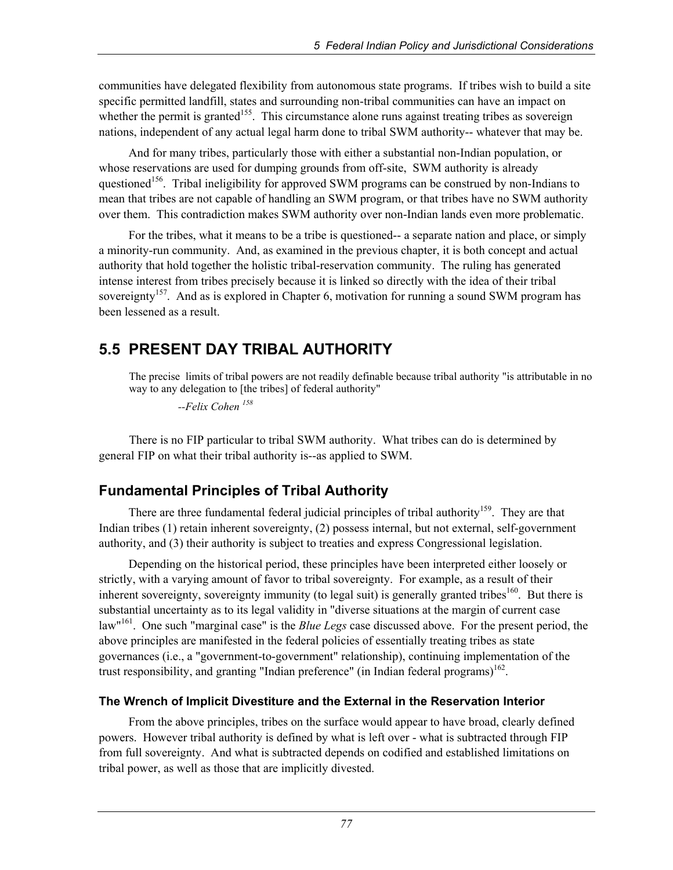communities have delegated flexibility from autonomous state programs. If tribes wish to build a site specific permitted landfill, states and surrounding non-tribal communities can have an impact on whether the permit is granted<sup>155</sup>. This circumstance alone runs against treating tribes as sovereign nations, independent of any actual legal harm done to tribal SWM authority-- whatever that may be.

And for many tribes, particularly those with either a substantial non-Indian population, or whose reservations are used for dumping grounds from off-site, SWM authority is already questioned<sup>156</sup>. Tribal ineligibility for approved SWM programs can be construed by non-Indians to mean that tribes are not capable of handling an SWM program, or that tribes have no SWM authority over them. This contradiction makes SWM authority over non-Indian lands even more problematic.

For the tribes, what it means to be a tribe is questioned-- a separate nation and place, or simply a minority-run community. And, as examined in the previous chapter, it is both concept and actual authority that hold together the holistic tribal-reservation community. The ruling has generated intense interest from tribes precisely because it is linked so directly with the idea of their tribal sovereignty<sup>157</sup>. And as is explored in Chapter 6, motivation for running a sound SWM program has been lessened as a result.

# **5.5 PRESENT DAY TRIBAL AUTHORITY**

The precise limits of tribal powers are not readily definable because tribal authority "is attributable in no way to any delegation to [the tribes] of federal authority"

 *--Felix Cohen 158*

There is no FIP particular to tribal SWM authority. What tribes can do is determined by general FIP on what their tribal authority is--as applied to SWM.

## **Fundamental Principles of Tribal Authority**

There are three fundamental federal judicial principles of tribal authority<sup>159</sup>. They are that Indian tribes (1) retain inherent sovereignty, (2) possess internal, but not external, self-government authority, and (3) their authority is subject to treaties and express Congressional legislation.

Depending on the historical period, these principles have been interpreted either loosely or strictly, with a varying amount of favor to tribal sovereignty. For example, as a result of their inherent sovereignty, sovereignty immunity (to legal suit) is generally granted tribes<sup>160</sup>. But there is substantial uncertainty as to its legal validity in "diverse situations at the margin of current case law"161. One such "marginal case" is the *Blue Legs* case discussed above. For the present period, the above principles are manifested in the federal policies of essentially treating tribes as state governances (i.e., a "government-to-government" relationship), continuing implementation of the trust responsibility, and granting "Indian preference" (in Indian federal programs)<sup>162</sup>.

## **The Wrench of Implicit Divestiture and the External in the Reservation Interior**

From the above principles, tribes on the surface would appear to have broad, clearly defined powers. However tribal authority is defined by what is left over - what is subtracted through FIP from full sovereignty. And what is subtracted depends on codified and established limitations on tribal power, as well as those that are implicitly divested.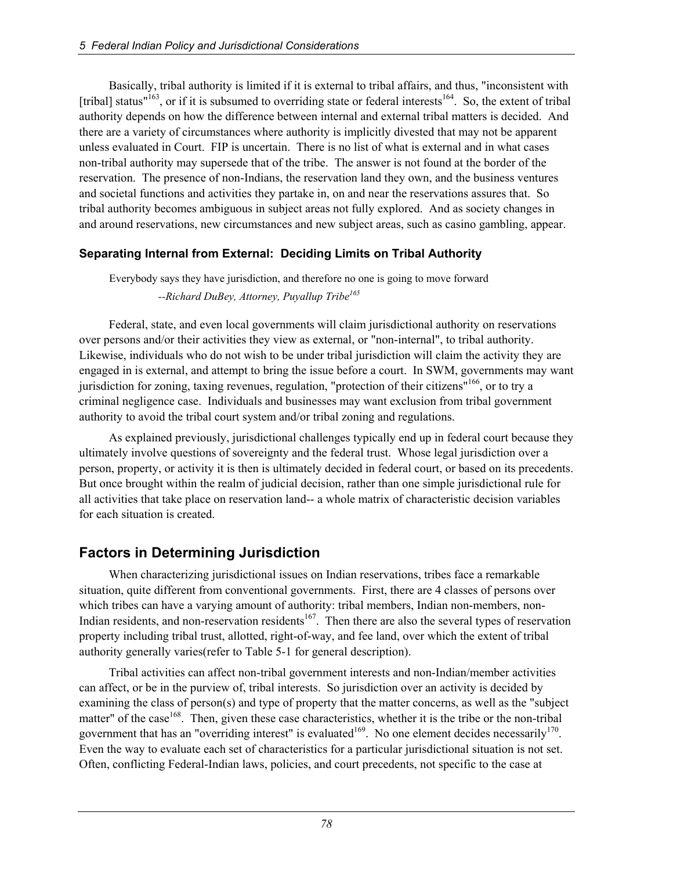Basically, tribal authority is limited if it is external to tribal affairs, and thus, "inconsistent with [tribal] status"<sup>163</sup>, or if it is subsumed to overriding state or federal interests<sup>164</sup>. So, the extent of tribal authority depends on how the difference between internal and external tribal matters is decided. And there are a variety of circumstances where authority is implicitly divested that may not be apparent unless evaluated in Court. FIP is uncertain. There is no list of what is external and in what cases non-tribal authority may supersede that of the tribe. The answer is not found at the border of the reservation. The presence of non-Indians, the reservation land they own, and the business ventures and societal functions and activities they partake in, on and near the reservations assures that. So tribal authority becomes ambiguous in subject areas not fully explored. And as society changes in and around reservations, new circumstances and new subject areas, such as casino gambling, appear.

#### **Separating Internal from External: Deciding Limits on Tribal Authority**

Everybody says they have jurisdiction, and therefore no one is going to move forward  *--Richard DuBey, Attorney, Puyallup Tribe165*

Federal, state, and even local governments will claim jurisdictional authority on reservations over persons and/or their activities they view as external, or "non-internal", to tribal authority. Likewise, individuals who do not wish to be under tribal jurisdiction will claim the activity they are engaged in is external, and attempt to bring the issue before a court. In SWM, governments may want jurisdiction for zoning, taxing revenues, regulation, "protection of their citizens"<sup>166</sup>, or to try a criminal negligence case. Individuals and businesses may want exclusion from tribal government authority to avoid the tribal court system and/or tribal zoning and regulations.

As explained previously, jurisdictional challenges typically end up in federal court because they ultimately involve questions of sovereignty and the federal trust. Whose legal jurisdiction over a person, property, or activity it is then is ultimately decided in federal court, or based on its precedents. But once brought within the realm of judicial decision, rather than one simple jurisdictional rule for all activities that take place on reservation land-- a whole matrix of characteristic decision variables for each situation is created.

# **Factors in Determining Jurisdiction**

When characterizing jurisdictional issues on Indian reservations, tribes face a remarkable situation, quite different from conventional governments. First, there are 4 classes of persons over which tribes can have a varying amount of authority: tribal members, Indian non-members, non-Indian residents, and non-reservation residents<sup>167</sup>. Then there are also the several types of reservation property including tribal trust, allotted, right-of-way, and fee land, over which the extent of tribal authority generally varies(refer to Table 5-1 for general description).

Tribal activities can affect non-tribal government interests and non-Indian/member activities can affect, or be in the purview of, tribal interests. So jurisdiction over an activity is decided by examining the class of person(s) and type of property that the matter concerns, as well as the "subject matter" of the case<sup>168</sup>. Then, given these case characteristics, whether it is the tribe or the non-tribal government that has an "overriding interest" is evaluated<sup>169</sup>. No one element decides necessarily<sup>170</sup>. Even the way to evaluate each set of characteristics for a particular jurisdictional situation is not set. Often, conflicting Federal-Indian laws, policies, and court precedents, not specific to the case at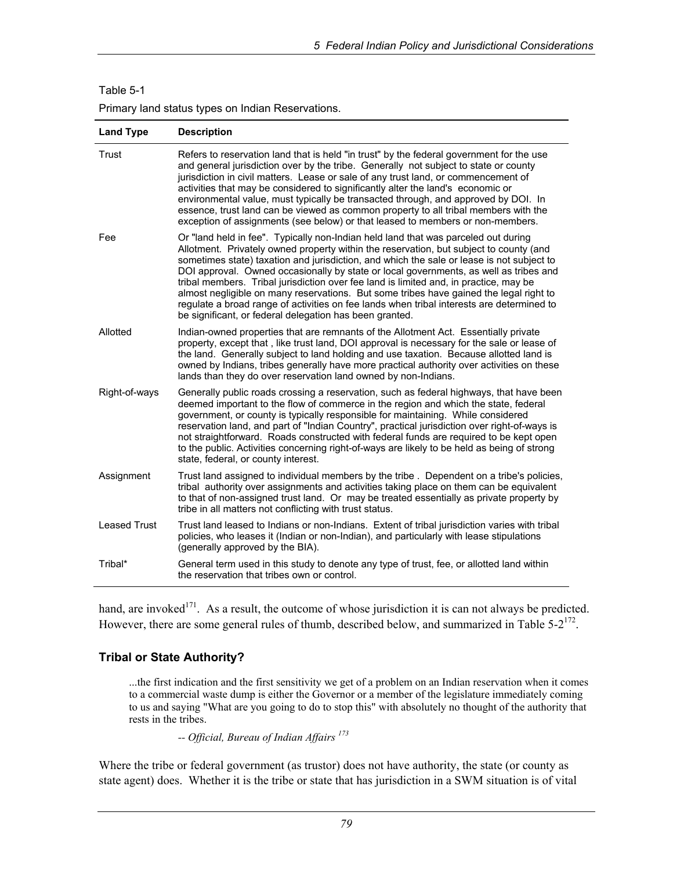#### Table 5-1

Primary land status types on Indian Reservations.

| <b>Land Type</b>    | <b>Description</b>                                                                                                                                                                                                                                                                                                                                                                                                                                                                                                                                                                                                                                                                                            |
|---------------------|---------------------------------------------------------------------------------------------------------------------------------------------------------------------------------------------------------------------------------------------------------------------------------------------------------------------------------------------------------------------------------------------------------------------------------------------------------------------------------------------------------------------------------------------------------------------------------------------------------------------------------------------------------------------------------------------------------------|
| Trust               | Refers to reservation land that is held "in trust" by the federal government for the use<br>and general jurisdiction over by the tribe. Generally not subject to state or county<br>jurisdiction in civil matters. Lease or sale of any trust land, or commencement of<br>activities that may be considered to significantly alter the land's economic or<br>environmental value, must typically be transacted through, and approved by DOI. In<br>essence, trust land can be viewed as common property to all tribal members with the<br>exception of assignments (see below) or that leased to members or non-members.                                                                                      |
| Fee                 | Or "land held in fee". Typically non-Indian held land that was parceled out during<br>Allotment. Privately owned property within the reservation, but subject to county (and<br>sometimes state) taxation and jurisdiction, and which the sale or lease is not subject to<br>DOI approval. Owned occasionally by state or local governments, as well as tribes and<br>tribal members. Tribal jurisdiction over fee land is limited and, in practice, may be<br>almost negligible on many reservations. But some tribes have gained the legal right to<br>regulate a broad range of activities on fee lands when tribal interests are determined to<br>be significant, or federal delegation has been granted. |
| Allotted            | Indian-owned properties that are remnants of the Allotment Act. Essentially private<br>property, except that, like trust land, DOI approval is necessary for the sale or lease of<br>the land. Generally subject to land holding and use taxation. Because allotted land is<br>owned by Indians, tribes generally have more practical authority over activities on these<br>lands than they do over reservation land owned by non-Indians.                                                                                                                                                                                                                                                                    |
| Right-of-ways       | Generally public roads crossing a reservation, such as federal highways, that have been<br>deemed important to the flow of commerce in the region and which the state, federal<br>government, or county is typically responsible for maintaining. While considered<br>reservation land, and part of "Indian Country", practical jurisdiction over right-of-ways is<br>not straightforward. Roads constructed with federal funds are required to be kept open<br>to the public. Activities concerning right-of-ways are likely to be held as being of strong<br>state, federal, or county interest.                                                                                                            |
| Assignment          | Trust land assigned to individual members by the tribe. Dependent on a tribe's policies,<br>tribal authority over assignments and activities taking place on them can be equivalent<br>to that of non-assigned trust land. Or may be treated essentially as private property by<br>tribe in all matters not conflicting with trust status.                                                                                                                                                                                                                                                                                                                                                                    |
| <b>Leased Trust</b> | Trust land leased to Indians or non-Indians. Extent of tribal jurisdiction varies with tribal<br>policies, who leases it (Indian or non-Indian), and particularly with lease stipulations<br>(generally approved by the BIA).                                                                                                                                                                                                                                                                                                                                                                                                                                                                                 |
| Tribal*             | General term used in this study to denote any type of trust, fee, or allotted land within<br>the reservation that tribes own or control.                                                                                                                                                                                                                                                                                                                                                                                                                                                                                                                                                                      |

hand, are invoked<sup>171</sup>. As a result, the outcome of whose jurisdiction it is can not always be predicted. However, there are some general rules of thumb, described below, and summarized in Table 5-2<sup>172</sup>.

#### **Tribal or State Authority?**

...the first indication and the first sensitivity we get of a problem on an Indian reservation when it comes to a commercial waste dump is either the Governor or a member of the legislature immediately coming to us and saying "What are you going to do to stop this" with absolutely no thought of the authority that rests in the tribes.

 *-- Official, Bureau of Indian Affairs 173*

Where the tribe or federal government (as trustor) does not have authority, the state (or county as state agent) does. Whether it is the tribe or state that has jurisdiction in a SWM situation is of vital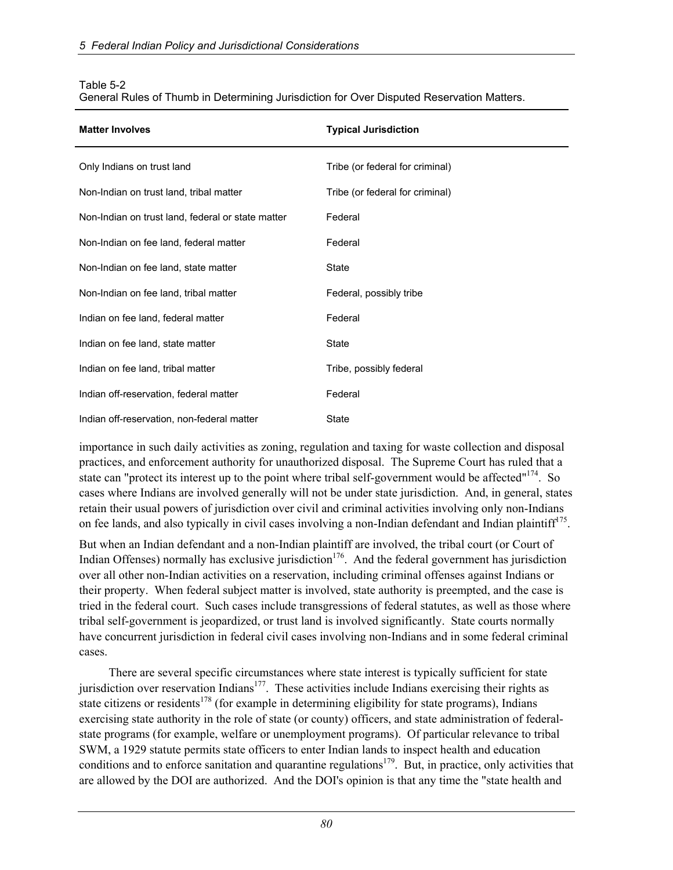| <b>Matter Involves</b>                            | <b>Typical Jurisdiction</b>     |
|---------------------------------------------------|---------------------------------|
| Only Indians on trust land                        | Tribe (or federal for criminal) |
| Non-Indian on trust land, tribal matter           | Tribe (or federal for criminal) |
| Non-Indian on trust land, federal or state matter | Federal                         |
| Non-Indian on fee land, federal matter            | Federal                         |
| Non-Indian on fee land, state matter              | State                           |
| Non-Indian on fee land, tribal matter             | Federal, possibly tribe         |
| Indian on fee land, federal matter                | Federal                         |
| Indian on fee land, state matter                  | State                           |
| Indian on fee land, tribal matter                 | Tribe, possibly federal         |
| Indian off-reservation, federal matter            | Federal                         |
| Indian off-reservation, non-federal matter        | State                           |

#### Table 5-2

General Rules of Thumb in Determining Jurisdiction for Over Disputed Reservation Matters.

importance in such daily activities as zoning, regulation and taxing for waste collection and disposal practices, and enforcement authority for unauthorized disposal. The Supreme Court has ruled that a state can "protect its interest up to the point where tribal self-government would be affected"<sup>174</sup>. So cases where Indians are involved generally will not be under state jurisdiction. And, in general, states retain their usual powers of jurisdiction over civil and criminal activities involving only non-Indians on fee lands, and also typically in civil cases involving a non-Indian defendant and Indian plaintiff<sup>175</sup>.

But when an Indian defendant and a non-Indian plaintiff are involved, the tribal court (or Court of Indian Offenses) normally has exclusive jurisdiction<sup>176</sup>. And the federal government has jurisdiction over all other non-Indian activities on a reservation, including criminal offenses against Indians or their property. When federal subject matter is involved, state authority is preempted, and the case is tried in the federal court. Such cases include transgressions of federal statutes, as well as those where tribal self-government is jeopardized, or trust land is involved significantly. State courts normally have concurrent jurisdiction in federal civil cases involving non-Indians and in some federal criminal cases.

There are several specific circumstances where state interest is typically sufficient for state jurisdiction over reservation Indians<sup>177</sup>. These activities include Indians exercising their rights as state citizens or residents<sup>178</sup> (for example in determining eligibility for state programs), Indians exercising state authority in the role of state (or county) officers, and state administration of federalstate programs (for example, welfare or unemployment programs). Of particular relevance to tribal SWM, a 1929 statute permits state officers to enter Indian lands to inspect health and education conditions and to enforce sanitation and quarantine regulations<sup>179</sup>. But, in practice, only activities that are allowed by the DOI are authorized. And the DOI's opinion is that any time the "state health and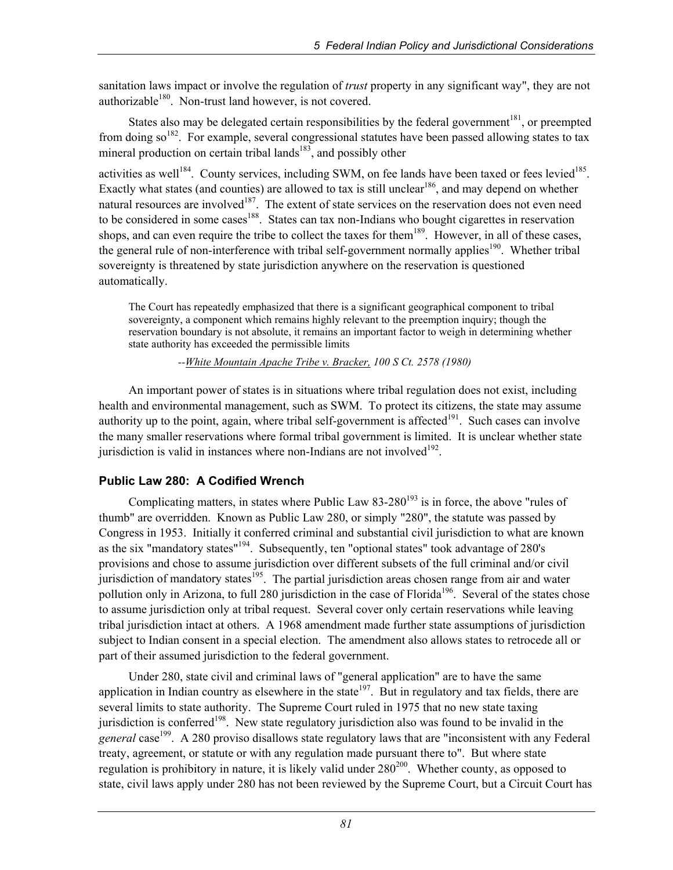sanitation laws impact or involve the regulation of *trust* property in any significant way", they are not authorizable $180$ . Non-trust land however, is not covered.

States also may be delegated certain responsibilities by the federal government $181$ , or preempted from doing so<sup>182</sup>. For example, several congressional statutes have been passed allowing states to tax mineral production on certain tribal lands<sup>183</sup>, and possibly other

activities as well<sup>184</sup>. County services, including SWM, on fee lands have been taxed or fees levied<sup>185</sup>. Exactly what states (and counties) are allowed to tax is still unclear<sup>186</sup>, and may depend on whether natural resources are involved<sup>187</sup>. The extent of state services on the reservation does not even need to be considered in some cases<sup>188</sup>. States can tax non-Indians who bought cigarettes in reservation shops, and can even require the tribe to collect the taxes for them<sup>189</sup>. However, in all of these cases, the general rule of non-interference with tribal self-government normally applies<sup>190</sup>. Whether tribal sovereignty is threatened by state jurisdiction anywhere on the reservation is questioned automatically.

The Court has repeatedly emphasized that there is a significant geographical component to tribal sovereignty, a component which remains highly relevant to the preemption inquiry; though the reservation boundary is not absolute, it remains an important factor to weigh in determining whether state authority has exceeded the permissible limits

 *--White Mountain Apache Tribe v. Bracker, 100 S Ct. 2578 (1980)* 

An important power of states is in situations where tribal regulation does not exist, including health and environmental management, such as SWM. To protect its citizens, the state may assume authority up to the point, again, where tribal self-government is affected<sup>191</sup>. Such cases can involve the many smaller reservations where formal tribal government is limited. It is unclear whether state jurisdiction is valid in instances where non-Indians are not involved $192$ .

## **Public Law 280: A Codified Wrench**

Complicating matters, in states where Public Law  $83-280^{193}$  is in force, the above "rules of thumb" are overridden. Known as Public Law 280, or simply "280", the statute was passed by Congress in 1953. Initially it conferred criminal and substantial civil jurisdiction to what are known as the six "mandatory states"<sup>194</sup>. Subsequently, ten "optional states" took advantage of 280's provisions and chose to assume jurisdiction over different subsets of the full criminal and/or civil jurisdiction of mandatory states<sup>195</sup>. The partial jurisdiction areas chosen range from air and water pollution only in Arizona, to full 280 jurisdiction in the case of Florida<sup>196</sup>. Several of the states chose to assume jurisdiction only at tribal request. Several cover only certain reservations while leaving tribal jurisdiction intact at others. A 1968 amendment made further state assumptions of jurisdiction subject to Indian consent in a special election. The amendment also allows states to retrocede all or part of their assumed jurisdiction to the federal government.

Under 280, state civil and criminal laws of "general application" are to have the same application in Indian country as elsewhere in the state<sup>197</sup>. But in regulatory and tax fields, there are several limits to state authority. The Supreme Court ruled in 1975 that no new state taxing jurisdiction is conferred<sup>198</sup>. New state regulatory jurisdiction also was found to be invalid in the *general* case<sup>199</sup>. A 280 proviso disallows state regulatory laws that are "inconsistent with any Federal treaty, agreement, or statute or with any regulation made pursuant there to". But where state regulation is prohibitory in nature, it is likely valid under  $280^{200}$ . Whether county, as opposed to state, civil laws apply under 280 has not been reviewed by the Supreme Court, but a Circuit Court has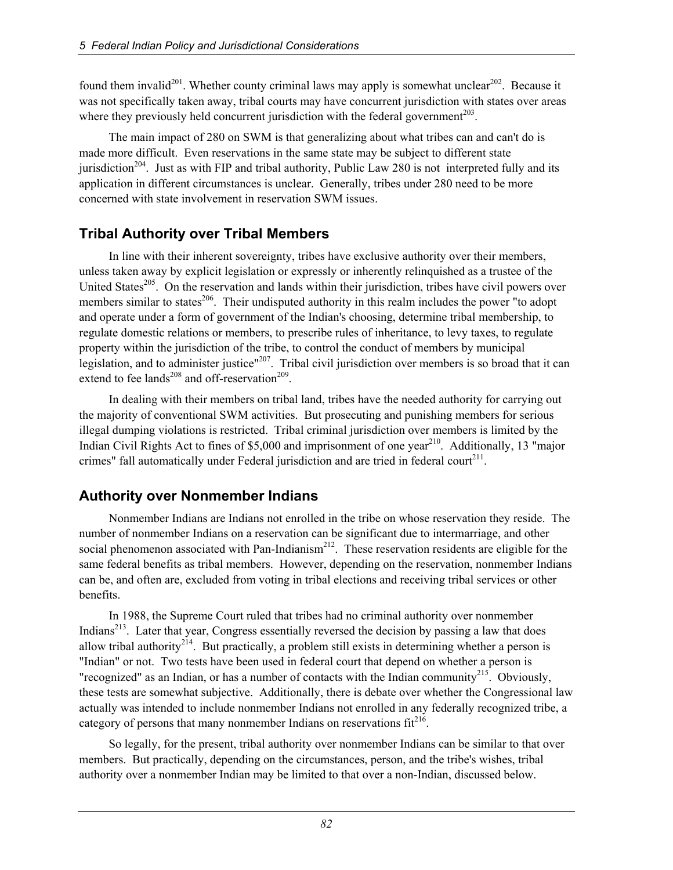found them invalid<sup>201</sup>. Whether county criminal laws may apply is somewhat unclear<sup>202</sup>. Because it was not specifically taken away, tribal courts may have concurrent jurisdiction with states over areas where they previously held concurrent jurisdiction with the federal government<sup> $203$ </sup>.

The main impact of 280 on SWM is that generalizing about what tribes can and can't do is made more difficult. Even reservations in the same state may be subject to different state jurisdiction<sup>204</sup>. Just as with FIP and tribal authority, Public Law 280 is not interpreted fully and its application in different circumstances is unclear. Generally, tribes under 280 need to be more concerned with state involvement in reservation SWM issues.

## **Tribal Authority over Tribal Members**

In line with their inherent sovereignty, tribes have exclusive authority over their members, unless taken away by explicit legislation or expressly or inherently relinquished as a trustee of the United States<sup>205</sup>. On the reservation and lands within their jurisdiction, tribes have civil powers over members similar to states<sup>206</sup>. Their undisputed authority in this realm includes the power "to adopt and operate under a form of government of the Indian's choosing, determine tribal membership, to regulate domestic relations or members, to prescribe rules of inheritance, to levy taxes, to regulate property within the jurisdiction of the tribe, to control the conduct of members by municipal legislation, and to administer justice"<sup>207</sup>. Tribal civil jurisdiction over members is so broad that it can extend to fee lands<sup>208</sup> and off-reservation<sup>209</sup>.

In dealing with their members on tribal land, tribes have the needed authority for carrying out the majority of conventional SWM activities. But prosecuting and punishing members for serious illegal dumping violations is restricted. Tribal criminal jurisdiction over members is limited by the Indian Civil Rights Act to fines of  $$5,000$  and imprisonment of one year<sup>210</sup>. Additionally, 13 "major crimes" fall automatically under Federal jurisdiction and are tried in federal court $2^{11}$ .

# **Authority over Nonmember Indians**

Nonmember Indians are Indians not enrolled in the tribe on whose reservation they reside. The number of nonmember Indians on a reservation can be significant due to intermarriage, and other social phenomenon associated with Pan-Indianism<sup>212</sup>. These reservation residents are eligible for the same federal benefits as tribal members. However, depending on the reservation, nonmember Indians can be, and often are, excluded from voting in tribal elections and receiving tribal services or other benefits.

In 1988, the Supreme Court ruled that tribes had no criminal authority over nonmember Indians<sup>213</sup>. Later that year, Congress essentially reversed the decision by passing a law that does allow tribal authority<sup>214</sup>. But practically, a problem still exists in determining whether a person is "Indian" or not. Two tests have been used in federal court that depend on whether a person is "recognized" as an Indian, or has a number of contacts with the Indian community<sup>215</sup>. Obviously, these tests are somewhat subjective. Additionally, there is debate over whether the Congressional law actually was intended to include nonmember Indians not enrolled in any federally recognized tribe, a category of persons that many nonmember Indians on reservations  $fit^{216}$ .

So legally, for the present, tribal authority over nonmember Indians can be similar to that over members. But practically, depending on the circumstances, person, and the tribe's wishes, tribal authority over a nonmember Indian may be limited to that over a non-Indian, discussed below.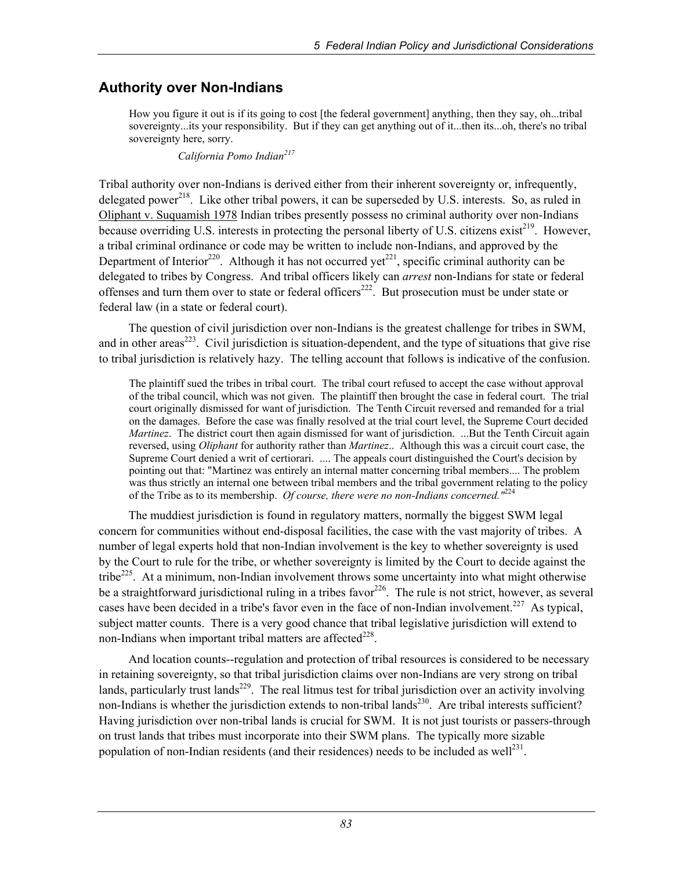## **Authority over Non-Indians**

How you figure it out is if its going to cost [the federal government] anything, then they say, oh...tribal sovereignty...its your responsibility. But if they can get anything out of it...then its...oh, there's no tribal sovereignty here, sorry.

 *California Pomo Indian217* 

Tribal authority over non-Indians is derived either from their inherent sovereignty or, infrequently, delegated power<sup>218</sup>. Like other tribal powers, it can be superseded by U.S. interests. So, as ruled in Oliphant v. Suquamish 1978 Indian tribes presently possess no criminal authority over non-Indians because overriding U.S. interests in protecting the personal liberty of U.S. citizens exist<sup>219</sup>. However, a tribal criminal ordinance or code may be written to include non-Indians, and approved by the Department of Interior<sup>220</sup>. Although it has not occurred yet<sup>221</sup>, specific criminal authority can be delegated to tribes by Congress. And tribal officers likely can *arrest* non-Indians for state or federal offenses and turn them over to state or federal officers<sup>222</sup>. But prosecution must be under state or federal law (in a state or federal court).

The question of civil jurisdiction over non-Indians is the greatest challenge for tribes in SWM, and in other areas<sup>223</sup>. Civil jurisdiction is situation-dependent, and the type of situations that give rise to tribal jurisdiction is relatively hazy. The telling account that follows is indicative of the confusion.

The plaintiff sued the tribes in tribal court. The tribal court refused to accept the case without approval of the tribal council, which was not given. The plaintiff then brought the case in federal court. The trial court originally dismissed for want of jurisdiction. The Tenth Circuit reversed and remanded for a trial on the damages. Before the case was finally resolved at the trial court level, the Supreme Court decided *Martinez*. The district court then again dismissed for want of jurisdiction. ...But the Tenth Circuit again reversed, using *Oliphant* for authority rather than *Martinez*.. Although this was a circuit court case, the Supreme Court denied a writ of certiorari. .... The appeals court distinguished the Court's decision by pointing out that: "Martinez was entirely an internal matter concerning tribal members.... The problem was thus strictly an internal one between tribal members and the tribal government relating to the policy of the Tribe as to its membership. *Of course, there were no non-Indians concerned."*<sup>224</sup>

The muddiest jurisdiction is found in regulatory matters, normally the biggest SWM legal concern for communities without end-disposal facilities, the case with the vast majority of tribes. A number of legal experts hold that non-Indian involvement is the key to whether sovereignty is used by the Court to rule for the tribe, or whether sovereignty is limited by the Court to decide against the tribe<sup>225</sup>. At a minimum, non-Indian involvement throws some uncertainty into what might otherwise be a straightforward jurisdictional ruling in a tribes favor<sup>226</sup>. The rule is not strict, however, as several cases have been decided in a tribe's favor even in the face of non-Indian involvement.<sup>227</sup> As typical, subject matter counts. There is a very good chance that tribal legislative jurisdiction will extend to non-Indians when important tribal matters are affected $^{228}$ .

And location counts--regulation and protection of tribal resources is considered to be necessary in retaining sovereignty, so that tribal jurisdiction claims over non-Indians are very strong on tribal lands, particularly trust lands<sup>229</sup>. The real litmus test for tribal jurisdiction over an activity involving non-Indians is whether the jurisdiction extends to non-tribal lands<sup>230</sup>. Are tribal interests sufficient? Having jurisdiction over non-tribal lands is crucial for SWM. It is not just tourists or passers-through on trust lands that tribes must incorporate into their SWM plans. The typically more sizable population of non-Indian residents (and their residences) needs to be included as well<sup>231</sup>.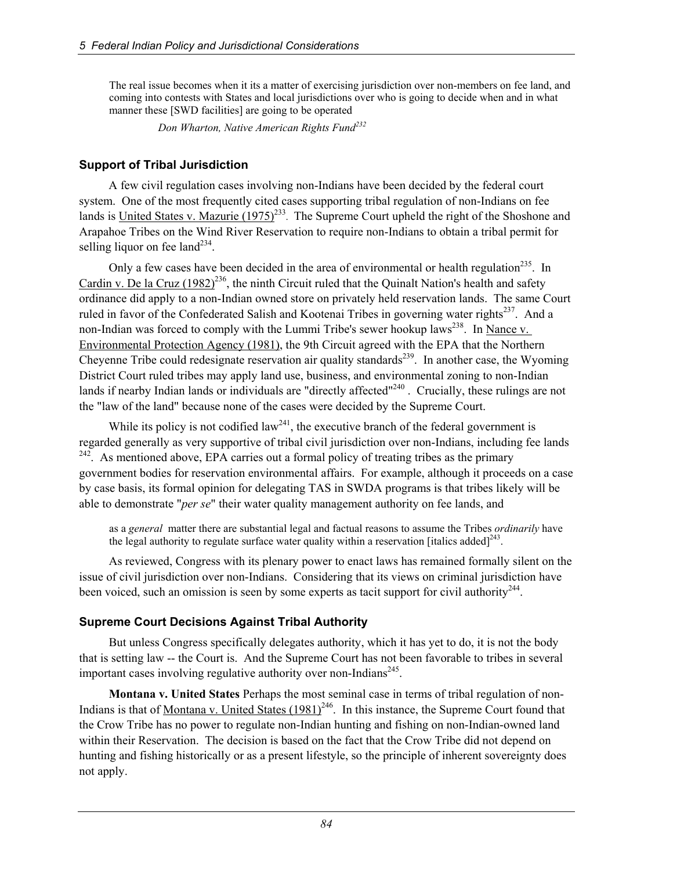The real issue becomes when it its a matter of exercising jurisdiction over non-members on fee land, and coming into contests with States and local jurisdictions over who is going to decide when and in what manner these [SWD facilities] are going to be operated

 *Don Wharton, Native American Rights Fund<sup>232</sup>*

#### **Support of Tribal Jurisdiction**

A few civil regulation cases involving non-Indians have been decided by the federal court system. One of the most frequently cited cases supporting tribal regulation of non-Indians on fee lands is United States v. Mazurie  $(1975)^{233}$ . The Supreme Court upheld the right of the Shoshone and Arapahoe Tribes on the Wind River Reservation to require non-Indians to obtain a tribal permit for selling liquor on fee land<sup> $234$ </sup>.

Only a few cases have been decided in the area of environmental or health regulation<sup>235</sup>. In Cardin v. De la Cruz  $(1982)^{236}$ , the ninth Circuit ruled that the Quinalt Nation's health and safety ordinance did apply to a non-Indian owned store on privately held reservation lands. The same Court ruled in favor of the Confederated Salish and Kootenai Tribes in governing water rights<sup>237</sup>. And a non-Indian was forced to comply with the Lummi Tribe's sewer hookup laws<sup>238</sup>. In Nance v. Environmental Protection Agency (1981), the 9th Circuit agreed with the EPA that the Northern Cheyenne Tribe could redesignate reservation air quality standards<sup>239</sup>. In another case, the Wyoming District Court ruled tribes may apply land use, business, and environmental zoning to non-Indian lands if nearby Indian lands or individuals are "directly affected"<sup>240</sup>. Crucially, these rulings are not the "law of the land" because none of the cases were decided by the Supreme Court.

While its policy is not codified law<sup>241</sup>, the executive branch of the federal government is regarded generally as very supportive of tribal civil jurisdiction over non-Indians, including fee lands  $242$ . As mentioned above, EPA carries out a formal policy of treating tribes as the primary government bodies for reservation environmental affairs. For example, although it proceeds on a case by case basis, its formal opinion for delegating TAS in SWDA programs is that tribes likely will be able to demonstrate "*per se*" their water quality management authority on fee lands, and

as a *general* matter there are substantial legal and factual reasons to assume the Tribes *ordinarily* have the legal authority to regulate surface water quality within a reservation [italics added] $^{243}$ .

As reviewed, Congress with its plenary power to enact laws has remained formally silent on the issue of civil jurisdiction over non-Indians. Considering that its views on criminal jurisdiction have been voiced, such an omission is seen by some experts as tacit support for civil authority<sup>244</sup>.

## **Supreme Court Decisions Against Tribal Authority**

But unless Congress specifically delegates authority, which it has yet to do, it is not the body that is setting law -- the Court is. And the Supreme Court has not been favorable to tribes in several important cases involving regulative authority over non-Indians<sup>245</sup>.

**Montana v. United States** Perhaps the most seminal case in terms of tribal regulation of non-Indians is that of Montana v. United States  $(1981)^{246}$ . In this instance, the Supreme Court found that the Crow Tribe has no power to regulate non-Indian hunting and fishing on non-Indian-owned land within their Reservation. The decision is based on the fact that the Crow Tribe did not depend on hunting and fishing historically or as a present lifestyle, so the principle of inherent sovereignty does not apply.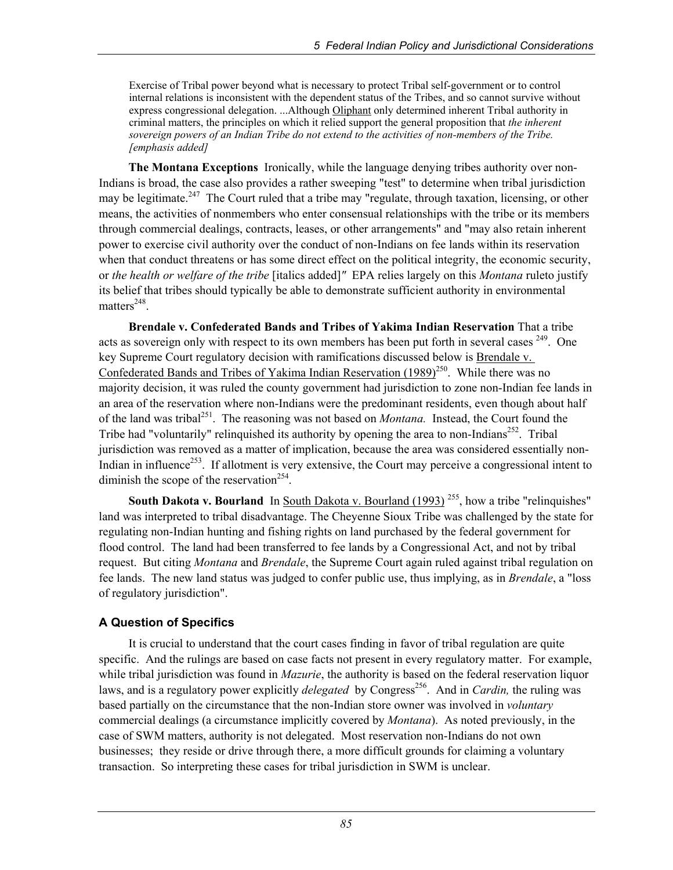Exercise of Tribal power beyond what is necessary to protect Tribal self-government or to control internal relations is inconsistent with the dependent status of the Tribes, and so cannot survive without express congressional delegation. ...Although Oliphant only determined inherent Tribal authority in criminal matters, the principles on which it relied support the general proposition that *the inherent sovereign powers of an Indian Tribe do not extend to the activities of non-members of the Tribe. [emphasis added]*

**The Montana Exceptions** Ironically, while the language denying tribes authority over non-Indians is broad, the case also provides a rather sweeping "test" to determine when tribal jurisdiction may be legitimate.<sup>247</sup> The Court ruled that a tribe may "regulate, through taxation, licensing, or other means, the activities of nonmembers who enter consensual relationships with the tribe or its members through commercial dealings, contracts, leases, or other arrangements" and "may also retain inherent power to exercise civil authority over the conduct of non-Indians on fee lands within its reservation when that conduct threatens or has some direct effect on the political integrity, the economic security, or *the health or welfare of the tribe* [italics added]*"* EPA relies largely on this *Montana* ruleto justify its belief that tribes should typically be able to demonstrate sufficient authority in environmental matters $248$ .

**Brendale v. Confederated Bands and Tribes of Yakima Indian Reservation** That a tribe acts as sovereign only with respect to its own members has been put forth in several cases <sup>249</sup>. One key Supreme Court regulatory decision with ramifications discussed below is Brendale v. Confederated Bands and Tribes of Yakima Indian Reservation  $(1989)^{250}$ . While there was no majority decision, it was ruled the county government had jurisdiction to zone non-Indian fee lands in an area of the reservation where non-Indians were the predominant residents, even though about half of the land was tribal<sup>251</sup>. The reasoning was not based on *Montana*. Instead, the Court found the Tribe had "voluntarily" relinquished its authority by opening the area to non-Indians<sup>252</sup>. Tribal jurisdiction was removed as a matter of implication, because the area was considered essentially non-Indian in influence<sup>253</sup>. If allotment is very extensive, the Court may perceive a congressional intent to diminish the scope of the reservation<sup>254</sup>.

**South Dakota v. Bourland** In South Dakota v. Bourland (1993)<sup>255</sup>, how a tribe "relinquishes" land was interpreted to tribal disadvantage. The Cheyenne Sioux Tribe was challenged by the state for regulating non-Indian hunting and fishing rights on land purchased by the federal government for flood control. The land had been transferred to fee lands by a Congressional Act, and not by tribal request. But citing *Montana* and *Brendale*, the Supreme Court again ruled against tribal regulation on fee lands. The new land status was judged to confer public use, thus implying, as in *Brendale*, a "loss of regulatory jurisdiction".

#### **A Question of Specifics**

It is crucial to understand that the court cases finding in favor of tribal regulation are quite specific. And the rulings are based on case facts not present in every regulatory matter. For example, while tribal jurisdiction was found in *Mazurie*, the authority is based on the federal reservation liquor laws, and is a regulatory power explicitly *delegated* by Congress<sup>256</sup>. And in *Cardin*, the ruling was based partially on the circumstance that the non-Indian store owner was involved in *voluntary*  commercial dealings (a circumstance implicitly covered by *Montana*). As noted previously, in the case of SWM matters, authority is not delegated. Most reservation non-Indians do not own businesses; they reside or drive through there, a more difficult grounds for claiming a voluntary transaction. So interpreting these cases for tribal jurisdiction in SWM is unclear.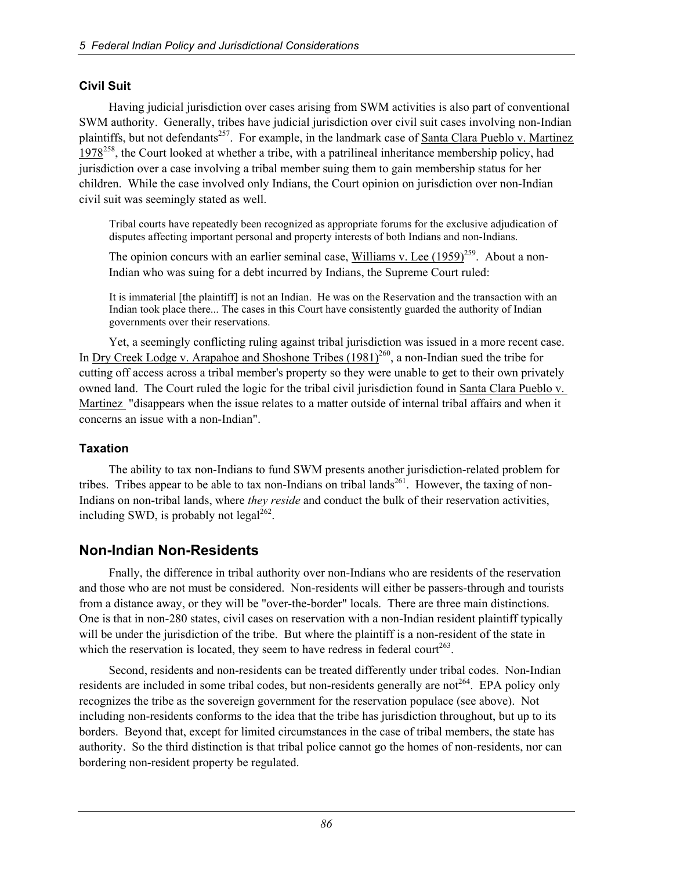#### **Civil Suit**

Having judicial jurisdiction over cases arising from SWM activities is also part of conventional SWM authority. Generally, tribes have judicial jurisdiction over civil suit cases involving non-Indian plaintiffs, but not defendants<sup>257</sup>. For example, in the landmark case of Santa Clara Pueblo v. Martinez 1978<sup>258</sup>, the Court looked at whether a tribe, with a patrilineal inheritance membership policy, had jurisdiction over a case involving a tribal member suing them to gain membership status for her children. While the case involved only Indians, the Court opinion on jurisdiction over non-Indian civil suit was seemingly stated as well.

Tribal courts have repeatedly been recognized as appropriate forums for the exclusive adjudication of disputes affecting important personal and property interests of both Indians and non-Indians.

The opinion concurs with an earlier seminal case, Williams v. Lee  $(1959)^{259}$ . About a non-Indian who was suing for a debt incurred by Indians, the Supreme Court ruled:

It is immaterial [the plaintiff] is not an Indian. He was on the Reservation and the transaction with an Indian took place there... The cases in this Court have consistently guarded the authority of Indian governments over their reservations.

Yet, a seemingly conflicting ruling against tribal jurisdiction was issued in a more recent case. In Dry Creek Lodge v. Arapahoe and Shoshone Tribes  $(1981)^{260}$ , a non-Indian sued the tribe for cutting off access across a tribal member's property so they were unable to get to their own privately owned land. The Court ruled the logic for the tribal civil jurisdiction found in Santa Clara Pueblo v. Martinez "disappears when the issue relates to a matter outside of internal tribal affairs and when it concerns an issue with a non-Indian".

#### **Taxation**

The ability to tax non-Indians to fund SWM presents another jurisdiction-related problem for tribes. Tribes appear to be able to tax non-Indians on tribal lands<sup>261</sup>. However, the taxing of non-Indians on non-tribal lands, where *they reside* and conduct the bulk of their reservation activities, including SWD, is probably not legal<sup>262</sup>.

## **Non-Indian Non-Residents**

Fnally, the difference in tribal authority over non-Indians who are residents of the reservation and those who are not must be considered. Non-residents will either be passers-through and tourists from a distance away, or they will be "over-the-border" locals. There are three main distinctions. One is that in non-280 states, civil cases on reservation with a non-Indian resident plaintiff typically will be under the jurisdiction of the tribe. But where the plaintiff is a non-resident of the state in which the reservation is located, they seem to have redress in federal court<sup>263</sup>.

Second, residents and non-residents can be treated differently under tribal codes. Non-Indian residents are included in some tribal codes, but non-residents generally are not<sup>264</sup>. EPA policy only recognizes the tribe as the sovereign government for the reservation populace (see above). Not including non-residents conforms to the idea that the tribe has jurisdiction throughout, but up to its borders. Beyond that, except for limited circumstances in the case of tribal members, the state has authority. So the third distinction is that tribal police cannot go the homes of non-residents, nor can bordering non-resident property be regulated.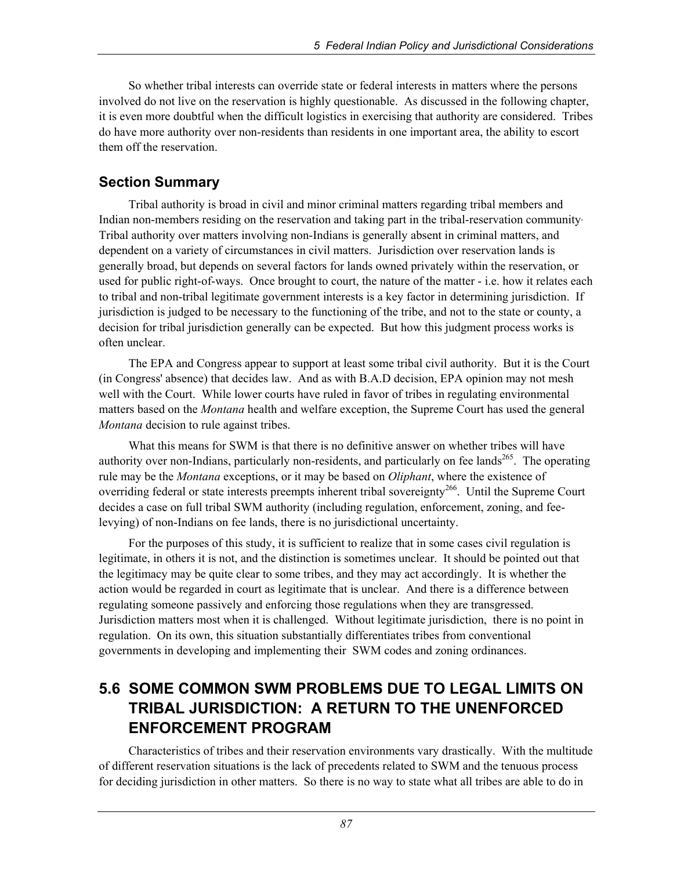So whether tribal interests can override state or federal interests in matters where the persons involved do not live on the reservation is highly questionable. As discussed in the following chapter, it is even more doubtful when the difficult logistics in exercising that authority are considered. Tribes do have more authority over non-residents than residents in one important area, the ability to escort them off the reservation.

## **Section Summary**

Tribal authority is broad in civil and minor criminal matters regarding tribal members and Indian non-members residing on the reservation and taking part in the tribal-reservation community. Tribal authority over matters involving non-Indians is generally absent in criminal matters, and dependent on a variety of circumstances in civil matters. Jurisdiction over reservation lands is generally broad, but depends on several factors for lands owned privately within the reservation, or used for public right-of-ways. Once brought to court, the nature of the matter - i.e. how it relates each to tribal and non-tribal legitimate government interests is a key factor in determining jurisdiction. If jurisdiction is judged to be necessary to the functioning of the tribe, and not to the state or county, a decision for tribal jurisdiction generally can be expected. But how this judgment process works is often unclear.

The EPA and Congress appear to support at least some tribal civil authority. But it is the Court (in Congress' absence) that decides law. And as with B.A.D decision, EPA opinion may not mesh well with the Court. While lower courts have ruled in favor of tribes in regulating environmental matters based on the *Montana* health and welfare exception, the Supreme Court has used the general *Montana* decision to rule against tribes.

What this means for SWM is that there is no definitive answer on whether tribes will have authority over non-Indians, particularly non-residents, and particularly on fee lands<sup>265</sup>. The operating rule may be the *Montana* exceptions, or it may be based on *Oliphant*, where the existence of overriding federal or state interests preempts inherent tribal sovereignty<sup>266</sup>. Until the Supreme Court decides a case on full tribal SWM authority (including regulation, enforcement, zoning, and feelevying) of non-Indians on fee lands, there is no jurisdictional uncertainty.

For the purposes of this study, it is sufficient to realize that in some cases civil regulation is legitimate, in others it is not, and the distinction is sometimes unclear. It should be pointed out that the legitimacy may be quite clear to some tribes, and they may act accordingly. It is whether the action would be regarded in court as legitimate that is unclear. And there is a difference between regulating someone passively and enforcing those regulations when they are transgressed. Jurisdiction matters most when it is challenged. Without legitimate jurisdiction, there is no point in regulation. On its own, this situation substantially differentiates tribes from conventional governments in developing and implementing their SWM codes and zoning ordinances.

# **5.6 SOME COMMON SWM PROBLEMS DUE TO LEGAL LIMITS ON TRIBAL JURISDICTION: A RETURN TO THE UNENFORCED ENFORCEMENT PROGRAM**

Characteristics of tribes and their reservation environments vary drastically. With the multitude of different reservation situations is the lack of precedents related to SWM and the tenuous process for deciding jurisdiction in other matters. So there is no way to state what all tribes are able to do in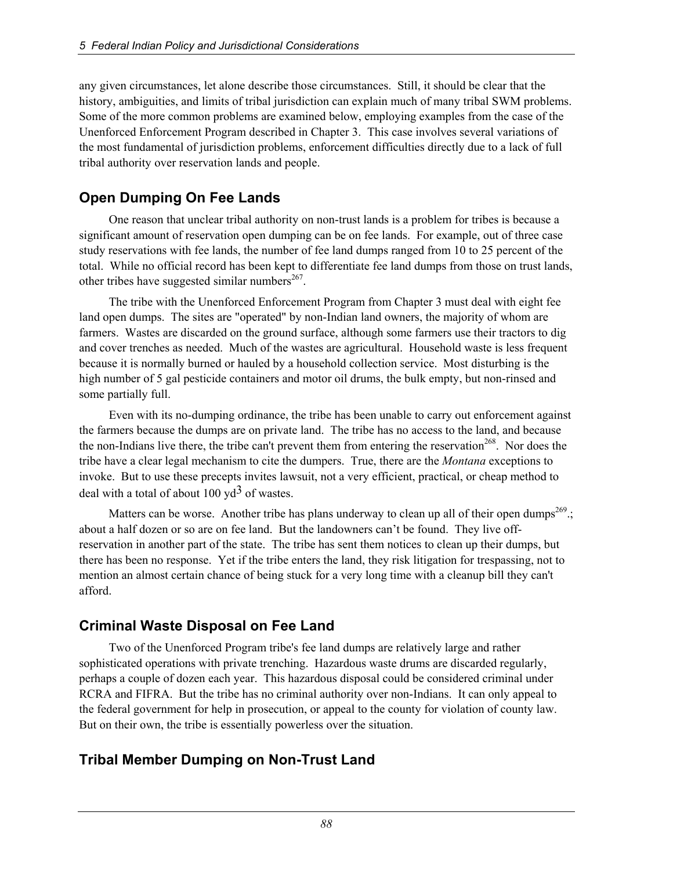any given circumstances, let alone describe those circumstances. Still, it should be clear that the history, ambiguities, and limits of tribal jurisdiction can explain much of many tribal SWM problems. Some of the more common problems are examined below, employing examples from the case of the Unenforced Enforcement Program described in Chapter 3. This case involves several variations of the most fundamental of jurisdiction problems, enforcement difficulties directly due to a lack of full tribal authority over reservation lands and people.

# **Open Dumping On Fee Lands**

One reason that unclear tribal authority on non-trust lands is a problem for tribes is because a significant amount of reservation open dumping can be on fee lands. For example, out of three case study reservations with fee lands, the number of fee land dumps ranged from 10 to 25 percent of the total. While no official record has been kept to differentiate fee land dumps from those on trust lands, other tribes have suggested similar numbers $^{267}$ .

The tribe with the Unenforced Enforcement Program from Chapter 3 must deal with eight fee land open dumps. The sites are "operated" by non-Indian land owners, the majority of whom are farmers. Wastes are discarded on the ground surface, although some farmers use their tractors to dig and cover trenches as needed. Much of the wastes are agricultural. Household waste is less frequent because it is normally burned or hauled by a household collection service. Most disturbing is the high number of 5 gal pesticide containers and motor oil drums, the bulk empty, but non-rinsed and some partially full.

Even with its no-dumping ordinance, the tribe has been unable to carry out enforcement against the farmers because the dumps are on private land. The tribe has no access to the land, and because the non-Indians live there, the tribe can't prevent them from entering the reservation<sup>268</sup>. Nor does the tribe have a clear legal mechanism to cite the dumpers. True, there are the *Montana* exceptions to invoke. But to use these precepts invites lawsuit, not a very efficient, practical, or cheap method to deal with a total of about  $100 \text{ yd}^3$  of wastes.

Matters can be worse. Another tribe has plans underway to clean up all of their open dumps<sup>269</sup>.; about a half dozen or so are on fee land. But the landowners can't be found. They live offreservation in another part of the state. The tribe has sent them notices to clean up their dumps, but there has been no response. Yet if the tribe enters the land, they risk litigation for trespassing, not to mention an almost certain chance of being stuck for a very long time with a cleanup bill they can't afford.

# **Criminal Waste Disposal on Fee Land**

Two of the Unenforced Program tribe's fee land dumps are relatively large and rather sophisticated operations with private trenching. Hazardous waste drums are discarded regularly, perhaps a couple of dozen each year. This hazardous disposal could be considered criminal under RCRA and FIFRA. But the tribe has no criminal authority over non-Indians. It can only appeal to the federal government for help in prosecution, or appeal to the county for violation of county law. But on their own, the tribe is essentially powerless over the situation.

# **Tribal Member Dumping on Non-Trust Land**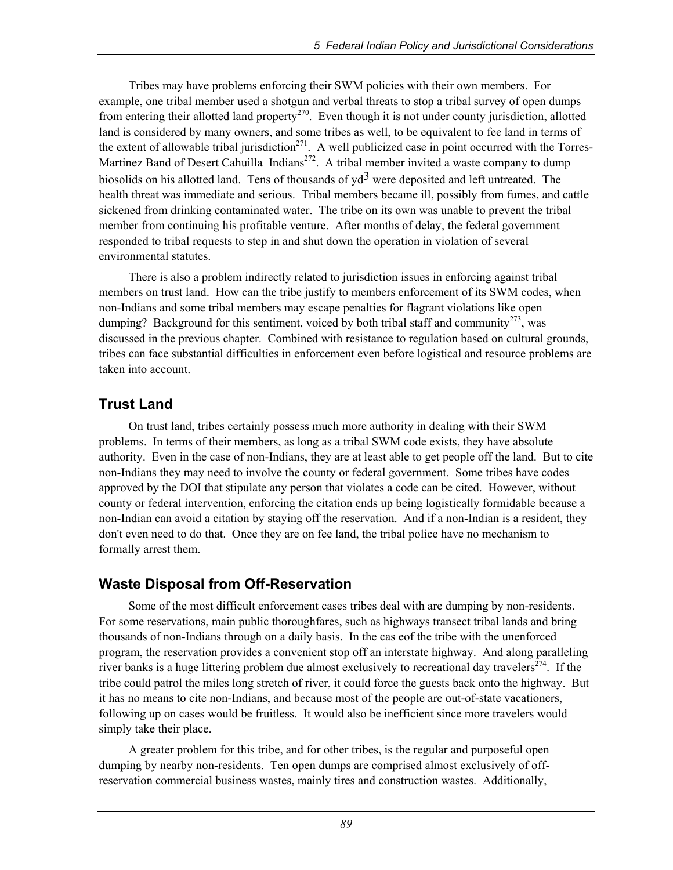Tribes may have problems enforcing their SWM policies with their own members. For example, one tribal member used a shotgun and verbal threats to stop a tribal survey of open dumps from entering their allotted land property<sup>270</sup>. Even though it is not under county jurisdiction, allotted land is considered by many owners, and some tribes as well, to be equivalent to fee land in terms of the extent of allowable tribal jurisdiction<sup>271</sup>. A well publicized case in point occurred with the Torres-Martinez Band of Desert Cahuilla Indians<sup>272</sup>. A tribal member invited a waste company to dump biosolids on his allotted land. Tens of thousands of  $yd^3$  were deposited and left untreated. The health threat was immediate and serious. Tribal members became ill, possibly from fumes, and cattle sickened from drinking contaminated water. The tribe on its own was unable to prevent the tribal member from continuing his profitable venture. After months of delay, the federal government responded to tribal requests to step in and shut down the operation in violation of several environmental statutes.

There is also a problem indirectly related to jurisdiction issues in enforcing against tribal members on trust land. How can the tribe justify to members enforcement of its SWM codes, when non-Indians and some tribal members may escape penalties for flagrant violations like open dumping? Background for this sentiment, voiced by both tribal staff and community<sup>273</sup>, was discussed in the previous chapter. Combined with resistance to regulation based on cultural grounds, tribes can face substantial difficulties in enforcement even before logistical and resource problems are taken into account.

# **Trust Land**

On trust land, tribes certainly possess much more authority in dealing with their SWM problems. In terms of their members, as long as a tribal SWM code exists, they have absolute authority. Even in the case of non-Indians, they are at least able to get people off the land. But to cite non-Indians they may need to involve the county or federal government. Some tribes have codes approved by the DOI that stipulate any person that violates a code can be cited. However, without county or federal intervention, enforcing the citation ends up being logistically formidable because a non-Indian can avoid a citation by staying off the reservation. And if a non-Indian is a resident, they don't even need to do that. Once they are on fee land, the tribal police have no mechanism to formally arrest them.

## **Waste Disposal from Off-Reservation**

Some of the most difficult enforcement cases tribes deal with are dumping by non-residents. For some reservations, main public thoroughfares, such as highways transect tribal lands and bring thousands of non-Indians through on a daily basis. In the cas eof the tribe with the unenforced program, the reservation provides a convenient stop off an interstate highway. And along paralleling river banks is a huge littering problem due almost exclusively to recreational day travelers<sup>274</sup>. If the tribe could patrol the miles long stretch of river, it could force the guests back onto the highway. But it has no means to cite non-Indians, and because most of the people are out-of-state vacationers, following up on cases would be fruitless. It would also be inefficient since more travelers would simply take their place.

A greater problem for this tribe, and for other tribes, is the regular and purposeful open dumping by nearby non-residents. Ten open dumps are comprised almost exclusively of offreservation commercial business wastes, mainly tires and construction wastes. Additionally,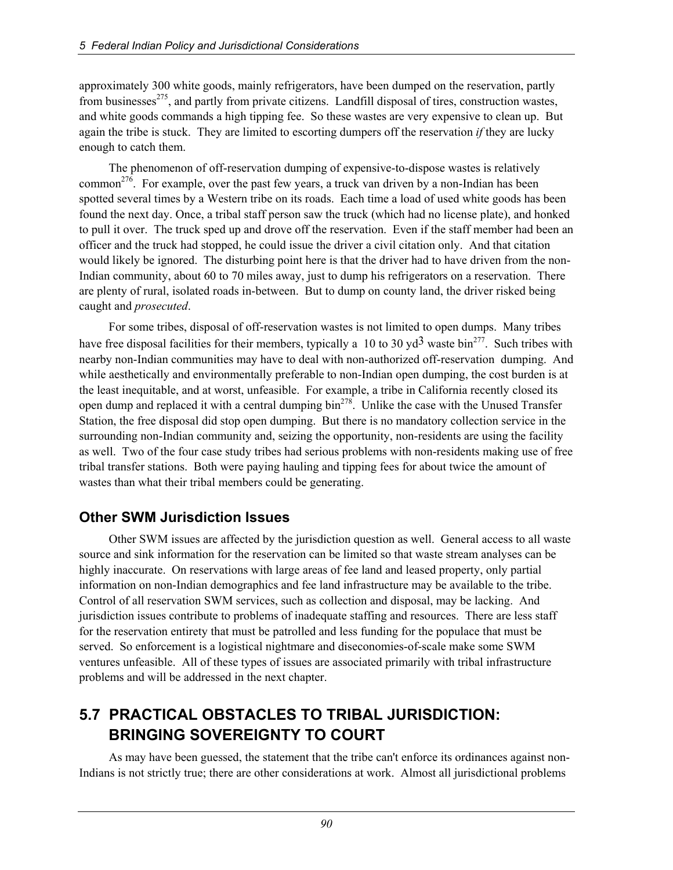approximately 300 white goods, mainly refrigerators, have been dumped on the reservation, partly from businesses<sup>275</sup>, and partly from private citizens. Landfill disposal of tires, construction wastes, and white goods commands a high tipping fee. So these wastes are very expensive to clean up. But again the tribe is stuck. They are limited to escorting dumpers off the reservation *if* they are lucky enough to catch them.

The phenomenon of off-reservation dumping of expensive-to-dispose wastes is relatively common<sup>276</sup>. For example, over the past few years, a truck van driven by a non-Indian has been spotted several times by a Western tribe on its roads. Each time a load of used white goods has been found the next day. Once, a tribal staff person saw the truck (which had no license plate), and honked to pull it over. The truck sped up and drove off the reservation. Even if the staff member had been an officer and the truck had stopped, he could issue the driver a civil citation only. And that citation would likely be ignored. The disturbing point here is that the driver had to have driven from the non-Indian community, about 60 to 70 miles away, just to dump his refrigerators on a reservation. There are plenty of rural, isolated roads in-between. But to dump on county land, the driver risked being caught and *prosecuted*.

For some tribes, disposal of off-reservation wastes is not limited to open dumps. Many tribes have free disposal facilities for their members, typically a 10 to 30  $\text{yd}^3$  waste bin<sup>277</sup>. Such tribes with nearby non-Indian communities may have to deal with non-authorized off-reservation dumping. And while aesthetically and environmentally preferable to non-Indian open dumping, the cost burden is at the least inequitable, and at worst, unfeasible. For example, a tribe in California recently closed its open dump and replaced it with a central dumping  $\sin^{278}$ . Unlike the case with the Unused Transfer Station, the free disposal did stop open dumping. But there is no mandatory collection service in the surrounding non-Indian community and, seizing the opportunity, non-residents are using the facility as well. Two of the four case study tribes had serious problems with non-residents making use of free tribal transfer stations. Both were paying hauling and tipping fees for about twice the amount of wastes than what their tribal members could be generating.

## **Other SWM Jurisdiction Issues**

Other SWM issues are affected by the jurisdiction question as well. General access to all waste source and sink information for the reservation can be limited so that waste stream analyses can be highly inaccurate. On reservations with large areas of fee land and leased property, only partial information on non-Indian demographics and fee land infrastructure may be available to the tribe. Control of all reservation SWM services, such as collection and disposal, may be lacking. And jurisdiction issues contribute to problems of inadequate staffing and resources. There are less staff for the reservation entirety that must be patrolled and less funding for the populace that must be served. So enforcement is a logistical nightmare and diseconomies-of-scale make some SWM ventures unfeasible. All of these types of issues are associated primarily with tribal infrastructure problems and will be addressed in the next chapter.

# **5.7 PRACTICAL OBSTACLES TO TRIBAL JURISDICTION: BRINGING SOVEREIGNTY TO COURT**

As may have been guessed, the statement that the tribe can't enforce its ordinances against non-Indians is not strictly true; there are other considerations at work. Almost all jurisdictional problems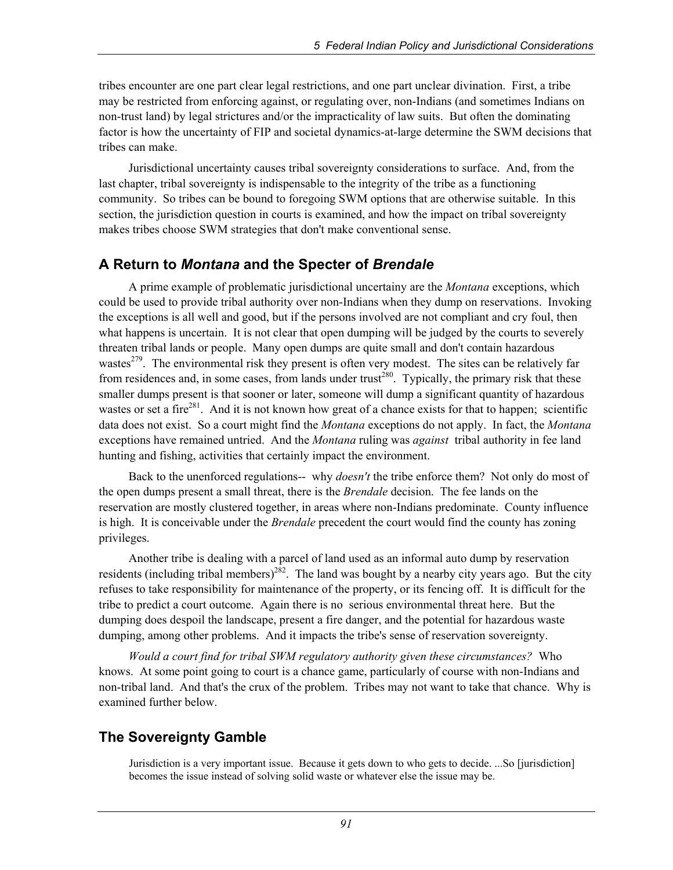tribes encounter are one part clear legal restrictions, and one part unclear divination. First, a tribe may be restricted from enforcing against, or regulating over, non-Indians (and sometimes Indians on non-trust land) by legal strictures and/or the impracticality of law suits. But often the dominating factor is how the uncertainty of FIP and societal dynamics-at-large determine the SWM decisions that tribes can make.

Jurisdictional uncertainty causes tribal sovereignty considerations to surface. And, from the last chapter, tribal sovereignty is indispensable to the integrity of the tribe as a functioning community. So tribes can be bound to foregoing SWM options that are otherwise suitable. In this section, the jurisdiction question in courts is examined, and how the impact on tribal sovereignty makes tribes choose SWM strategies that don't make conventional sense.

## **A Return to** *Montana* **and the Specter of** *Brendale*

A prime example of problematic jurisdictional uncertainy are the *Montana* exceptions, which could be used to provide tribal authority over non-Indians when they dump on reservations. Invoking the exceptions is all well and good, but if the persons involved are not compliant and cry foul, then what happens is uncertain. It is not clear that open dumping will be judged by the courts to severely threaten tribal lands or people. Many open dumps are quite small and don't contain hazardous wastes<sup>279</sup>. The environmental risk they present is often very modest. The sites can be relatively far from residences and, in some cases, from lands under trust<sup>280</sup>. Typically, the primary risk that these smaller dumps present is that sooner or later, someone will dump a significant quantity of hazardous wastes or set a fire<sup>281</sup>. And it is not known how great of a chance exists for that to happen; scientific data does not exist. So a court might find the *Montana* exceptions do not apply. In fact, the *Montana* exceptions have remained untried. And the *Montana* ruling was *against* tribal authority in fee land hunting and fishing, activities that certainly impact the environment.

Back to the unenforced regulations-- why *doesn't* the tribe enforce them? Not only do most of the open dumps present a small threat, there is the *Brendale* decision. The fee lands on the reservation are mostly clustered together, in areas where non-Indians predominate. County influence is high. It is conceivable under the *Brendale* precedent the court would find the county has zoning privileges.

Another tribe is dealing with a parcel of land used as an informal auto dump by reservation residents (including tribal members)<sup>282</sup>. The land was bought by a nearby city years ago. But the city refuses to take responsibility for maintenance of the property, or its fencing off. It is difficult for the tribe to predict a court outcome. Again there is no serious environmental threat here. But the dumping does despoil the landscape, present a fire danger, and the potential for hazardous waste dumping, among other problems. And it impacts the tribe's sense of reservation sovereignty.

*Would a court find for tribal SWM regulatory authority given these circumstances?* Who knows. At some point going to court is a chance game, particularly of course with non-Indians and non-tribal land. And that's the crux of the problem. Tribes may not want to take that chance. Why is examined further below.

# **The Sovereignty Gamble**

Jurisdiction is a very important issue. Because it gets down to who gets to decide. ...So [jurisdiction] becomes the issue instead of solving solid waste or whatever else the issue may be.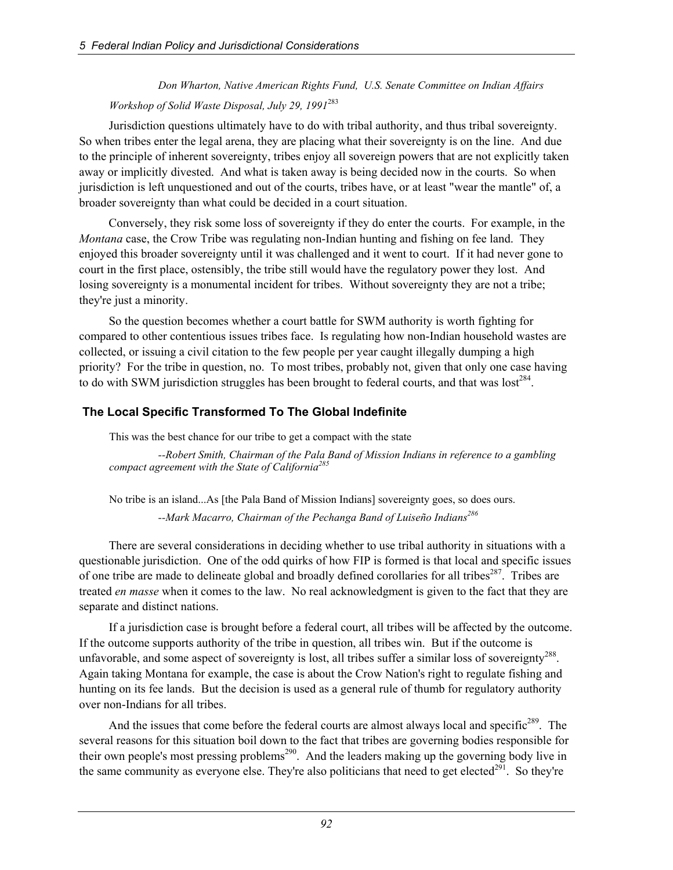*Don Wharton, Native American Rights Fund, U.S. Senate Committee on Indian Affairs Workshop of Solid Waste Disposal, July 29, 1991*<sup>283</sup>

Jurisdiction questions ultimately have to do with tribal authority, and thus tribal sovereignty. So when tribes enter the legal arena, they are placing what their sovereignty is on the line. And due to the principle of inherent sovereignty, tribes enjoy all sovereign powers that are not explicitly taken away or implicitly divested. And what is taken away is being decided now in the courts. So when jurisdiction is left unquestioned and out of the courts, tribes have, or at least "wear the mantle" of, a broader sovereignty than what could be decided in a court situation.

Conversely, they risk some loss of sovereignty if they do enter the courts. For example, in the *Montana* case, the Crow Tribe was regulating non-Indian hunting and fishing on fee land. They enjoyed this broader sovereignty until it was challenged and it went to court. If it had never gone to court in the first place, ostensibly, the tribe still would have the regulatory power they lost. And losing sovereignty is a monumental incident for tribes. Without sovereignty they are not a tribe; they're just a minority.

So the question becomes whether a court battle for SWM authority is worth fighting for compared to other contentious issues tribes face. Is regulating how non-Indian household wastes are collected, or issuing a civil citation to the few people per year caught illegally dumping a high priority? For the tribe in question, no. To most tribes, probably not, given that only one case having to do with SWM jurisdiction struggles has been brought to federal courts, and that was lost<sup>284</sup>.

#### **The Local Specific Transformed To The Global Indefinite**

This was the best chance for our tribe to get a compact with the state

 *--Robert Smith, Chairman of the Pala Band of Mission Indians in reference to a gambling compact agreement with the State of California285*

No tribe is an island...As [the Pala Band of Mission Indians] sovereignty goes, so does ours.  *--Mark Macarro, Chairman of the Pechanga Band of Luiseño Indians286* 

There are several considerations in deciding whether to use tribal authority in situations with a questionable jurisdiction. One of the odd quirks of how FIP is formed is that local and specific issues of one tribe are made to delineate global and broadly defined corollaries for all tribes<sup>287</sup>. Tribes are treated *en masse* when it comes to the law. No real acknowledgment is given to the fact that they are separate and distinct nations.

If a jurisdiction case is brought before a federal court, all tribes will be affected by the outcome. If the outcome supports authority of the tribe in question, all tribes win. But if the outcome is unfavorable, and some aspect of sovereignty is lost, all tribes suffer a similar loss of sovereignty<sup>288</sup>. Again taking Montana for example, the case is about the Crow Nation's right to regulate fishing and hunting on its fee lands. But the decision is used as a general rule of thumb for regulatory authority over non-Indians for all tribes.

And the issues that come before the federal courts are almost always local and specific<sup>289</sup>. The several reasons for this situation boil down to the fact that tribes are governing bodies responsible for their own people's most pressing problems<sup>290</sup>. And the leaders making up the governing body live in the same community as everyone else. They're also politicians that need to get elected<sup>291</sup>. So they're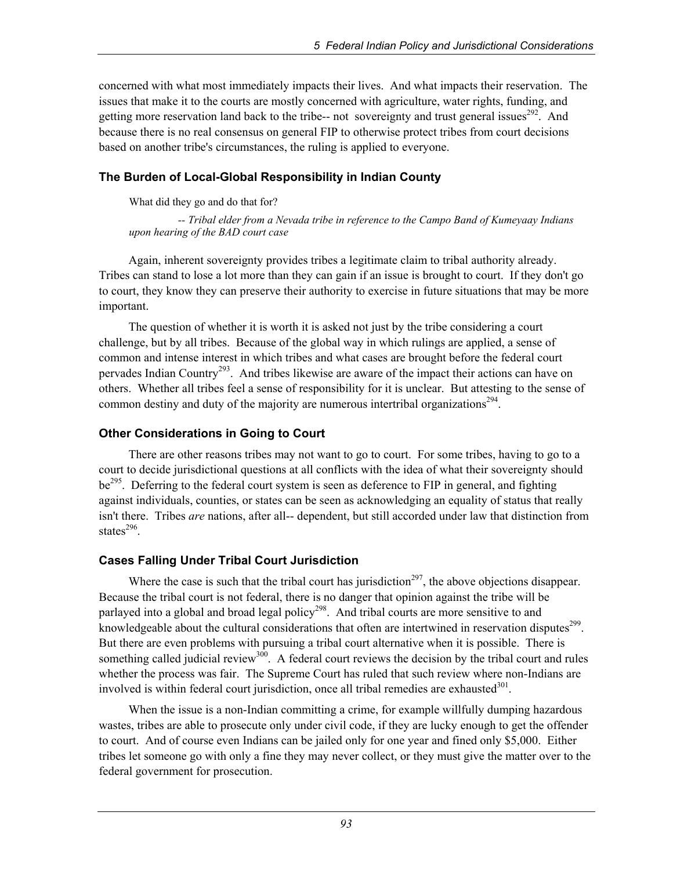concerned with what most immediately impacts their lives. And what impacts their reservation. The issues that make it to the courts are mostly concerned with agriculture, water rights, funding, and getting more reservation land back to the tribe-- not sovereignty and trust general issues<sup>292</sup>. And because there is no real consensus on general FIP to otherwise protect tribes from court decisions based on another tribe's circumstances, the ruling is applied to everyone.

#### **The Burden of Local-Global Responsibility in Indian County**

What did they go and do that for?

 *-- Tribal elder from a Nevada tribe in reference to the Campo Band of Kumeyaay Indians upon hearing of the BAD court case* 

Again, inherent sovereignty provides tribes a legitimate claim to tribal authority already. Tribes can stand to lose a lot more than they can gain if an issue is brought to court. If they don't go to court, they know they can preserve their authority to exercise in future situations that may be more important.

The question of whether it is worth it is asked not just by the tribe considering a court challenge, but by all tribes. Because of the global way in which rulings are applied, a sense of common and intense interest in which tribes and what cases are brought before the federal court pervades Indian Country<sup>293</sup>. And tribes likewise are aware of the impact their actions can have on others. Whether all tribes feel a sense of responsibility for it is unclear. But attesting to the sense of common destiny and duty of the majority are numerous intertribal organizations<sup>294</sup>.

#### **Other Considerations in Going to Court**

There are other reasons tribes may not want to go to court. For some tribes, having to go to a court to decide jurisdictional questions at all conflicts with the idea of what their sovereignty should be<sup>295</sup>. Deferring to the federal court system is seen as deference to FIP in general, and fighting against individuals, counties, or states can be seen as acknowledging an equality of status that really isn't there. Tribes *are* nations, after all-- dependent, but still accorded under law that distinction from states $296$ .

## **Cases Falling Under Tribal Court Jurisdiction**

Where the case is such that the tribal court has jurisdiction<sup>297</sup>, the above objections disappear. Because the tribal court is not federal, there is no danger that opinion against the tribe will be parlayed into a global and broad legal policy<sup>298</sup>. And tribal courts are more sensitive to and knowledgeable about the cultural considerations that often are intertwined in reservation disputes<sup>299</sup>. But there are even problems with pursuing a tribal court alternative when it is possible. There is something called judicial review<sup>300</sup>. A federal court reviews the decision by the tribal court and rules whether the process was fair. The Supreme Court has ruled that such review where non-Indians are involved is within federal court jurisdiction, once all tribal remedies are exhausted $301$ .

When the issue is a non-Indian committing a crime, for example willfully dumping hazardous wastes, tribes are able to prosecute only under civil code, if they are lucky enough to get the offender to court. And of course even Indians can be jailed only for one year and fined only \$5,000. Either tribes let someone go with only a fine they may never collect, or they must give the matter over to the federal government for prosecution.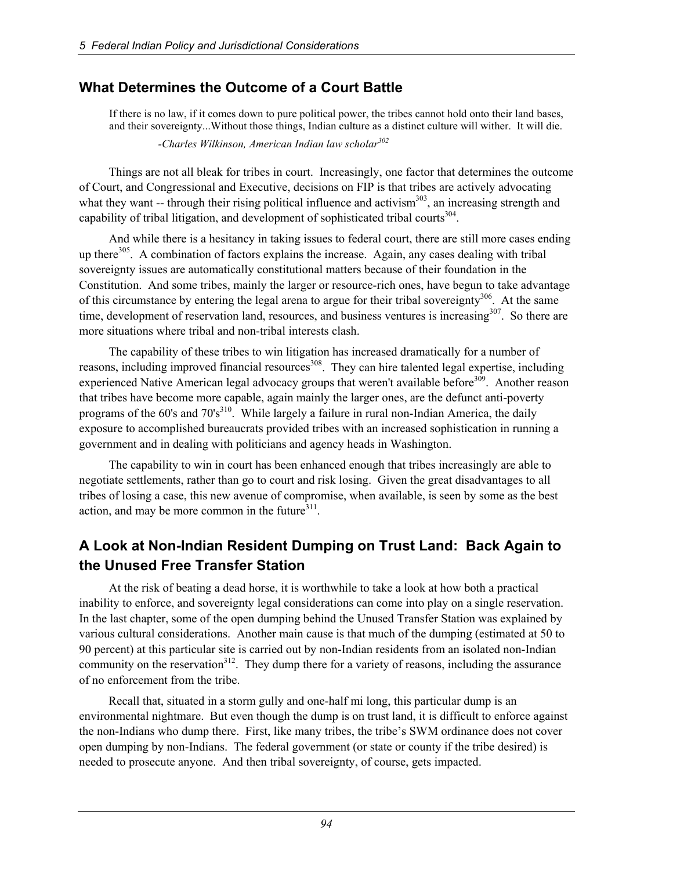## **What Determines the Outcome of a Court Battle**

If there is no law, if it comes down to pure political power, the tribes cannot hold onto their land bases, and their sovereignty...Without those things, Indian culture as a distinct culture will wither. It will die.  *-Charles Wilkinson, American Indian law scholar302*

Things are not all bleak for tribes in court. Increasingly, one factor that determines the outcome of Court, and Congressional and Executive, decisions on FIP is that tribes are actively advocating what they want -- through their rising political influence and activism $303$ , an increasing strength and capability of tribal litigation, and development of sophisticated tribal courts<sup>304</sup>.

And while there is a hesitancy in taking issues to federal court, there are still more cases ending up there<sup>305</sup>. A combination of factors explains the increase. Again, any cases dealing with tribal sovereignty issues are automatically constitutional matters because of their foundation in the Constitution. And some tribes, mainly the larger or resource-rich ones, have begun to take advantage of this circumstance by entering the legal arena to argue for their tribal sovereignty<sup>306</sup>. At the same time, development of reservation land, resources, and business ventures is increasing<sup>307</sup>. So there are more situations where tribal and non-tribal interests clash.

The capability of these tribes to win litigation has increased dramatically for a number of reasons, including improved financial resources<sup>308</sup>. They can hire talented legal expertise, including experienced Native American legal advocacy groups that weren't available before<sup>309</sup>. Another reason that tribes have become more capable, again mainly the larger ones, are the defunct anti-poverty programs of the  $60'$ s and  $70's<sup>310</sup>$ . While largely a failure in rural non-Indian America, the daily exposure to accomplished bureaucrats provided tribes with an increased sophistication in running a government and in dealing with politicians and agency heads in Washington.

The capability to win in court has been enhanced enough that tribes increasingly are able to negotiate settlements, rather than go to court and risk losing. Given the great disadvantages to all tribes of losing a case, this new avenue of compromise, when available, is seen by some as the best action, and may be more common in the future $311$ .

# **A Look at Non-Indian Resident Dumping on Trust Land: Back Again to the Unused Free Transfer Station**

At the risk of beating a dead horse, it is worthwhile to take a look at how both a practical inability to enforce, and sovereignty legal considerations can come into play on a single reservation. In the last chapter, some of the open dumping behind the Unused Transfer Station was explained by various cultural considerations. Another main cause is that much of the dumping (estimated at 50 to 90 percent) at this particular site is carried out by non-Indian residents from an isolated non-Indian community on the reservation<sup>312</sup>. They dump there for a variety of reasons, including the assurance of no enforcement from the tribe.

Recall that, situated in a storm gully and one-half mi long, this particular dump is an environmental nightmare. But even though the dump is on trust land, it is difficult to enforce against the non-Indians who dump there. First, like many tribes, the tribe's SWM ordinance does not cover open dumping by non-Indians. The federal government (or state or county if the tribe desired) is needed to prosecute anyone. And then tribal sovereignty, of course, gets impacted.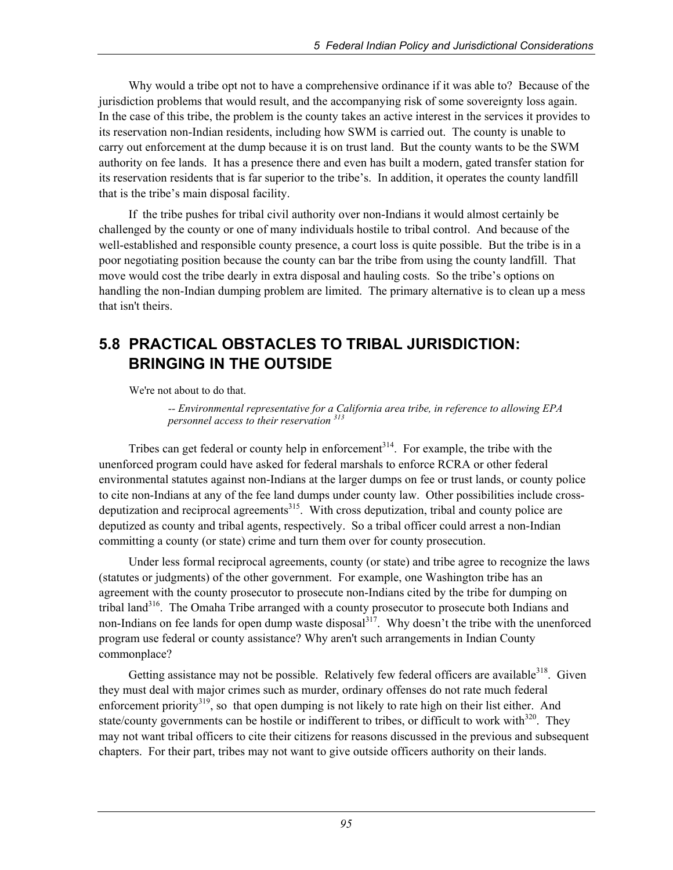Why would a tribe opt not to have a comprehensive ordinance if it was able to? Because of the jurisdiction problems that would result, and the accompanying risk of some sovereignty loss again. In the case of this tribe, the problem is the county takes an active interest in the services it provides to its reservation non-Indian residents, including how SWM is carried out. The county is unable to carry out enforcement at the dump because it is on trust land. But the county wants to be the SWM authority on fee lands. It has a presence there and even has built a modern, gated transfer station for its reservation residents that is far superior to the tribe's. In addition, it operates the county landfill that is the tribe's main disposal facility.

If the tribe pushes for tribal civil authority over non-Indians it would almost certainly be challenged by the county or one of many individuals hostile to tribal control. And because of the well-established and responsible county presence, a court loss is quite possible. But the tribe is in a poor negotiating position because the county can bar the tribe from using the county landfill. That move would cost the tribe dearly in extra disposal and hauling costs. So the tribe's options on handling the non-Indian dumping problem are limited. The primary alternative is to clean up a mess that isn't theirs.

# **5.8 PRACTICAL OBSTACLES TO TRIBAL JURISDICTION: BRINGING IN THE OUTSIDE**

We're not about to do that.

 *-- Environmental representative for a California area tribe, in reference to allowing EPA personnel access to their reservation 313*

Tribes can get federal or county help in enforcement<sup>314</sup>. For example, the tribe with the unenforced program could have asked for federal marshals to enforce RCRA or other federal environmental statutes against non-Indians at the larger dumps on fee or trust lands, or county police to cite non-Indians at any of the fee land dumps under county law. Other possibilities include crossdeputization and reciprocal agreements<sup>315</sup>. With cross deputization, tribal and county police are deputized as county and tribal agents, respectively. So a tribal officer could arrest a non-Indian committing a county (or state) crime and turn them over for county prosecution.

Under less formal reciprocal agreements, county (or state) and tribe agree to recognize the laws (statutes or judgments) of the other government. For example, one Washington tribe has an agreement with the county prosecutor to prosecute non-Indians cited by the tribe for dumping on tribal land<sup>316</sup>. The Omaha Tribe arranged with a county prosecutor to prosecute both Indians and non-Indians on fee lands for open dump waste disposal<sup>317</sup>. Why doesn't the tribe with the unenforced program use federal or county assistance? Why aren't such arrangements in Indian County commonplace?

Getting assistance may not be possible. Relatively few federal officers are available  $318$ . Given they must deal with major crimes such as murder, ordinary offenses do not rate much federal enforcement priority<sup>319</sup>, so that open dumping is not likely to rate high on their list either. And state/county governments can be hostile or indifferent to tribes, or difficult to work with<sup>320</sup>. They may not want tribal officers to cite their citizens for reasons discussed in the previous and subsequent chapters. For their part, tribes may not want to give outside officers authority on their lands.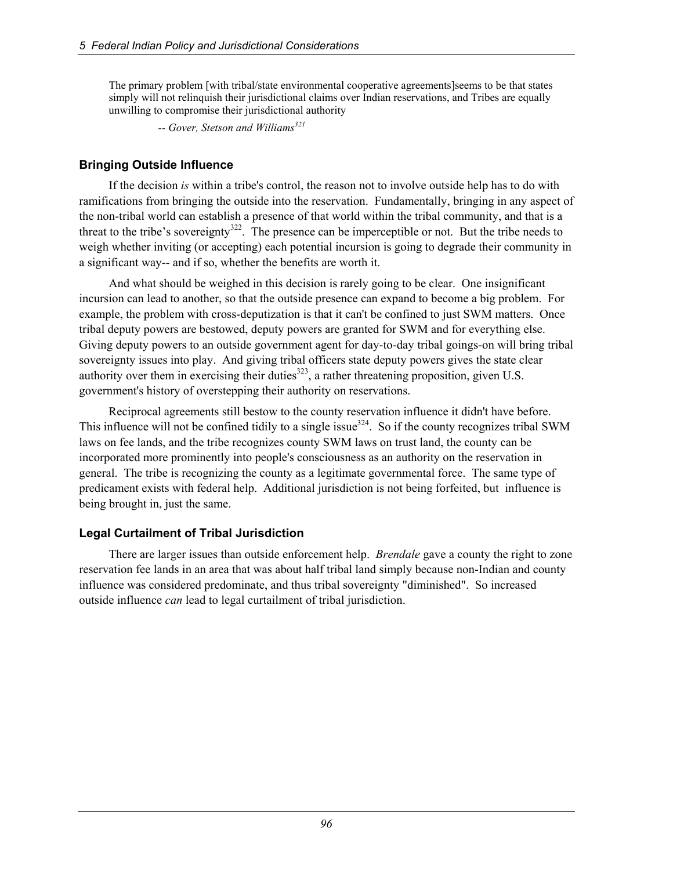The primary problem [with tribal/state environmental cooperative agreements]seems to be that states simply will not relinquish their jurisdictional claims over Indian reservations, and Tribes are equally unwilling to compromise their jurisdictional authority

-- Gover, Stetson and Williams<sup>321</sup>

#### **Bringing Outside Influence**

If the decision *is* within a tribe's control, the reason not to involve outside help has to do with ramifications from bringing the outside into the reservation. Fundamentally, bringing in any aspect of the non-tribal world can establish a presence of that world within the tribal community, and that is a threat to the tribe's sovereignty<sup>322</sup>. The presence can be imperceptible or not. But the tribe needs to weigh whether inviting (or accepting) each potential incursion is going to degrade their community in a significant way-- and if so, whether the benefits are worth it.

And what should be weighed in this decision is rarely going to be clear. One insignificant incursion can lead to another, so that the outside presence can expand to become a big problem. For example, the problem with cross-deputization is that it can't be confined to just SWM matters. Once tribal deputy powers are bestowed, deputy powers are granted for SWM and for everything else. Giving deputy powers to an outside government agent for day-to-day tribal goings-on will bring tribal sovereignty issues into play. And giving tribal officers state deputy powers gives the state clear authority over them in exercising their duties<sup>323</sup>, a rather threatening proposition, given U.S. government's history of overstepping their authority on reservations.

Reciprocal agreements still bestow to the county reservation influence it didn't have before. This influence will not be confined tidily to a single issue $324$ . So if the county recognizes tribal SWM laws on fee lands, and the tribe recognizes county SWM laws on trust land, the county can be incorporated more prominently into people's consciousness as an authority on the reservation in general. The tribe is recognizing the county as a legitimate governmental force. The same type of predicament exists with federal help. Additional jurisdiction is not being forfeited, but influence is being brought in, just the same.

#### **Legal Curtailment of Tribal Jurisdiction**

There are larger issues than outside enforcement help. *Brendale* gave a county the right to zone reservation fee lands in an area that was about half tribal land simply because non-Indian and county influence was considered predominate, and thus tribal sovereignty "diminished". So increased outside influence *can* lead to legal curtailment of tribal jurisdiction.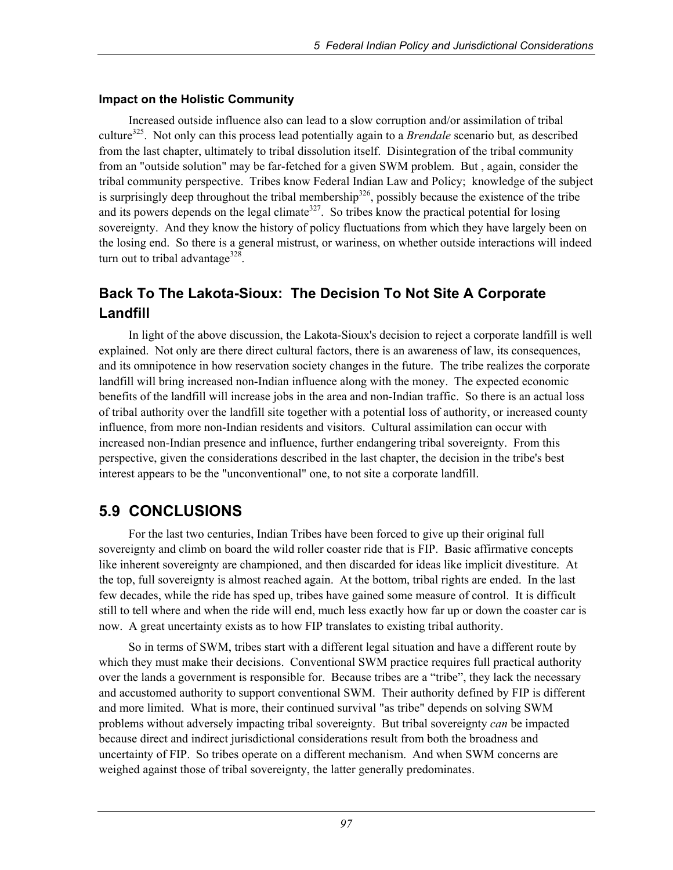#### **Impact on the Holistic Community**

Increased outside influence also can lead to a slow corruption and/or assimilation of tribal culture325. Not only can this process lead potentially again to a *Brendale* scenario but*,* as described from the last chapter, ultimately to tribal dissolution itself. Disintegration of the tribal community from an "outside solution" may be far-fetched for a given SWM problem. But , again, consider the tribal community perspective. Tribes know Federal Indian Law and Policy; knowledge of the subject is surprisingly deep throughout the tribal membership<sup>326</sup>, possibly because the existence of the tribe and its powers depends on the legal climate<sup>327</sup>. So tribes know the practical potential for losing sovereignty. And they know the history of policy fluctuations from which they have largely been on the losing end. So there is a general mistrust, or wariness, on whether outside interactions will indeed turn out to tribal advantage<sup>328</sup>.

# **Back To The Lakota-Sioux: The Decision To Not Site A Corporate Landfill**

In light of the above discussion, the Lakota-Sioux's decision to reject a corporate landfill is well explained. Not only are there direct cultural factors, there is an awareness of law, its consequences, and its omnipotence in how reservation society changes in the future. The tribe realizes the corporate landfill will bring increased non-Indian influence along with the money. The expected economic benefits of the landfill will increase jobs in the area and non-Indian traffic. So there is an actual loss of tribal authority over the landfill site together with a potential loss of authority, or increased county influence, from more non-Indian residents and visitors. Cultural assimilation can occur with increased non-Indian presence and influence, further endangering tribal sovereignty. From this perspective, given the considerations described in the last chapter, the decision in the tribe's best interest appears to be the "unconventional" one, to not site a corporate landfill.

# **5.9 CONCLUSIONS**

For the last two centuries, Indian Tribes have been forced to give up their original full sovereignty and climb on board the wild roller coaster ride that is FIP. Basic affirmative concepts like inherent sovereignty are championed, and then discarded for ideas like implicit divestiture. At the top, full sovereignty is almost reached again. At the bottom, tribal rights are ended. In the last few decades, while the ride has sped up, tribes have gained some measure of control. It is difficult still to tell where and when the ride will end, much less exactly how far up or down the coaster car is now. A great uncertainty exists as to how FIP translates to existing tribal authority.

So in terms of SWM, tribes start with a different legal situation and have a different route by which they must make their decisions. Conventional SWM practice requires full practical authority over the lands a government is responsible for. Because tribes are a "tribe", they lack the necessary and accustomed authority to support conventional SWM. Their authority defined by FIP is different and more limited. What is more, their continued survival "as tribe" depends on solving SWM problems without adversely impacting tribal sovereignty. But tribal sovereignty *can* be impacted because direct and indirect jurisdictional considerations result from both the broadness and uncertainty of FIP. So tribes operate on a different mechanism. And when SWM concerns are weighed against those of tribal sovereignty, the latter generally predominates.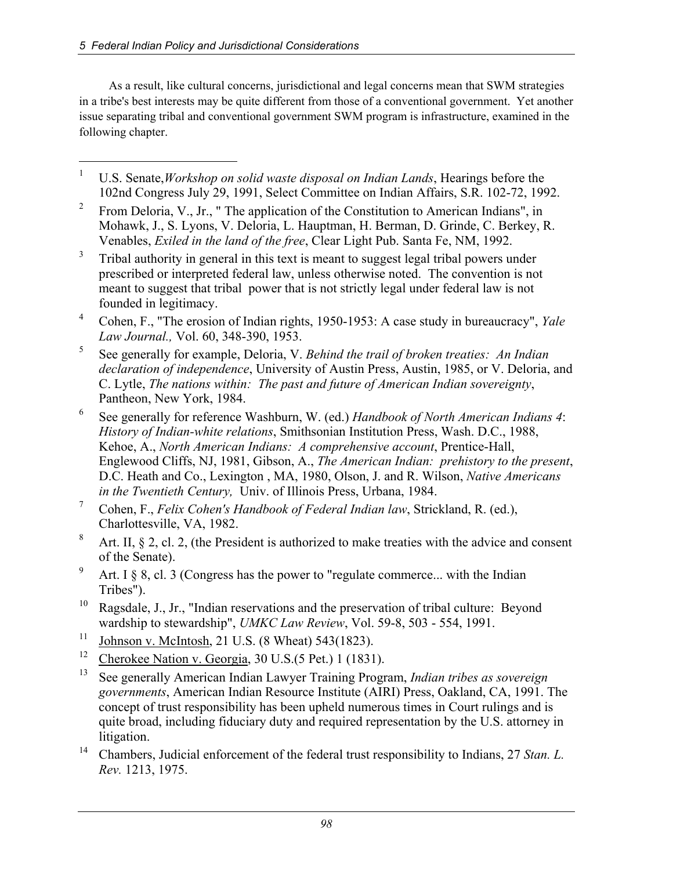1

As a result, like cultural concerns, jurisdictional and legal concerns mean that SWM strategies in a tribe's best interests may be quite different from those of a conventional government. Yet another issue separating tribal and conventional government SWM program is infrastructure, examined in the following chapter.

- 1 U.S. Senate,*Workshop on solid waste disposal on Indian Lands*, Hearings before the 102nd Congress July 29, 1991, Select Committee on Indian Affairs, S.R. 102-72, 1992.
- 2 From Deloria, V., Jr., " The application of the Constitution to American Indians", in Mohawk, J., S. Lyons, V. Deloria, L. Hauptman, H. Berman, D. Grinde, C. Berkey, R. Venables, *Exiled in the land of the free*, Clear Light Pub. Santa Fe, NM, 1992.
- 3 Tribal authority in general in this text is meant to suggest legal tribal powers under prescribed or interpreted federal law, unless otherwise noted. The convention is not meant to suggest that tribal power that is not strictly legal under federal law is not founded in legitimacy.
- 4 Cohen, F., "The erosion of Indian rights, 1950-1953: A case study in bureaucracy", *Yale Law Journal.,* Vol. 60, 348-390, 1953.
- 5 See generally for example, Deloria, V. *Behind the trail of broken treaties: An Indian declaration of independence*, University of Austin Press, Austin, 1985, or V. Deloria, and C. Lytle, *The nations within: The past and future of American Indian sovereignty*, Pantheon, New York, 1984.
- 6 See generally for reference Washburn, W. (ed.) *Handbook of North American Indians 4*: *History of Indian-white relations*, Smithsonian Institution Press, Wash. D.C., 1988, Kehoe, A., *North American Indians: A comprehensive account*, Prentice-Hall, Englewood Cliffs, NJ, 1981, Gibson, A., *The American Indian: prehistory to the present*, D.C. Heath and Co., Lexington , MA, 1980, Olson, J. and R. Wilson, *Native Americans in the Twentieth Century,* Univ. of Illinois Press, Urbana, 1984.
- 7 Cohen, F., *Felix Cohen's Handbook of Federal Indian law*, Strickland, R. (ed.), Charlottesville, VA, 1982.
- 8 Art. II,  $\S 2$ , cl. 2, (the President is authorized to make treaties with the advice and consent of the Senate).
- 9 Art. I  $\S$  8, cl. 3 (Congress has the power to "regulate commerce... with the Indian Tribes").
- <sup>10</sup> Ragsdale, J., Jr., "Indian reservations and the preservation of tribal culture: Beyond wardship to stewardship", *UMKC Law Review*, Vol. 59-8, 503 - 554, 1991.
- <sup>11</sup> Johnson v. McIntosh, 21 U.S. (8 Wheat) 543(1823).
- <sup>12</sup> Cherokee Nation v. Georgia,  $30 \text{ U.S.}$  (5 Pet.) 1 (1831).
- 13 See generally American Indian Lawyer Training Program, *Indian tribes as sovereign governments*, American Indian Resource Institute (AIRI) Press, Oakland, CA, 1991. The concept of trust responsibility has been upheld numerous times in Court rulings and is quite broad, including fiduciary duty and required representation by the U.S. attorney in litigation.
- 14 Chambers, Judicial enforcement of the federal trust responsibility to Indians, 27 *Stan. L. Rev.* 1213, 1975.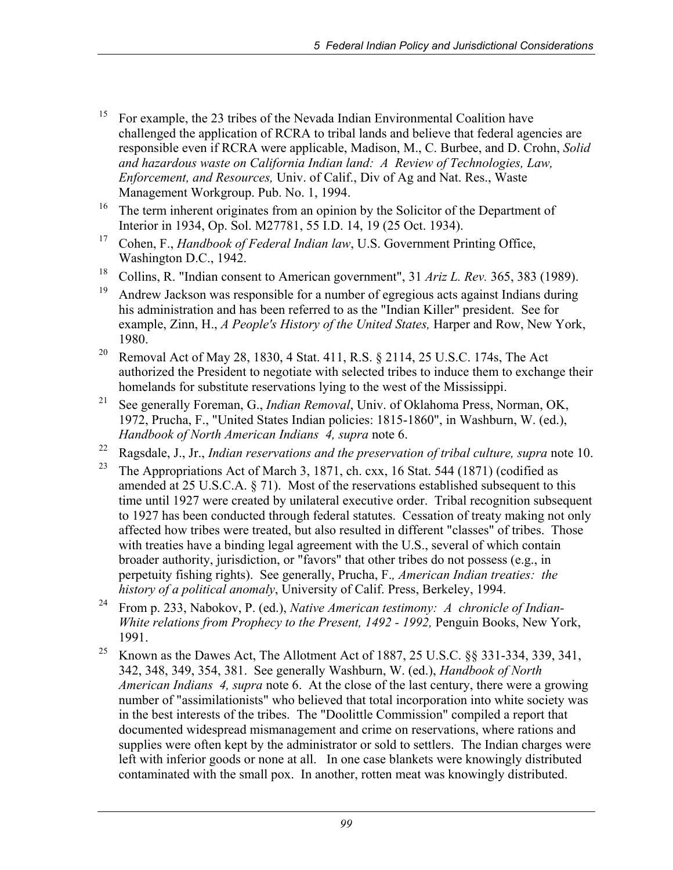- <sup>15</sup> For example, the 23 tribes of the Nevada Indian Environmental Coalition have challenged the application of RCRA to tribal lands and believe that federal agencies are responsible even if RCRA were applicable, Madison, M., C. Burbee, and D. Crohn, *Solid and hazardous waste on California Indian land: A Review of Technologies, Law, Enforcement, and Resources,* Univ. of Calif., Div of Ag and Nat. Res., Waste Management Workgroup. Pub. No. 1, 1994.
- <sup>16</sup> The term inherent originates from an opinion by the Solicitor of the Department of Interior in 1934, Op. Sol. M27781, 55 I.D. 14, 19 (25 Oct. 1934).
- 17 Cohen, F., *Handbook of Federal Indian law*, U.S. Government Printing Office, Washington D.C., 1942.
- 18 Collins, R. "Indian consent to American government", 31 *Ariz L. Rev.* 365, 383 (1989).
- <sup>19</sup> Andrew Jackson was responsible for a number of egregious acts against Indians during his administration and has been referred to as the "Indian Killer" president. See for example, Zinn, H., *A People's History of the United States,* Harper and Row, New York, 1980.
- <sup>20</sup> Removal Act of May 28, 1830, 4 Stat. 411, R.S. § 2114, 25 U.S.C. 174s, The Act authorized the President to negotiate with selected tribes to induce them to exchange their homelands for substitute reservations lying to the west of the Mississippi.
- 21 See generally Foreman, G., *Indian Removal*, Univ. of Oklahoma Press, Norman, OK, 1972, Prucha, F., "United States Indian policies: 1815-1860", in Washburn, W. (ed.), *Handbook of North American Indians 4, supra* note 6.
- 22 Ragsdale, J., Jr., *Indian reservations and the preservation of tribal culture, supra* note 10.
- <sup>23</sup> The Appropriations Act of March 3, 1871, ch. cxx, 16 Stat. 544 (1871) (codified as amended at 25 U.S.C.A. § 71). Most of the reservations established subsequent to this time until 1927 were created by unilateral executive order. Tribal recognition subsequent to 1927 has been conducted through federal statutes. Cessation of treaty making not only affected how tribes were treated, but also resulted in different "classes" of tribes. Those with treaties have a binding legal agreement with the U.S., several of which contain broader authority, jurisdiction, or "favors" that other tribes do not possess (e.g., in perpetuity fishing rights). See generally, Prucha, F.*, American Indian treaties: the history of a political anomaly*, University of Calif. Press, Berkeley, 1994.
- 24 From p. 233, Nabokov, P. (ed.), *Native American testimony: A chronicle of Indian-White relations from Prophecy to the Present, 1492 - 1992, Penguin Books, New York,* 1991.
- <sup>25</sup> Known as the Dawes Act, The Allotment Act of 1887, 25 U.S.C. §§ 331-334, 339, 341, 342, 348, 349, 354, 381. See generally Washburn, W. (ed.), *Handbook of North American Indians 4, supra* note 6. At the close of the last century, there were a growing number of "assimilationists" who believed that total incorporation into white society was in the best interests of the tribes. The "Doolittle Commission" compiled a report that documented widespread mismanagement and crime on reservations, where rations and supplies were often kept by the administrator or sold to settlers. The Indian charges were left with inferior goods or none at all. In one case blankets were knowingly distributed contaminated with the small pox. In another, rotten meat was knowingly distributed.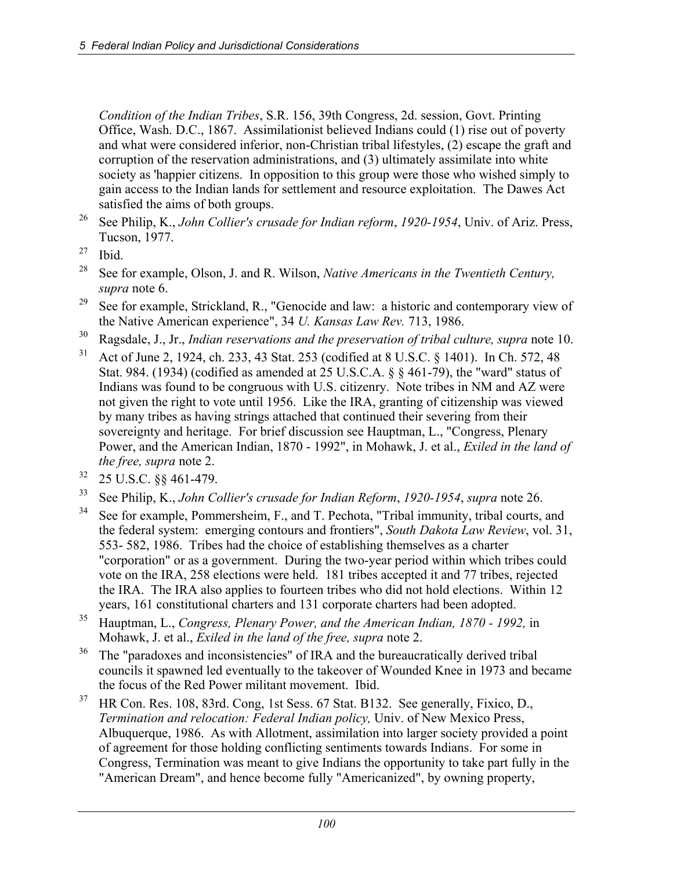*Condition of the Indian Tribes*, S.R. 156, 39th Congress, 2d. session, Govt. Printing Office, Wash. D.C., 1867. Assimilationist believed Indians could (1) rise out of poverty and what were considered inferior, non-Christian tribal lifestyles, (2) escape the graft and corruption of the reservation administrations, and (3) ultimately assimilate into white society as 'happier citizens. In opposition to this group were those who wished simply to gain access to the Indian lands for settlement and resource exploitation. The Dawes Act satisfied the aims of both groups.

- 26 See Philip, K., *John Collier's crusade for Indian reform*, *1920-1954*, Univ. of Ariz. Press, Tucson, 1977.
- $27$  Ibid.
- 28 See for example, Olson, J. and R. Wilson, *Native Americans in the Twentieth Century, supra* note 6.
- <sup>29</sup> See for example, Strickland, R., "Genocide and law: a historic and contemporary view of the Native American experience", 34 *U. Kansas Law Rev.* 713, 1986.
- 30 Ragsdale, J., Jr., *Indian reservations and the preservation of tribal culture, supra* note 10.
- 31 Act of June 2, 1924, ch. 233, 43 Stat. 253 (codified at 8 U.S.C. § 1401). In Ch. 572, 48 Stat. 984. (1934) (codified as amended at 25 U.S.C.A. § § 461-79), the "ward" status of Indians was found to be congruous with U.S. citizenry. Note tribes in NM and AZ were not given the right to vote until 1956. Like the IRA, granting of citizenship was viewed by many tribes as having strings attached that continued their severing from their sovereignty and heritage. For brief discussion see Hauptman, L., "Congress, Plenary Power, and the American Indian, 1870 - 1992", in Mohawk, J. et al., *Exiled in the land of the free, supra* note 2.
- $32$  25 U.S.C.  $\S$ § 461-479.
- 33 See Philip, K., *John Collier's crusade for Indian Reform*, *1920-1954*, *supra* note 26.
- <sup>34</sup> See for example, Pommersheim, F., and T. Pechota, "Tribal immunity, tribal courts, and the federal system: emerging contours and frontiers", *South Dakota Law Review*, vol. 31, 553- 582, 1986. Tribes had the choice of establishing themselves as a charter "corporation" or as a government. During the two-year period within which tribes could vote on the IRA, 258 elections were held. 181 tribes accepted it and 77 tribes, rejected the IRA. The IRA also applies to fourteen tribes who did not hold elections. Within 12 years, 161 constitutional charters and 131 corporate charters had been adopted.
- 35 Hauptman, L., *Congress, Plenary Power, and the American Indian, 1870 1992,* in Mohawk, J. et al., *Exiled in the land of the free, supra* note 2.
- <sup>36</sup> The "paradoxes and inconsistencies" of IRA and the bureaucratically derived tribal councils it spawned led eventually to the takeover of Wounded Knee in 1973 and became the focus of the Red Power militant movement. Ibid.
- 37 HR Con. Res. 108, 83rd. Cong, 1st Sess. 67 Stat. B132. See generally, Fixico, D., *Termination and relocation: Federal Indian policy,* Univ. of New Mexico Press, Albuquerque, 1986. As with Allotment, assimilation into larger society provided a point of agreement for those holding conflicting sentiments towards Indians. For some in Congress, Termination was meant to give Indians the opportunity to take part fully in the "American Dream", and hence become fully "Americanized", by owning property,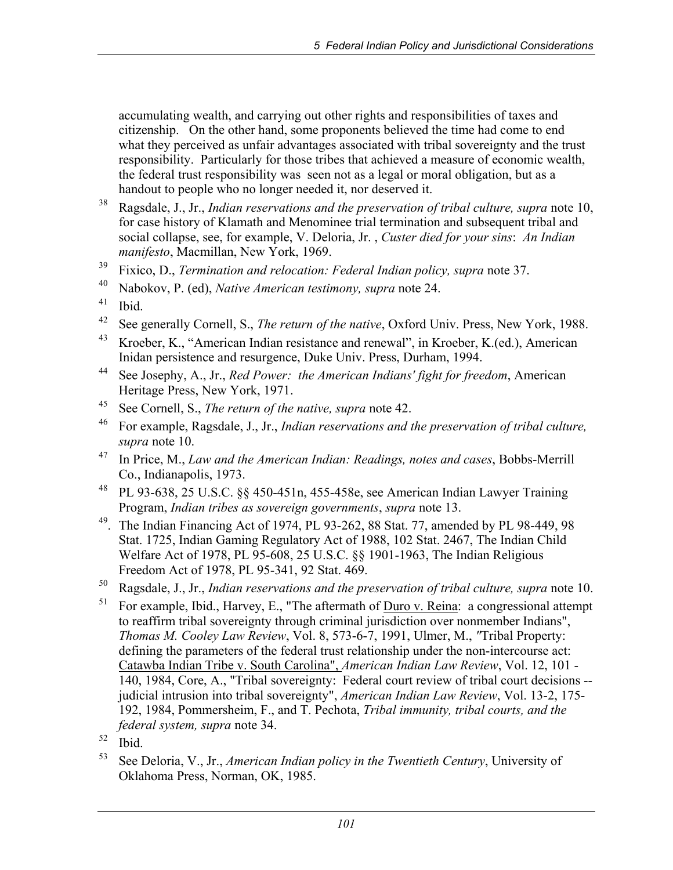accumulating wealth, and carrying out other rights and responsibilities of taxes and citizenship. On the other hand, some proponents believed the time had come to end what they perceived as unfair advantages associated with tribal sovereignty and the trust responsibility. Particularly for those tribes that achieved a measure of economic wealth, the federal trust responsibility was seen not as a legal or moral obligation, but as a handout to people who no longer needed it, nor deserved it.

- 38 Ragsdale, J., Jr., *Indian reservations and the preservation of tribal culture, supra* note 10, for case history of Klamath and Menominee trial termination and subsequent tribal and social collapse, see, for example, V. Deloria, Jr. , *Custer died for your sins*: *An Indian manifesto*, Macmillan, New York, 1969.
- 39 Fixico, D., *Termination and relocation: Federal Indian policy, supra* note 37.
- 40 Nabokov, P. (ed), *Native American testimony, supra* note 24.
- $41$  Ibid.
- 42 See generally Cornell, S., *The return of the native*, Oxford Univ. Press, New York, 1988.
- 43 Kroeber, K., "American Indian resistance and renewal", in Kroeber, K.(ed.), American Inidan persistence and resurgence, Duke Univ. Press, Durham, 1994.
- 44 See Josephy, A., Jr., *Red Power: the American Indians' fight for freedom*, American Heritage Press, New York, 1971.
- 45 See Cornell, S., *The return of the native, supra* note 42.
- 46 For example, Ragsdale, J., Jr., *Indian reservations and the preservation of tribal culture, supra* note 10.
- 47 In Price, M., *Law and the American Indian: Readings, notes and cases*, Bobbs-Merrill Co., Indianapolis, 1973.
- 48 PL 93-638, 25 U.S.C. §§ 450-451n, 455-458e, see American Indian Lawyer Training Program, *Indian tribes as sovereign governments*, *supra* note 13.
- 49. The Indian Financing Act of 1974, PL 93-262, 88 Stat. 77, amended by PL 98-449, 98 Stat. 1725, Indian Gaming Regulatory Act of 1988, 102 Stat. 2467, The Indian Child Welfare Act of 1978, PL 95-608, 25 U.S.C. §§ 1901-1963, The Indian Religious Freedom Act of 1978, PL 95-341, 92 Stat. 469.
- 50 Ragsdale, J., Jr., *Indian reservations and the preservation of tribal culture, supra* note 10.
- $51$  For example, Ibid., Harvey, E., "The aftermath of Duro v. Reina: a congressional attempt to reaffirm tribal sovereignty through criminal jurisdiction over nonmember Indians", *Thomas M. Cooley Law Review*, Vol. 8, 573-6-7, 1991, Ulmer, M., *"*Tribal Property: defining the parameters of the federal trust relationship under the non-intercourse act: Catawba Indian Tribe v. South Carolina", *American Indian Law Review*, Vol. 12, 101 - 140, 1984, Core, A., "Tribal sovereignty: Federal court review of tribal court decisions - judicial intrusion into tribal sovereignty", *American Indian Law Review*, Vol. 13-2, 175- 192, 1984, Pommersheim, F., and T. Pechota, *Tribal immunity, tribal courts, and the federal system, supra* note 34.
- $52$  Ibid.
- 53 See Deloria, V., Jr., *American Indian policy in the Twentieth Century*, University of Oklahoma Press, Norman, OK, 1985.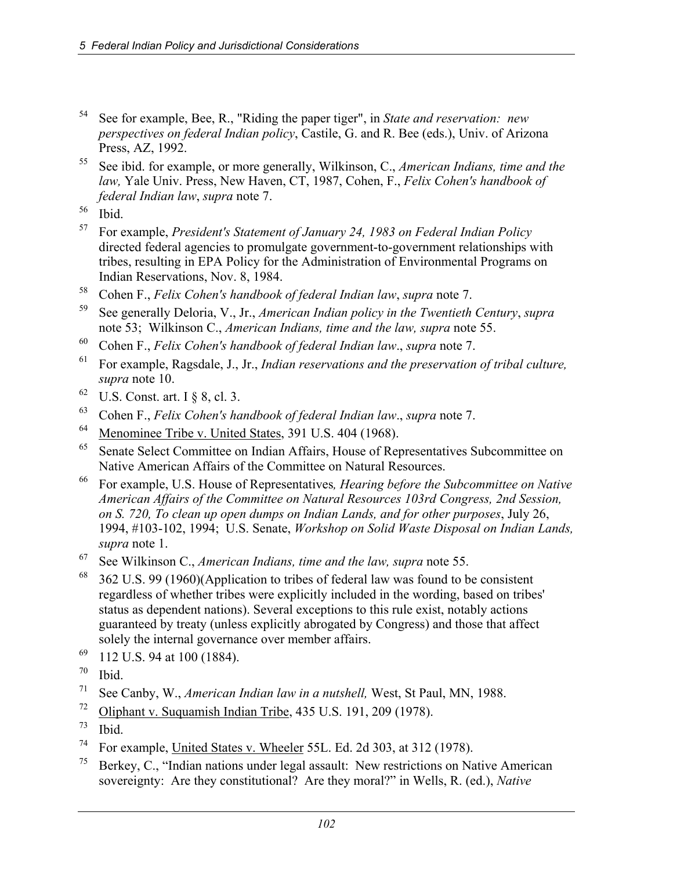- 54 See for example, Bee, R., "Riding the paper tiger", in *State and reservation: new perspectives on federal Indian policy*, Castile, G. and R. Bee (eds.), Univ. of Arizona Press, AZ, 1992.
- 55 See ibid. for example, or more generally, Wilkinson, C., *American Indians, time and the law,* Yale Univ. Press, New Haven, CT, 1987, Cohen, F., *Felix Cohen's handbook of federal Indian law*, *supra* note 7.

- 57 For example, *President's Statement of January 24, 1983 on Federal Indian Policy*  directed federal agencies to promulgate government-to-government relationships with tribes, resulting in EPA Policy for the Administration of Environmental Programs on Indian Reservations, Nov. 8, 1984.
- 58 Cohen F., *Felix Cohen's handbook of federal Indian law*, *supra* note 7.
- 59 See generally Deloria, V., Jr., *American Indian policy in the Twentieth Century*, *supra* note 53; Wilkinson C., *American Indians, time and the law, supra* note 55.
- 60 Cohen F., *Felix Cohen's handbook of federal Indian law*., *supra* note 7.
- 61 For example, Ragsdale, J., Jr., *Indian reservations and the preservation of tribal culture, supra* note 10.
- $62$  U.S. Const. art. I  $\S 8$ , cl. 3.
- 63 Cohen F., *Felix Cohen's handbook of federal Indian law*., *supra* note 7.
- 64 Menominee Tribe v. United States, 391 U.S. 404 (1968).
- 65 Senate Select Committee on Indian Affairs, House of Representatives Subcommittee on Native American Affairs of the Committee on Natural Resources.
- 66 For example, U.S. House of Representatives*, Hearing before the Subcommittee on Native American Affairs of the Committee on Natural Resources 103rd Congress, 2nd Session, on S. 720, To clean up open dumps on Indian Lands, and for other purposes*, July 26, 1994, #103-102, 1994; U.S. Senate, *Workshop on Solid Waste Disposal on Indian Lands, supra* note 1.
- 67 See Wilkinson C., *American Indians, time and the law, supra* note 55.
- $68$  362 U.S. 99 (1960)(Application to tribes of federal law was found to be consistent regardless of whether tribes were explicitly included in the wording, based on tribes' status as dependent nations). Several exceptions to this rule exist, notably actions guaranteed by treaty (unless explicitly abrogated by Congress) and those that affect solely the internal governance over member affairs.
- 69 112 U.S. 94 at 100 (1884).
- $70$  Ibid.
- 71 See Canby, W., *American Indian law in a nutshell,* West, St Paul, MN, 1988.
- 72 Oliphant v. Suquamish Indian Tribe, 435 U.S. 191, 209 (1978).
- $73$  Ibid.
- 74 For example, United States v. Wheeler 55L. Ed. 2d 303, at 312 (1978).
- <sup>75</sup> Berkey, C., "Indian nations under legal assault: New restrictions on Native American sovereignty: Are they constitutional? Are they moral?" in Wells, R. (ed.), *Native*

 $56$  Ibid.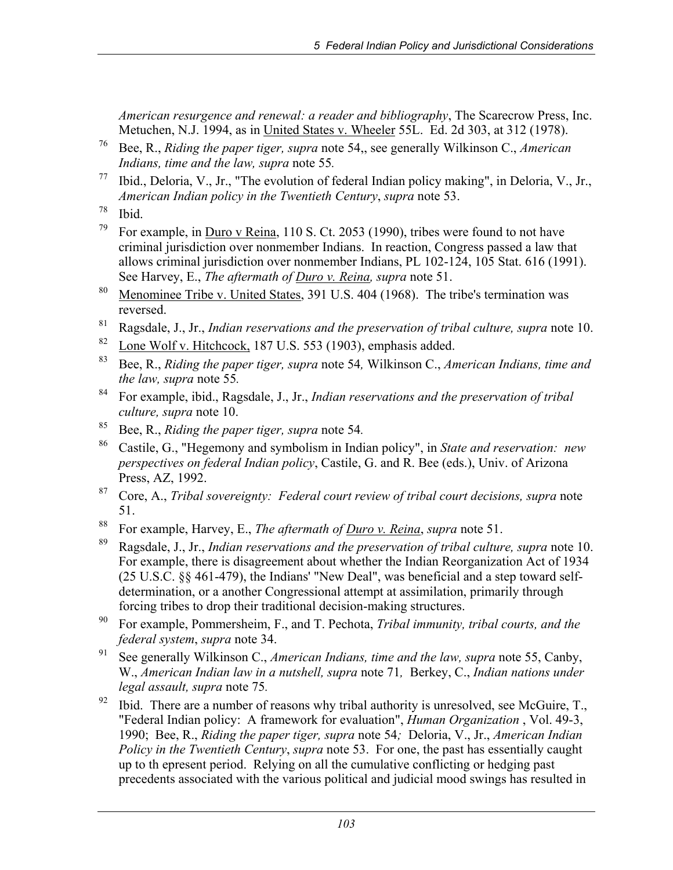*American resurgence and renewal: a reader and bibliography*, The Scarecrow Press, Inc. Metuchen, N.J. 1994, as in United States v. Wheeler 55L. Ed. 2d 303, at 312 (1978).

- 76 Bee, R., *Riding the paper tiger, supra* note 54,, see generally Wilkinson C., *American Indians, time and the law, supra* note 55*.*
- 77 Ibid., Deloria, V., Jr., "The evolution of federal Indian policy making", in Deloria, V., Jr., *American Indian policy in the Twentieth Century*, *supra* note 53.
- $78$  Ibid.
- <sup>79</sup> For example, in <u>Duro v Reina</u>, 110 S. Ct. 2053 (1990), tribes were found to not have criminal jurisdiction over nonmember Indians. In reaction, Congress passed a law that allows criminal jurisdiction over nonmember Indians, PL 102-124, 105 Stat. 616 (1991). See Harvey, E., *The aftermath of Duro v. Reina, supra* note 51.
- <sup>80</sup> Menominee Tribe v. United States, 391 U.S. 404 (1968). The tribe's termination was reversed.
- 81 Ragsdale, J., Jr., *Indian reservations and the preservation of tribal culture, supra* note 10.
- $82$  Lone Wolf v. Hitchcock, 187 U.S. 553 (1903), emphasis added.
- 83 Bee, R., *Riding the paper tiger, supra* note 54*,* Wilkinson C., *American Indians, time and the law, supra* note 55*.*
- 84 For example, ibid., Ragsdale, J., Jr., *Indian reservations and the preservation of tribal culture, supra* note 10.
- 85 Bee, R., *Riding the paper tiger, supra* note 54*.*
- 86 Castile, G., "Hegemony and symbolism in Indian policy", in *State and reservation: new perspectives on federal Indian policy*, Castile, G. and R. Bee (eds.), Univ. of Arizona Press, AZ, 1992.
- 87 Core, A., *Tribal sovereignty: Federal court review of tribal court decisions, supra* note 51.
- 88 For example, Harvey, E., *The aftermath of Duro v. Reina*, *supra* note 51.
- 89 Ragsdale, J., Jr., *Indian reservations and the preservation of tribal culture, supra* note 10. For example, there is disagreement about whether the Indian Reorganization Act of 1934 (25 U.S.C. §§ 461-479), the Indians' "New Deal", was beneficial and a step toward selfdetermination, or a another Congressional attempt at assimilation, primarily through forcing tribes to drop their traditional decision-making structures.
- 90 For example, Pommersheim, F., and T. Pechota, *Tribal immunity, tribal courts, and the federal system*, *supra* note 34.
- 91 See generally Wilkinson C., *American Indians, time and the law, supra* note 55, Canby, W., *American Indian law in a nutshell, supra* note 71*,* Berkey, C., *Indian nations under legal assault, supra* note 75*.*
- $92$  Ibid. There are a number of reasons why tribal authority is unresolved, see McGuire, T., "Federal Indian policy: A framework for evaluation", *Human Organization* , Vol. 49-3, 1990; Bee, R., *Riding the paper tiger, supra* note 54*;* Deloria, V., Jr., *American Indian Policy in the Twentieth Century*, *supra* note 53.For one, the past has essentially caught up to th epresent period. Relying on all the cumulative conflicting or hedging past precedents associated with the various political and judicial mood swings has resulted in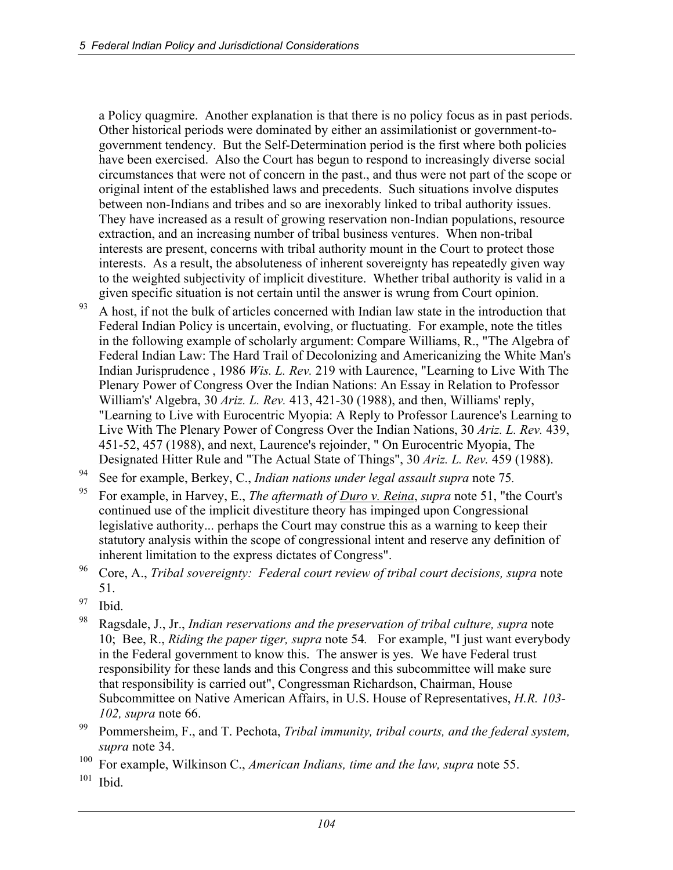a Policy quagmire. Another explanation is that there is no policy focus as in past periods. Other historical periods were dominated by either an assimilationist or government-togovernment tendency. But the Self-Determination period is the first where both policies have been exercised. Also the Court has begun to respond to increasingly diverse social circumstances that were not of concern in the past., and thus were not part of the scope or original intent of the established laws and precedents. Such situations involve disputes between non-Indians and tribes and so are inexorably linked to tribal authority issues. They have increased as a result of growing reservation non-Indian populations, resource extraction, and an increasing number of tribal business ventures. When non-tribal interests are present, concerns with tribal authority mount in the Court to protect those interests. As a result, the absoluteness of inherent sovereignty has repeatedly given way to the weighted subjectivity of implicit divestiture. Whether tribal authority is valid in a given specific situation is not certain until the answer is wrung from Court opinion.

- $93$  A host, if not the bulk of articles concerned with Indian law state in the introduction that Federal Indian Policy is uncertain, evolving, or fluctuating. For example, note the titles in the following example of scholarly argument: Compare Williams, R., "The Algebra of Federal Indian Law: The Hard Trail of Decolonizing and Americanizing the White Man's Indian Jurisprudence , 1986 *Wis. L. Rev.* 219 with Laurence, "Learning to Live With The Plenary Power of Congress Over the Indian Nations: An Essay in Relation to Professor William's' Algebra, 30 *Ariz. L. Rev.* 413, 421-30 (1988), and then, Williams' reply, "Learning to Live with Eurocentric Myopia: A Reply to Professor Laurence's Learning to Live With The Plenary Power of Congress Over the Indian Nations, 30 *Ariz. L. Rev.* 439, 451-52, 457 (1988), and next, Laurence's rejoinder, " On Eurocentric Myopia, The Designated Hitter Rule and "The Actual State of Things", 30 *Ariz. L. Rev.* 459 (1988).
- 94 See for example, Berkey, C., *Indian nations under legal assault supra* note 75*.*
- 95 For example, in Harvey, E., *The aftermath of Duro v. Reina*, *supra* note 51, "the Court's continued use of the implicit divestiture theory has impinged upon Congressional legislative authority... perhaps the Court may construe this as a warning to keep their statutory analysis within the scope of congressional intent and reserve any definition of inherent limitation to the express dictates of Congress".
- 96 Core, A., *Tribal sovereignty: Federal court review of tribal court decisions, supra* note 51.
- $97$  Ibid.
- 98 Ragsdale, J., Jr., *Indian reservations and the preservation of tribal culture, supra* note 10; Bee, R., *Riding the paper tiger, supra* note 54*.* For example, "I just want everybody in the Federal government to know this. The answer is yes. We have Federal trust responsibility for these lands and this Congress and this subcommittee will make sure that responsibility is carried out", Congressman Richardson, Chairman, House Subcommittee on Native American Affairs, in U.S. House of Representatives, *H.R. 103- 102, supra* note 66.
- 99 Pommersheim, F., and T. Pechota, *Tribal immunity, tribal courts, and the federal system, supra* note 34.
- 100 For example, Wilkinson C., *American Indians, time and the law, supra* note 55.
- $101$  Ibid.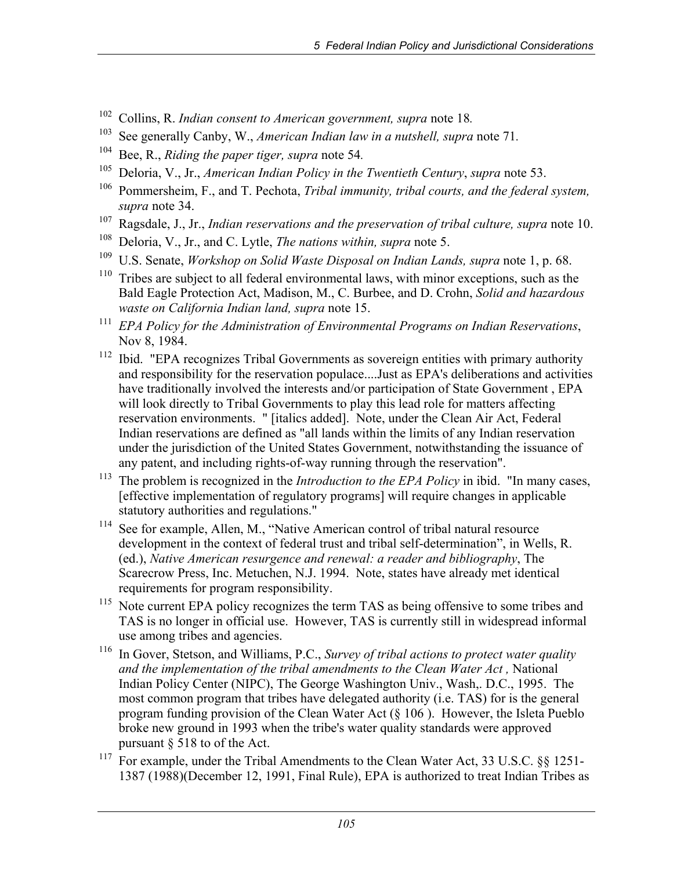- 102 Collins, R. *Indian consent to American government, supra* note 18*.*
- 103 See generally Canby, W., *American Indian law in a nutshell, supra* note 71*.*
- 
- <sup>104</sup> Bee, R., *Riding the paper tiger, supra* note 54.<br><sup>105</sup> Deloria, V., Jr., *American Indian Policy in the Twentieth Century*, *supra* note 53.
- 106 Pommersheim, F., and T. Pechota, *Tribal immunity, tribal courts, and the federal system, supra* note 34.
- <sup>107</sup> Ragsdale, J., Jr., *Indian reservations and the preservation of tribal culture, supra* note 10.
- 108 Deloria, V., Jr., and C. Lytle, *The nations within, supra* note 5.
- <sup>109</sup> U.S. Senate, *Workshop on Solid Waste Disposal on Indian Lands, supra* note 1, p. 68.
- $110$  Tribes are subject to all federal environmental laws, with minor exceptions, such as the Bald Eagle Protection Act, Madison, M., C. Burbee, and D. Crohn, *Solid and hazardous waste on California Indian land, supra* note 15.
- <sup>111</sup> *EPA Policy for the Administration of Environmental Programs on Indian Reservations*, Nov 8, 1984.
- <sup>112</sup> Ibid. "EPA recognizes Tribal Governments as sovereign entities with primary authority and responsibility for the reservation populace....Just as EPA's deliberations and activities have traditionally involved the interests and/or participation of State Government , EPA will look directly to Tribal Governments to play this lead role for matters affecting reservation environments. " [italics added]. Note, under the Clean Air Act, Federal Indian reservations are defined as "all lands within the limits of any Indian reservation under the jurisdiction of the United States Government, notwithstanding the issuance of any patent, and including rights-of-way running through the reservation".
- <sup>113</sup> The problem is recognized in the *Introduction to the EPA Policy* in ibid. "In many cases, [effective implementation of regulatory programs] will require changes in applicable statutory authorities and regulations."
- <sup>114</sup> See for example, Allen, M., "Native American control of tribal natural resource development in the context of federal trust and tribal self-determination", in Wells, R. (ed.), *Native American resurgence and renewal: a reader and bibliography*, The Scarecrow Press, Inc. Metuchen, N.J. 1994. Note, states have already met identical requirements for program responsibility.
- <sup>115</sup> Note current EPA policy recognizes the term TAS as being offensive to some tribes and TAS is no longer in official use. However, TAS is currently still in widespread informal use among tribes and agencies.
- 116 In Gover, Stetson, and Williams, P.C., *Survey of tribal actions to protect water quality and the implementation of the tribal amendments to the Clean Water Act ,* National Indian Policy Center (NIPC), The George Washington Univ., Wash,. D.C., 1995. The most common program that tribes have delegated authority (i.e. TAS) for is the general program funding provision of the Clean Water Act (§ 106 ). However, the Isleta Pueblo broke new ground in 1993 when the tribe's water quality standards were approved pursuant § 518 to of the Act.
- <sup>117</sup> For example, under the Tribal Amendments to the Clean Water Act, 33 U.S.C. §§ 1251-1387 (1988)(December 12, 1991, Final Rule), EPA is authorized to treat Indian Tribes as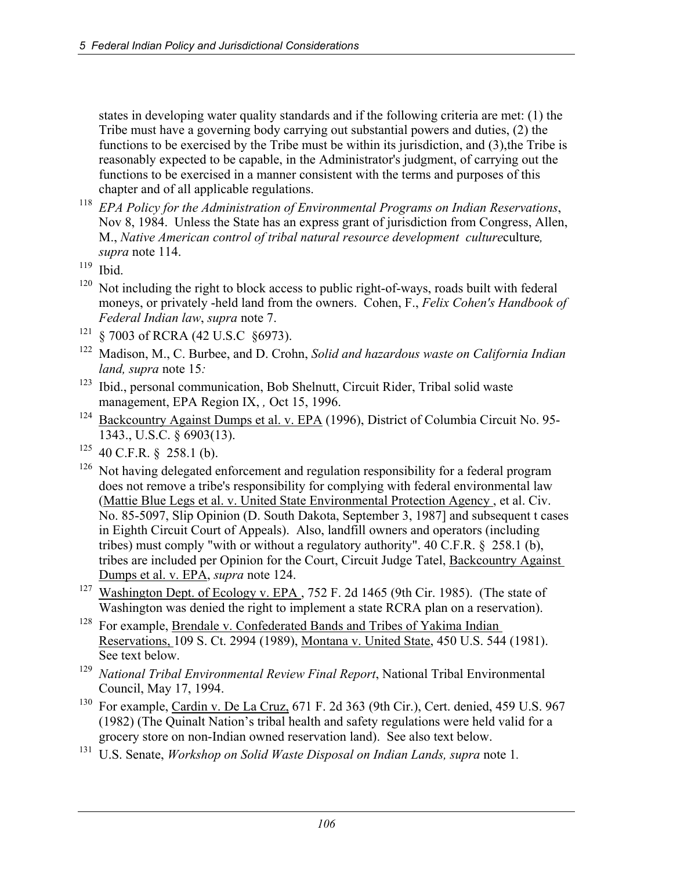states in developing water quality standards and if the following criteria are met: (1) the Tribe must have a governing body carrying out substantial powers and duties, (2) the functions to be exercised by the Tribe must be within its jurisdiction, and (3),the Tribe is reasonably expected to be capable, in the Administrator's judgment, of carrying out the functions to be exercised in a manner consistent with the terms and purposes of this chapter and of all applicable regulations.

- <sup>118</sup> *EPA Policy for the Administration of Environmental Programs on Indian Reservations*, Nov 8, 1984. Unless the State has an express grant of jurisdiction from Congress, Allen, M., *Native American control of tribal natural resource development culture*culture*, supra* note 114.
- $119$  Ibid.
- $120$  Not including the right to block access to public right-of-ways, roads built with federal moneys, or privately -held land from the owners. Cohen, F., *Felix Cohen's Handbook of Federal Indian law*, *supra* note 7.
- <sup>121</sup> § 7003 of RCRA (42 U.S.C §6973).
- 122 Madison, M., C. Burbee, and D. Crohn, *Solid and hazardous waste on California Indian land, supra* note 15*:*
- 123 Ibid., personal communication, Bob Shelnutt, Circuit Rider, Tribal solid waste management, EPA Region IX, *,* Oct 15, 1996.
- <sup>124</sup> Backcountry Against Dumps et al. v. EPA (1996), District of Columbia Circuit No. 95-1343., U.S.C. § 6903(13).
- $125$  40 C.F.R. § 258.1 (b).
- $126$  Not having delegated enforcement and regulation responsibility for a federal program does not remove a tribe's responsibility for complying with federal environmental law (Mattie Blue Legs et al. v. United State Environmental Protection Agency , et al. Civ. No. 85-5097, Slip Opinion (D. South Dakota, September 3, 1987] and subsequent t cases in Eighth Circuit Court of Appeals). Also, landfill owners and operators (including tribes) must comply "with or without a regulatory authority".  $40 \text{ C.F.R.}$  § 258.1 (b), tribes are included per Opinion for the Court, Circuit Judge Tatel, Backcountry Against Dumps et al. v. EPA, *supra* note 124.
- <sup>127</sup> Washington Dept. of Ecology v. EPA, 752 F. 2d 1465 (9th Cir. 1985). (The state of Washington was denied the right to implement a state RCRA plan on a reservation).
- <sup>128</sup> For example, Brendale v. Confederated Bands and Tribes of Yakima Indian Reservations, 109 S. Ct. 2994 (1989), Montana v. United State, 450 U.S. 544 (1981). See text below.
- <sup>129</sup> *National Tribal Environmental Review Final Report*, National Tribal Environmental Council, May 17, 1994.
- <sup>130</sup> For example, Cardin v. De La Cruz, 671 F. 2d 363 (9th Cir.), Cert. denied, 459 U.S. 967 (1982) (The Quinalt Nation's tribal health and safety regulations were held valid for a grocery store on non-Indian owned reservation land). See also text below.
- <sup>131</sup> U.S. Senate, *Workshop on Solid Waste Disposal on Indian Lands, supra* note 1.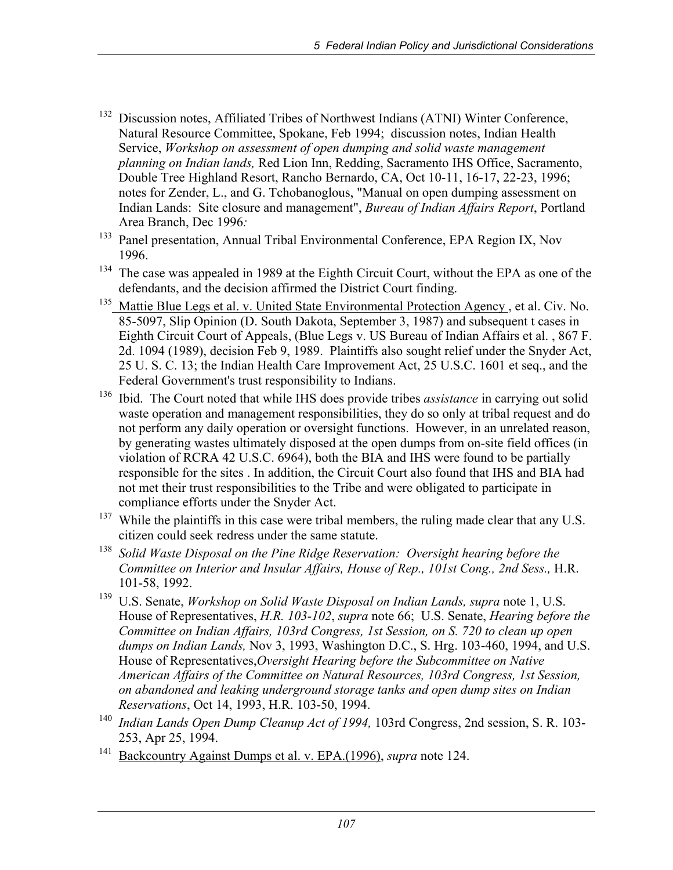- <sup>132</sup> Discussion notes, Affiliated Tribes of Northwest Indians (ATNI) Winter Conference, Natural Resource Committee, Spokane, Feb 1994; discussion notes, Indian Health Service, *Workshop on assessment of open dumping and solid waste management planning on Indian lands,* Red Lion Inn, Redding, Sacramento IHS Office, Sacramento, Double Tree Highland Resort, Rancho Bernardo, CA, Oct 10-11, 16-17, 22-23, 1996; notes for Zender, L., and G. Tchobanoglous, "Manual on open dumping assessment on Indian Lands: Site closure and management", *Bureau of Indian Affairs Report*, Portland Area Branch, Dec 1996*:*
- <sup>133</sup> Panel presentation, Annual Tribal Environmental Conference, EPA Region IX, Nov 1996.
- <sup>134</sup> The case was appealed in 1989 at the Eighth Circuit Court, without the EPA as one of the defendants, and the decision affirmed the District Court finding.
- <sup>135</sup> Mattie Blue Legs et al. v. United State Environmental Protection Agency, et al. Civ. No. 85-5097, Slip Opinion (D. South Dakota, September 3, 1987) and subsequent t cases in Eighth Circuit Court of Appeals, (Blue Legs v. US Bureau of Indian Affairs et al. , 867 F. 2d. 1094 (1989), decision Feb 9, 1989. Plaintiffs also sought relief under the Snyder Act, 25 U. S. C. 13; the Indian Health Care Improvement Act, 25 U.S.C. 1601 et seq., and the Federal Government's trust responsibility to Indians.
- 136 Ibid. The Court noted that while IHS does provide tribes *assistance* in carrying out solid waste operation and management responsibilities, they do so only at tribal request and do not perform any daily operation or oversight functions. However, in an unrelated reason, by generating wastes ultimately disposed at the open dumps from on-site field offices (in violation of RCRA 42 U.S.C. 6964), both the BIA and IHS were found to be partially responsible for the sites . In addition, the Circuit Court also found that IHS and BIA had not met their trust responsibilities to the Tribe and were obligated to participate in compliance efforts under the Snyder Act.
- $137$  While the plaintiffs in this case were tribal members, the ruling made clear that any U.S. citizen could seek redress under the same statute.
- <sup>138</sup> *Solid Waste Disposal on the Pine Ridge Reservation: Oversight hearing before the Committee on Interior and Insular Affairs, House of Rep., 101st Cong., 2nd Sess.,* H.R. 101-58, 1992.
- <sup>139</sup> U.S. Senate, *Workshop on Solid Waste Disposal on Indian Lands, supra* note 1, U.S. House of Representatives, *H.R. 103-102*, *supra* note 66; U.S. Senate, *Hearing before the Committee on Indian Affairs, 103rd Congress, 1st Session, on S. 720 to clean up open dumps on Indian Lands,* Nov 3, 1993, Washington D.C., S. Hrg. 103-460, 1994, and U.S. House of Representatives,*Oversight Hearing before the Subcommittee on Native American Affairs of the Committee on Natural Resources, 103rd Congress, 1st Session, on abandoned and leaking underground storage tanks and open dump sites on Indian Reservations*, Oct 14, 1993, H.R. 103-50, 1994.
- <sup>140</sup> *Indian Lands Open Dump Cleanup Act of 1994,* 103rd Congress, 2nd session, S. R. 103- 253, Apr 25, 1994.
- 141 Backcountry Against Dumps et al. v. EPA.(1996), *supra* note 124.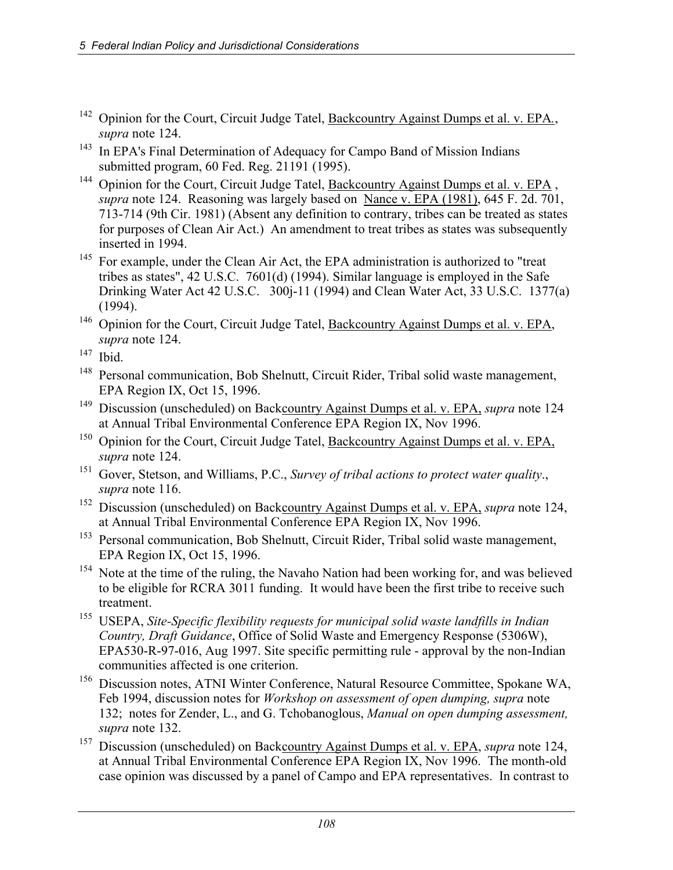- 142 Opinion for the Court, Circuit Judge Tatel, Backcountry Against Dumps et al. v. EPA*.*, *supra* note 124.
- <sup>143</sup> In EPA's Final Determination of Adequacy for Campo Band of Mission Indians submitted program, 60 Fed. Reg. 21191 (1995).
- <sup>144</sup> Opinion for the Court, Circuit Judge Tatel, Backcountry Against Dumps et al. v. EPA, *supra* note 124. Reasoning was largely based on Nance v. EPA (1981), 645 F. 2d. 701, 713-714 (9th Cir. 1981) (Absent any definition to contrary, tribes can be treated as states for purposes of Clean Air Act.) An amendment to treat tribes as states was subsequently inserted in 1994.
- <sup>145</sup> For example, under the Clean Air Act, the EPA administration is authorized to "treat tribes as states", 42 U.S.C. 7601(d) (1994). Similar language is employed in the Safe Drinking Water Act 42 U.S.C. 300j-11 (1994) and Clean Water Act, 33 U.S.C. 1377(a) (1994).
- <sup>146</sup> Opinion for the Court, Circuit Judge Tatel, Backcountry Against Dumps et al. v. EPA, *supra* note 124.

- <sup>148</sup> Personal communication, Bob Shelnutt, Circuit Rider, Tribal solid waste management, EPA Region IX, Oct 15, 1996.
- <sup>149</sup> Discussion (unscheduled) on Backcountry Against Dumps et al. v. EPA, *supra* note 124 at Annual Tribal Environmental Conference EPA Region IX, Nov 1996.
- <sup>150</sup> Opinion for the Court, Circuit Judge Tatel, Backcountry Against Dumps et al. v. EPA, *supra* note 124.
- 151 Gover, Stetson, and Williams, P.C., *Survey of tribal actions to protect water quality*., *supra* note 116.
- 152 Discussion (unscheduled) on Backcountry Against Dumps et al. v. EPA, *supra* note 124, at Annual Tribal Environmental Conference EPA Region IX, Nov 1996.
- <sup>153</sup> Personal communication, Bob Shelnutt, Circuit Rider, Tribal solid waste management, EPA Region IX, Oct 15, 1996.
- <sup>154</sup> Note at the time of the ruling, the Navaho Nation had been working for, and was believed to be eligible for RCRA 3011 funding. It would have been the first tribe to receive such treatment.
- 155 USEPA, *Site-Specific flexibility requests for municipal solid waste landfills in Indian Country, Draft Guidance*, Office of Solid Waste and Emergency Response (5306W), EPA530-R-97-016, Aug 1997. Site specific permitting rule - approval by the non-Indian communities affected is one criterion.
- <sup>156</sup> Discussion notes, ATNI Winter Conference, Natural Resource Committee, Spokane WA, Feb 1994, discussion notes for *Workshop on assessment of open dumping, supra* note 132;notes for Zender, L., and G. Tchobanoglous, *Manual on open dumping assessment, supra* note 132.
- <sup>157</sup> Discussion (unscheduled) on Backcountry Against Dumps et al. v. EPA, *supra* note 124, at Annual Tribal Environmental Conference EPA Region IX, Nov 1996. The month-old case opinion was discussed by a panel of Campo and EPA representatives. In contrast to

 $147$  Ibid.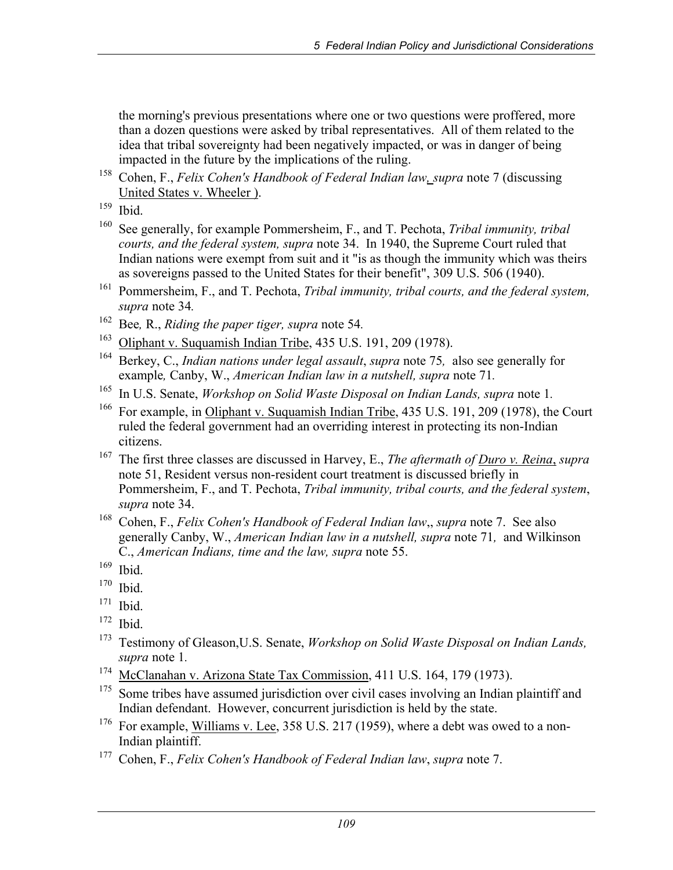the morning's previous presentations where one or two questions were proffered, more than a dozen questions were asked by tribal representatives. All of them related to the idea that tribal sovereignty had been negatively impacted, or was in danger of being impacted in the future by the implications of the ruling.

- 158 Cohen, F., *Felix Cohen's Handbook of Federal Indian law, supra* note 7 (discussing United States v. Wheeler ).<br>
<sup>159</sup> Ibid.
- 
- 160 See generally, for example Pommersheim, F., and T. Pechota, *Tribal immunity, tribal courts, and the federal system, supra* note 34. In 1940, the Supreme Court ruled that Indian nations were exempt from suit and it "is as though the immunity which was theirs as sovereigns passed to the United States for their benefit", 309 U.S. 506 (1940).
- 161 Pommersheim, F., and T. Pechota, *Tribal immunity, tribal courts, and the federal system, supra* note 34*.*
- 162 Bee*,* R., *Riding the paper tiger, supra* note 54*.*
- <sup>163</sup> Oliphant v. Suquamish Indian Tribe, 435 U.S. 191, 209 (1978).
- 164 Berkey, C., *Indian nations under legal assault*, *supra* note 75*,* also see generally for example*,* Canby, W., *American Indian law in a nutshell, supra* note 71*.*
- <sup>165</sup> In U.S. Senate, *Workshop on Solid Waste Disposal on Indian Lands, supra* note 1.
- <sup>166</sup> For example, in Oliphant v. Suquamish Indian Tribe, 435 U.S. 191, 209 (1978), the Court ruled the federal government had an overriding interest in protecting its non-Indian citizens.
- 167 The first three classes are discussed in Harvey, E., *The aftermath of Duro v. Reina*, *supra* note 51, Resident versus non-resident court treatment is discussed briefly in Pommersheim, F., and T. Pechota, *Tribal immunity, tribal courts, and the federal system*, *supra* note 34.
- 168 Cohen, F., *Felix Cohen's Handbook of Federal Indian law*,, *supra* note 7. See also generally Canby, W., *American Indian law in a nutshell, supra* note 71*,* and Wilkinson C., *American Indians, time and the law, supra* note 55.
- $\frac{169}{170}$  Ibid.
- Ibid.
- $171$  Ibid.
- $172$  Ibid.
- 173 Testimony of Gleason,U.S. Senate, *Workshop on Solid Waste Disposal on Indian Lands, supra* note 1*.*
- <sup>174</sup> McClanahan v. Arizona State Tax Commission, 411 U.S. 164, 179 (1973).
- $175$  Some tribes have assumed jurisdiction over civil cases involving an Indian plaintiff and Indian defendant. However, concurrent jurisdiction is held by the state.
- <sup>176</sup> For example, Williams v. Lee, 358 U.S. 217 (1959), where a debt was owed to a non-Indian plaintiff.
- 177 Cohen, F., *Felix Cohen's Handbook of Federal Indian law*, *supra* note 7.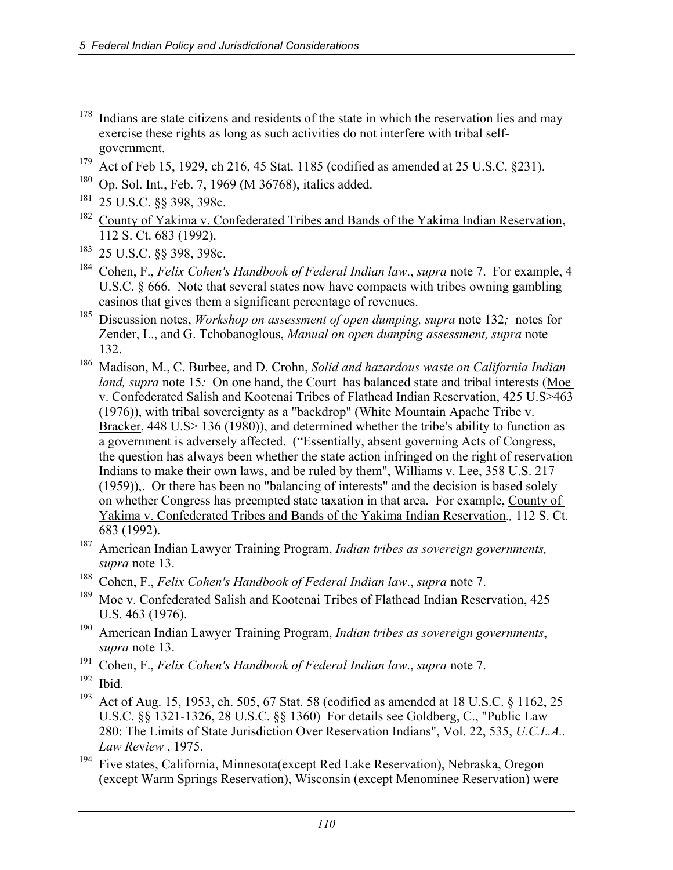- $178$  Indians are state citizens and residents of the state in which the reservation lies and may exercise these rights as long as such activities do not interfere with tribal selfgovernment.
- <sup>179</sup> Act of Feb 15, 1929, ch 216, 45 Stat. 1185 (codified as amended at 25 U.S.C. §231).
- 180 Op. Sol. Int., Feb. 7, 1969 (M 36768), italics added.
- 181 25 U.S.C. §§ 398, 398c.
- <sup>182</sup> County of Yakima v. Confederated Tribes and Bands of the Yakima Indian Reservation, 112 S. Ct. 683 (1992).
- <sup>183</sup> 25 U.S.C. §§ 398, 398c.
- 184 Cohen, F., *Felix Cohen's Handbook of Federal Indian law*., *supra* note 7. For example, 4 U.S.C. § 666. Note that several states now have compacts with tribes owning gambling casinos that gives them a significant percentage of revenues.
- 185 Discussion notes, *Workshop on assessment of open dumping, supra* note 132*;* notes for Zender, L., and G. Tchobanoglous, *Manual on open dumping assessment, supra* note 132.
- 186 Madison, M., C. Burbee, and D. Crohn, *Solid and hazardous waste on California Indian land, supra* note 15*:* On one hand, the Court has balanced state and tribal interests (Moe v. Confederated Salish and Kootenai Tribes of Flathead Indian Reservation, 425 U.S>463 (1976)), with tribal sovereignty as a "backdrop" (White Mountain Apache Tribe v. Bracker, 448 U.S > 136 (1980)), and determined whether the tribe's ability to function as a government is adversely affected. ("Essentially, absent governing Acts of Congress, the question has always been whether the state action infringed on the right of reservation Indians to make their own laws, and be ruled by them", Williams v. Lee, 358 U.S. 217 (1959)),. Or there has been no "balancing of interests" and the decision is based solely on whether Congress has preempted state taxation in that area. For example, County of Yakima v. Confederated Tribes and Bands of the Yakima Indian Reservation.*,* 112 S. Ct. 683 (1992).
- 187 American Indian Lawyer Training Program, *Indian tribes as sovereign governments, supra* note 13.
- 188 Cohen, F., *Felix Cohen's Handbook of Federal Indian law*., *supra* note 7.
- <sup>189</sup> Moe v. Confederated Salish and Kootenai Tribes of Flathead Indian Reservation, 425 U.S. 463 (1976).
- 190 American Indian Lawyer Training Program, *Indian tribes as sovereign governments*, *supra* note 13.
- 191 Cohen, F., *Felix Cohen's Handbook of Federal Indian law*., *supra* note 7.
- $192$  Ibid.
- <sup>193</sup> Act of Aug. 15, 1953, ch. 505, 67 Stat. 58 (codified as amended at 18 U.S.C. § 1162, 25 U.S.C. §§ 1321-1326, 28 U.S.C. §§ 1360) For details see Goldberg, C., "Public Law 280: The Limits of State Jurisdiction Over Reservation Indians", Vol. 22, 535, *U.C.L.A.. Law Re*v*iew* , 1975.
- 194 Five states, California, Minnesota(except Red Lake Reservation), Nebraska, Oregon (except Warm Springs Reservation), Wisconsin (except Menominee Reservation) were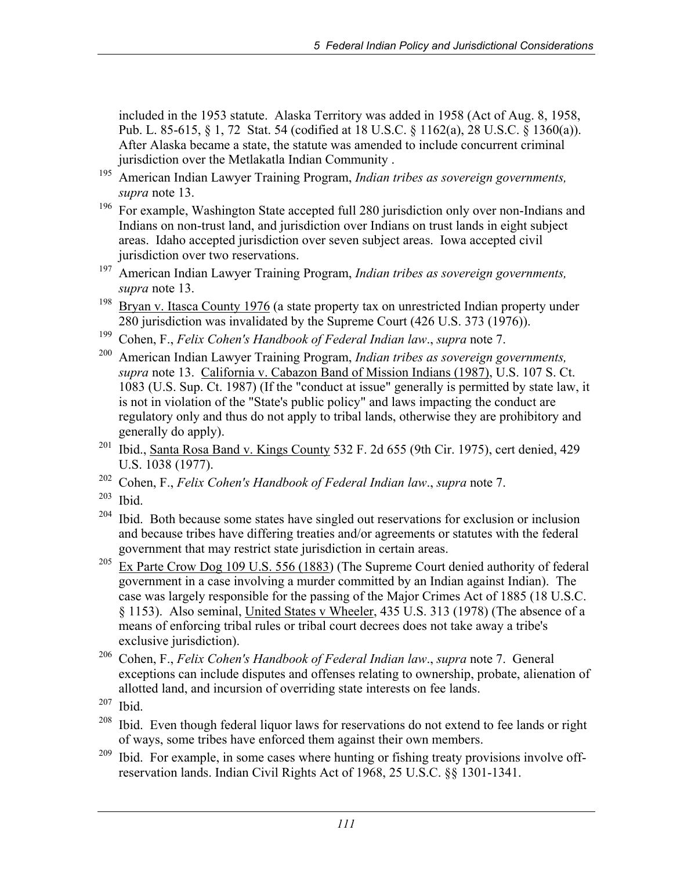included in the 1953 statute. Alaska Territory was added in 1958 (Act of Aug. 8, 1958, Pub. L. 85-615, § 1, 72 Stat. 54 (codified at 18 U.S.C. § 1162(a), 28 U.S.C. § 1360(a)). After Alaska became a state, the statute was amended to include concurrent criminal jurisdiction over the Metlakatla Indian Community .

- 195 American Indian Lawyer Training Program, *Indian tribes as sovereign governments, supra* note 13.
- <sup>196</sup> For example, Washington State accepted full 280 jurisdiction only over non-Indians and Indians on non-trust land, and jurisdiction over Indians on trust lands in eight subject areas. Idaho accepted jurisdiction over seven subject areas. Iowa accepted civil jurisdiction over two reservations.
- 197 American Indian Lawyer Training Program, *Indian tribes as sovereign governments, supra* note 13.
- <sup>198</sup> Bryan v. Itasca County 1976 (a state property tax on unrestricted Indian property under 280 jurisdiction was invalidated by the Supreme Court (426 U.S. 373 (1976)).
- 199 Cohen, F., *Felix Cohen's Handbook of Federal Indian law*., *supra* note 7.
- 200 American Indian Lawyer Training Program, *Indian tribes as sovereign governments, supra* note 13. California v. Cabazon Band of Mission Indians (1987), U.S. 107 S. Ct. 1083 (U.S. Sup. Ct. 1987) (If the "conduct at issue" generally is permitted by state law, it is not in violation of the "State's public policy" and laws impacting the conduct are regulatory only and thus do not apply to tribal lands, otherwise they are prohibitory and generally do apply).
- <sup>201</sup> Ibid., Santa Rosa Band v. Kings County 532 F. 2d 655 (9th Cir. 1975), cert denied, 429 U.S. 1038 (1977).
- 202 Cohen, F., *Felix Cohen's Handbook of Federal Indian law*., *supra* note 7.
- $203$  Ibid.
- $204$  Ibid. Both because some states have singled out reservations for exclusion or inclusion and because tribes have differing treaties and/or agreements or statutes with the federal government that may restrict state jurisdiction in certain areas.
- <sup>205</sup> Ex Parte Crow Dog 109 U.S. 556 (1883) (The Supreme Court denied authority of federal government in a case involving a murder committed by an Indian against Indian). The case was largely responsible for the passing of the Major Crimes Act of 1885 (18 U.S.C. § 1153). Also seminal, United States v Wheeler, 435 U.S. 313 (1978) (The absence of a means of enforcing tribal rules or tribal court decrees does not take away a tribe's exclusive jurisdiction).
- 206 Cohen, F., *Felix Cohen's Handbook of Federal Indian law*., *supra* note 7. General exceptions can include disputes and offenses relating to ownership, probate, alienation of allotted land, and incursion of overriding state interests on fee lands.
- $207$  Ibid.
- $208$  Ibid. Even though federal liquor laws for reservations do not extend to fee lands or right of ways, some tribes have enforced them against their own members.
- $209$  Ibid. For example, in some cases where hunting or fishing treaty provisions involve offreservation lands. Indian Civil Rights Act of 1968, 25 U.S.C. §§ 1301-1341.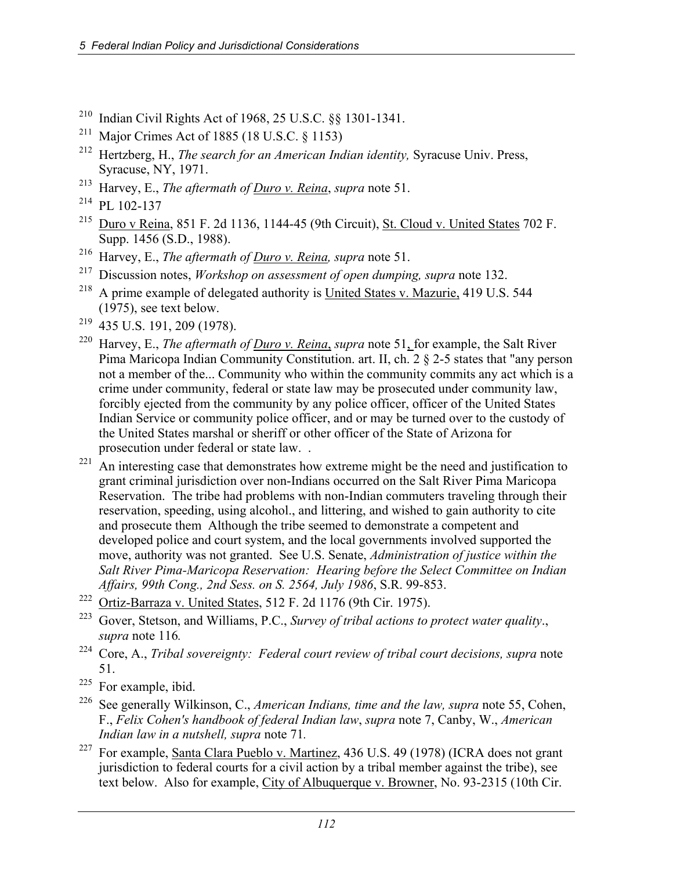- 210 Indian Civil Rights Act of 1968, 25 U.S.C. §§ 1301-1341.
- <sup>211</sup> Major Crimes Act of 1885 (18 U.S.C.  $\S$  1153)
- 212 Hertzberg, H., *The search for an American Indian identity,* Syracuse Univ. Press, Syracuse, NY, 1971.
- 213 Harvey, E., *The aftermath of Duro v. Reina*, *supra* note 51.
- $214$  PL 102-137
- 215 Duro v Reina, 851 F. 2d 1136, 1144-45 (9th Circuit), St. Cloud v. United States 702 F. Supp. 1456 (S.D., 1988).
- 216 Harvey, E., *The aftermath of Duro v. Reina, supra* note 51.
- 217 Discussion notes, *Workshop on assessment of open dumping, supra* note 132.
- <sup>218</sup> A prime example of delegated authority is United States v. Mazurie, 419 U.S. 544 (1975), see text below.
- 219 435 U.S. 191, 209 (1978).
- <sup>220</sup> Harvey, E., *The aftermath of <u>Duro v. Reina,</u> supra* note 51, for example, the Salt River Pima Maricopa Indian Community Constitution. art. II, ch. 2 § 2-5 states that "any person not a member of the... Community who within the community commits any act which is a crime under community, federal or state law may be prosecuted under community law, forcibly ejected from the community by any police officer, officer of the United States Indian Service or community police officer, and or may be turned over to the custody of the United States marshal or sheriff or other officer of the State of Arizona for prosecution under federal or state law. .
- $221$  An interesting case that demonstrates how extreme might be the need and justification to grant criminal jurisdiction over non-Indians occurred on the Salt River Pima Maricopa Reservation. The tribe had problems with non-Indian commuters traveling through their reservation, speeding, using alcohol., and littering, and wished to gain authority to cite and prosecute them Although the tribe seemed to demonstrate a competent and developed police and court system, and the local governments involved supported the move, authority was not granted. See U.S. Senate, *Administration of justice within the Salt River Pima-Maricopa Reservation: Hearing before the Select Committee on Indian Affairs, 99th Cong., 2nd Sess. on S. 2564, July 1986*, S.R. 99-853.
- 222 Ortiz-Barraza v. United States, 512 F. 2d 1176 (9th Cir. 1975).
- 223 Gover, Stetson, and Williams, P.C., *Survey of tribal actions to protect water quality*., *supra* note 116*.*
- 224 Core, A., *Tribal sovereignty: Federal court review of tribal court decisions, supra* note 51.
- <sup>225</sup> For example, ibid.
- 226 See generally Wilkinson, C., *American Indians, time and the law, supra* note 55, Cohen, F., *Felix Cohen's handbook of federal Indian law*, *supra* note 7, Canby, W., *American Indian law in a nutshell, supra* note 71*.*
- <sup>227</sup> For example, Santa Clara Pueblo v. Martinez, 436 U.S. 49 (1978) (ICRA does not grant jurisdiction to federal courts for a civil action by a tribal member against the tribe), see text below. Also for example, City of Albuquerque v. Browner, No. 93-2315 (10th Cir.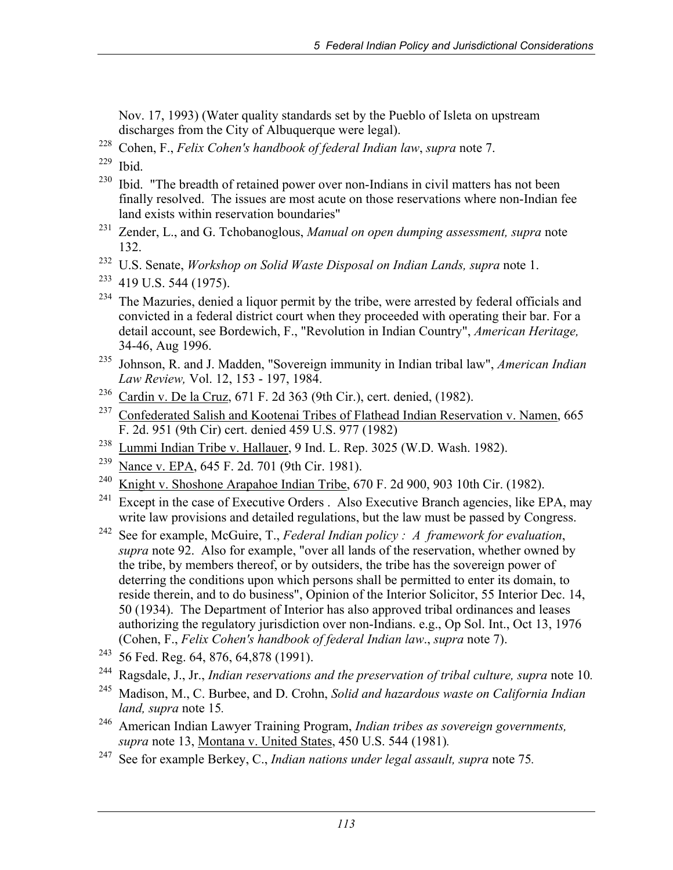Nov. 17, 1993) (Water quality standards set by the Pueblo of Isleta on upstream discharges from the City of Albuquerque were legal).

228 Cohen, F., *Felix Cohen's handbook of federal Indian law*, *supra* note 7.

229 Ibid.

- <sup>230</sup> Ibid. "The breadth of retained power over non-Indians in civil matters has not been finally resolved. The issues are most acute on those reservations where non-Indian fee land exists within reservation boundaries"
- 231 Zender, L., and G. Tchobanoglous, *Manual on open dumping assessment, supra* note 132.
- 232 U.S. Senate, *Workshop on Solid Waste Disposal on Indian Lands, supra* note 1.
- $233$  419 U.S. 544 (1975).
- <sup>234</sup> The Mazuries, denied a liquor permit by the tribe, were arrested by federal officials and convicted in a federal district court when they proceeded with operating their bar. For a detail account, see Bordewich, F., "Revolution in Indian Country", *American Heritage,*  34-46, Aug 1996.
- 235 Johnson, R. and J. Madden, "Sovereign immunity in Indian tribal law", *American Indian Law Review,* Vol. 12, 153 - 197, 1984.
- 236 Cardin v. De la Cruz, 671 F. 2d 363 (9th Cir.), cert. denied, (1982).
- <sup>237</sup> Confederated Salish and Kootenai Tribes of Flathead Indian Reservation v. Namen, 665 F. 2d. 951 (9th Cir) cert. denied 459 U.S. 977 (1982)
- <sup>238</sup> Lummi Indian Tribe v. Hallauer, 9 Ind. L. Rep. 3025 (W.D. Wash. 1982).
- 239 Nance v. EPA, 645 F. 2d. 701 (9th Cir. 1981).
- 240 Knight v. Shoshone Arapahoe Indian Tribe, 670 F. 2d 900, 903 10th Cir. (1982).
- <sup>241</sup> Except in the case of Executive Orders . Also Executive Branch agencies, like EPA, may write law provisions and detailed regulations, but the law must be passed by Congress.
- 242 See for example, McGuire, T., *Federal Indian policy : A framework for evaluation*, *supra* note 92. Also for example, "over all lands of the reservation, whether owned by the tribe, by members thereof, or by outsiders, the tribe has the sovereign power of deterring the conditions upon which persons shall be permitted to enter its domain, to reside therein, and to do business", Opinion of the Interior Solicitor, 55 Interior Dec. 14, 50 (1934). The Department of Interior has also approved tribal ordinances and leases authorizing the regulatory jurisdiction over non-Indians. e.g., Op Sol. Int., Oct 13, 1976 (Cohen, F., *Felix Cohen's handbook of federal Indian law*., *supra* note 7).
- <sup>243</sup> 56 Fed. Reg. 64, 876, 64, 878 (1991).
- 244 Ragsdale, J., Jr., *Indian reservations and the preservation of tribal culture, supra* note 10*.*
- 245 Madison, M., C. Burbee, and D. Crohn, *Solid and hazardous waste on California Indian land, supra* note 15*.*
- 246 American Indian Lawyer Training Program, *Indian tribes as sovereign governments, supra* note 13, Montana v. United States, 450 U.S. 544 (1981)*.*
- 247 See for example Berkey, C., *Indian nations under legal assault, supra* note 75*.*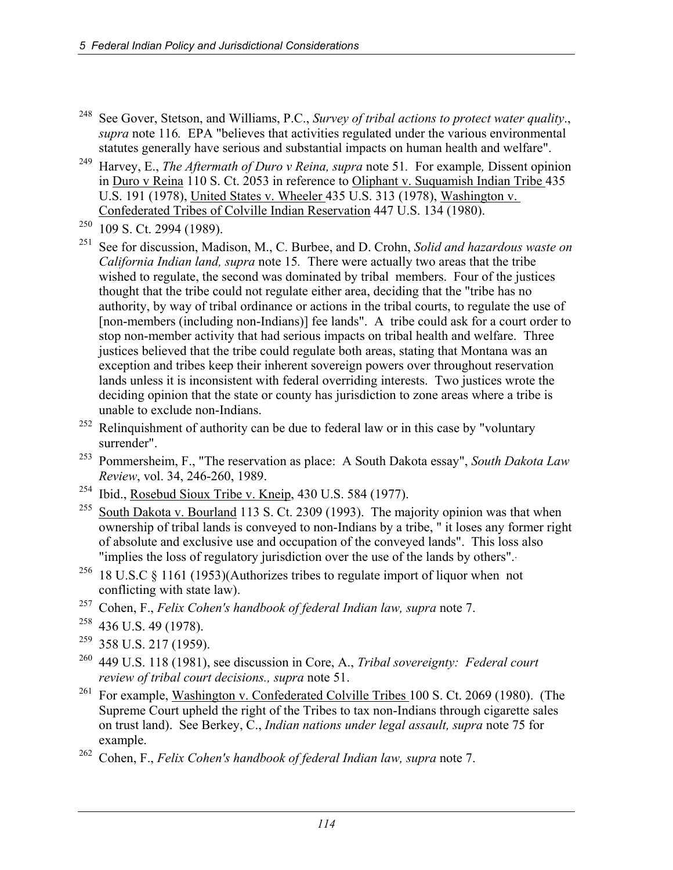- 248 See Gover, Stetson, and Williams, P.C., *Survey of tribal actions to protect water quality*., *supra* note 116. EPA "believes that activities regulated under the various environmental statutes generally have serious and substantial impacts on human health and welfare".
- 249 Harvey, E., *The Aftermath of Duro v Reina, supra* note 51*.* For example*,* Dissent opinion in Duro v Reina 110 S. Ct. 2053 in reference to Oliphant v. Suquamish Indian Tribe 435 U.S. 191 (1978), United States v. Wheeler 435 U.S. 313 (1978), Washington v. Confederated Tribes of Colville Indian Reservation 447 U.S. 134 (1980).
- 250 109 S. Ct. 2994 (1989).
- 251 See for discussion, Madison, M., C. Burbee, and D. Crohn, *Solid and hazardous waste on California Indian land, supra* note 15*.* There were actually two areas that the tribe wished to regulate, the second was dominated by tribal members. Four of the justices thought that the tribe could not regulate either area, deciding that the "tribe has no authority, by way of tribal ordinance or actions in the tribal courts, to regulate the use of [non-members (including non-Indians)] fee lands". A tribe could ask for a court order to stop non-member activity that had serious impacts on tribal health and welfare. Three justices believed that the tribe could regulate both areas, stating that Montana was an exception and tribes keep their inherent sovereign powers over throughout reservation lands unless it is inconsistent with federal overriding interests. Two justices wrote the deciding opinion that the state or county has jurisdiction to zone areas where a tribe is unable to exclude non-Indians.
- $252$  Relinquishment of authority can be due to federal law or in this case by "voluntary surrender".
- 253 Pommersheim, F., "The reservation as place: A South Dakota essay", *South Dakota Law Review*, vol. 34, 246-260, 1989.
- <sup>254</sup> Ibid., Rosebud Sioux Tribe v. Kneip, 430 U.S. 584 (1977).
- <sup>255</sup> South Dakota v. Bourland 113 S. Ct. 2309 (1993). The majority opinion was that when ownership of tribal lands is conveyed to non-Indians by a tribe, " it loses any former right of absolute and exclusive use and occupation of the conveyed lands". This loss also "implies the loss of regulatory jurisdiction over the use of the lands by others".
- <sup>256</sup> 18 U.S.C § 1161 (1953)(Authorizes tribes to regulate import of liquor when not conflicting with state law).
- 257 Cohen, F., *Felix Cohen's handbook of federal Indian law, supra* note 7.
- $258$  436 U.S. 49 (1978).
- $259$  358 U.S. 217 (1959).
- 260 449 U.S. 118 (1981), see discussion in Core, A., *Tribal sovereignty: Federal court review of tribal court decisions., supra* note 51.
- <sup>261</sup> For example, Washington v. Confederated Colville Tribes 100 S. Ct. 2069 (1980). (The Supreme Court upheld the right of the Tribes to tax non-Indians through cigarette sales on trust land). See Berkey, C., *Indian nations under legal assault, supra* note 75 for example.
- 262 Cohen, F., *Felix Cohen's handbook of federal Indian law, supra* note 7.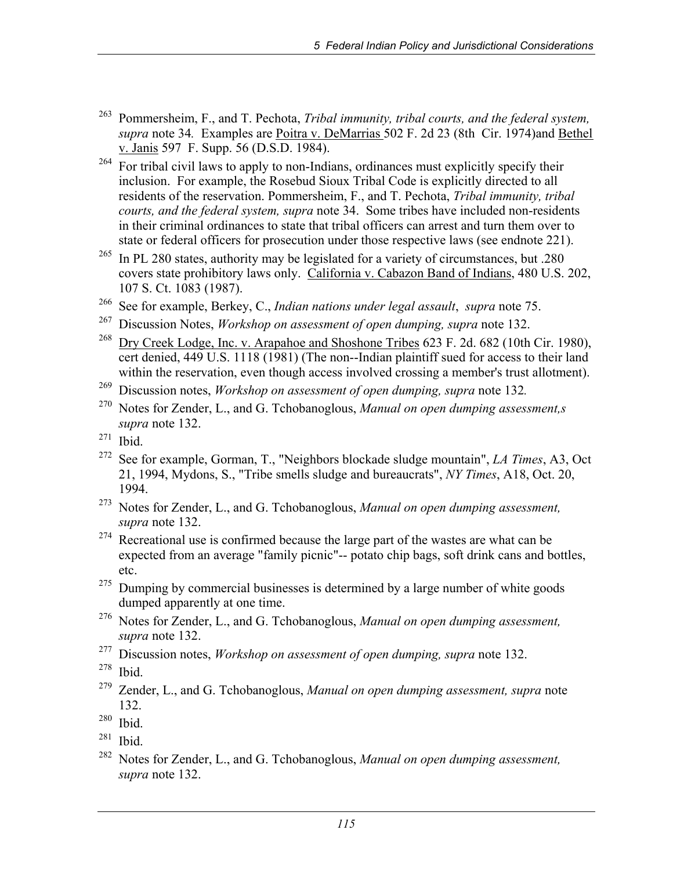- 263 Pommersheim, F., and T. Pechota, *Tribal immunity, tribal courts, and the federal system, supra* note 34*.* Examples are Poitra v. DeMarrias 502 F. 2d 23 (8th Cir. 1974)and Bethel v. Janis 597 F. Supp. 56 (D.S.D. 1984).
- <sup>264</sup> For tribal civil laws to apply to non-Indians, ordinances must explicitly specify their inclusion. For example, the Rosebud Sioux Tribal Code is explicitly directed to all residents of the reservation. Pommersheim, F., and T. Pechota, *Tribal immunity, tribal courts, and the federal system, supra* note 34. Some tribes have included non-residents in their criminal ordinances to state that tribal officers can arrest and turn them over to state or federal officers for prosecution under those respective laws (see endnote 221).
- <sup>265</sup> In PL 280 states, authority may be legislated for a variety of circumstances, but .280 covers state prohibitory laws only. California v. Cabazon Band of Indians, 480 U.S. 202, 107 S. Ct. 1083 (1987).
- 266 See for example, Berkey, C., *Indian nations under legal assault*, *supra* note 75.
- 267 Discussion Notes, *Workshop on assessment of open dumping, supra* note 132.
- <sup>268</sup> Dry Creek Lodge, Inc. v. Arapahoe and Shoshone Tribes 623 F. 2d. 682 (10th Cir. 1980), cert denied, 449 U.S. 1118 (1981) (The non--Indian plaintiff sued for access to their land within the reservation, even though access involved crossing a member's trust allotment).
- 269 Discussion notes, *Workshop on assessment of open dumping, supra* note 132*.*
- 270 Notes for Zender, L., and G. Tchobanoglous, *Manual on open dumping assessment,s supra* note 132.
- $271$  Ibid.
- 272 See for example, Gorman, T., "Neighbors blockade sludge mountain", *LA Times*, A3, Oct 21, 1994, Mydons, S., "Tribe smells sludge and bureaucrats", *NY Times*, A18, Oct. 20, 1994.
- 273 Notes for Zender, L., and G. Tchobanoglous, *Manual on open dumping assessment, supra* note 132.
- $274$  Recreational use is confirmed because the large part of the wastes are what can be expected from an average "family picnic"-- potato chip bags, soft drink cans and bottles, etc.
- $275$  Dumping by commercial businesses is determined by a large number of white goods dumped apparently at one time.
- 276 Notes for Zender, L., and G. Tchobanoglous, *Manual on open dumping assessment, supra* note 132.
- 277 Discussion notes, *Workshop on assessment of open dumping, supra* note 132.
- $278$  Ibid.
- 279 Zender, L., and G. Tchobanoglous, *Manual on open dumping assessment, supra* note 132.
- $280$  Ibid.
- $281$  Ibid.
- 282 Notes for Zender, L., and G. Tchobanoglous, *Manual on open dumping assessment, supra* note 132.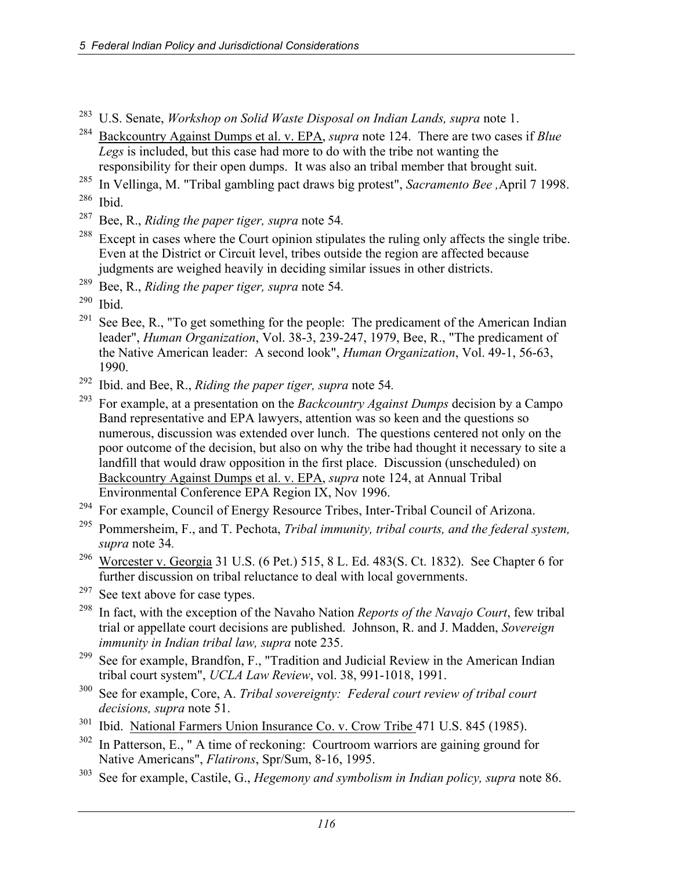- 283 U.S. Senate, *Workshop on Solid Waste Disposal on Indian Lands, supra* note 1.
- 284 Backcountry Against Dumps et al. v. EPA, *supra* note 124. There are two cases if *Blue Legs* is included, but this case had more to do with the tribe not wanting the responsibility for their open dumps. It was also an tribal member that brought suit.
- 285 In Vellinga, M. "Tribal gambling pact draws big protest", *Sacramento Bee ,*April 7 1998.
- $286$  Ibid.
- 287 Bee, R., *Riding the paper tiger, supra* note 54*.*
- $288$  Except in cases where the Court opinion stipulates the ruling only affects the single tribe. Even at the District or Circuit level, tribes outside the region are affected because judgments are weighed heavily in deciding similar issues in other districts.
- 289 Bee, R., *Riding the paper tiger, supra* note 54*.*
- $290$  Ibid.
- <sup>291</sup> See Bee, R., "To get something for the people: The predicament of the American Indian leader", *Human Organization*, Vol. 38-3, 239-247, 1979, Bee, R., "The predicament of the Native American leader: A second look", *Human Organization*, Vol. 49-1, 56-63, 1990.
- 292 Ibid. and Bee, R., *Riding the paper tiger, supra* note 54*.*
- 293 For example, at a presentation on the *Backcountry Against Dumps* decision by a Campo Band representative and EPA lawyers, attention was so keen and the questions so numerous, discussion was extended over lunch. The questions centered not only on the poor outcome of the decision, but also on why the tribe had thought it necessary to site a landfill that would draw opposition in the first place. Discussion (unscheduled) on Backcountry Against Dumps et al. v. EPA, *supra* note 124, at Annual Tribal Environmental Conference EPA Region IX, Nov 1996.
- <sup>294</sup> For example, Council of Energy Resource Tribes, Inter-Tribal Council of Arizona.
- 295 Pommersheim, F., and T. Pechota, *Tribal immunity, tribal courts, and the federal system, supra* note 34*.*
- <sup>296</sup> Worcester v. Georgia 31 U.S. (6 Pet.) 515, 8 L. Ed. 483(S. Ct. 1832). See Chapter 6 for further discussion on tribal reluctance to deal with local governments.
- $297$  See text above for case types.
- 298 In fact, with the exception of the Navaho Nation *Reports of the Navajo Court*, few tribal trial or appellate court decisions are published. Johnson, R. and J. Madden, *Sovereign immunity in Indian tribal law, supra* note 235.
- <sup>299</sup> See for example, Brandfon, F., "Tradition and Judicial Review in the American Indian tribal court system", *UCLA Law Review*, vol. 38, 991-1018, 1991.
- 300 See for example, Core, A. *Tribal sovereignty: Federal court review of tribal court decisions, supra* note 51.
- <sup>301</sup> Ibid. National Farmers Union Insurance Co. v. Crow Tribe 471 U.S. 845 (1985).
- $302$  In Patterson, E., " A time of reckoning: Courtroom warriors are gaining ground for Native Americans", *Flatirons*, Spr/Sum, 8-16, 1995.
- 303 See for example, Castile, G., *Hegemony and symbolism in Indian policy, supra* note 86.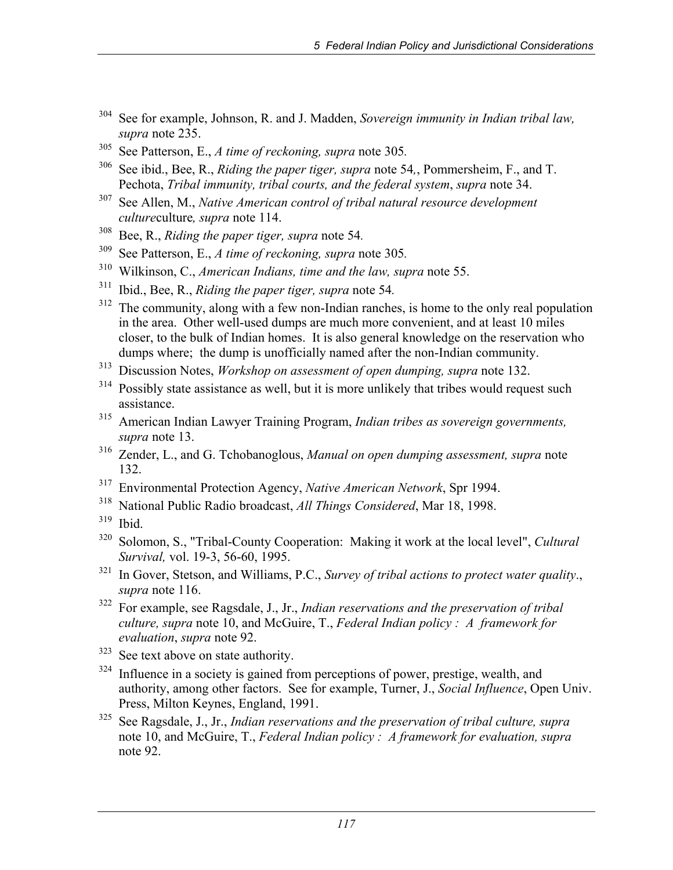- 304 See for example, Johnson, R. and J. Madden, *Sovereign immunity in Indian tribal law, supra* note 235.
- 305 See Patterson, E., *A time of reckoning, supra* note 305*.*
- 306 See ibid., Bee, R., *Riding the paper tiger, supra* note 54*,*, Pommersheim, F., and T. Pechota, *Tribal immunity, tribal courts, and the federal system*, *supra* note 34.
- 307 See Allen, M., *Native American control of tribal natural resource development culture*culture*, supra* note 114.
- 308 Bee, R., *Riding the paper tiger, supra* note 54*.*
- 309 See Patterson, E., *A time of reckoning, supra* note 305*.*
- 310 Wilkinson, C., *American Indians, time and the law, supra* note 55.
- 311 Ibid., Bee, R., *Riding the paper tiger, supra* note 54*.*
- <sup>312</sup> The community, along with a few non-Indian ranches, is home to the only real population in the area. Other well-used dumps are much more convenient, and at least 10 miles closer, to the bulk of Indian homes. It is also general knowledge on the reservation who dumps where; the dump is unofficially named after the non-Indian community.
- 313 Discussion Notes, *Workshop on assessment of open dumping, supra* note 132.
- $314$  Possibly state assistance as well, but it is more unlikely that tribes would request such assistance.
- 315 American Indian Lawyer Training Program, *Indian tribes as sovereign governments, supra* note 13.
- 316 Zender, L., and G. Tchobanoglous, *Manual on open dumping assessment, supra* note 132.
- 317 Environmental Protection Agency, *Native American Network*, Spr 1994.
- 318 National Public Radio broadcast, *All Things Considered*, Mar 18, 1998.
- $319$  Ibid.
- 320 Solomon, S., "Tribal-County Cooperation: Making it work at the local level", *Cultural Survival,* vol. 19-3, 56-60, 1995.
- 321 In Gover, Stetson, and Williams, P.C., *Survey of tribal actions to protect water quality*., *supra* note 116.
- 322 For example, see Ragsdale, J., Jr., *Indian reservations and the preservation of tribal culture, supra* note 10, and McGuire, T., *Federal Indian policy : A framework for evaluation*, *supra* note 92.
- <sup>323</sup> See text above on state authority.
- <sup>324</sup> Influence in a society is gained from perceptions of power, prestige, wealth, and authority, among other factors. See for example, Turner, J., *Social Influence*, Open Univ. Press, Milton Keynes, England, 1991.
- 325 See Ragsdale, J., Jr., *Indian reservations and the preservation of tribal culture, supra*  note 10, and McGuire, T., *Federal Indian policy : A framework for evaluation, supra* note 92.